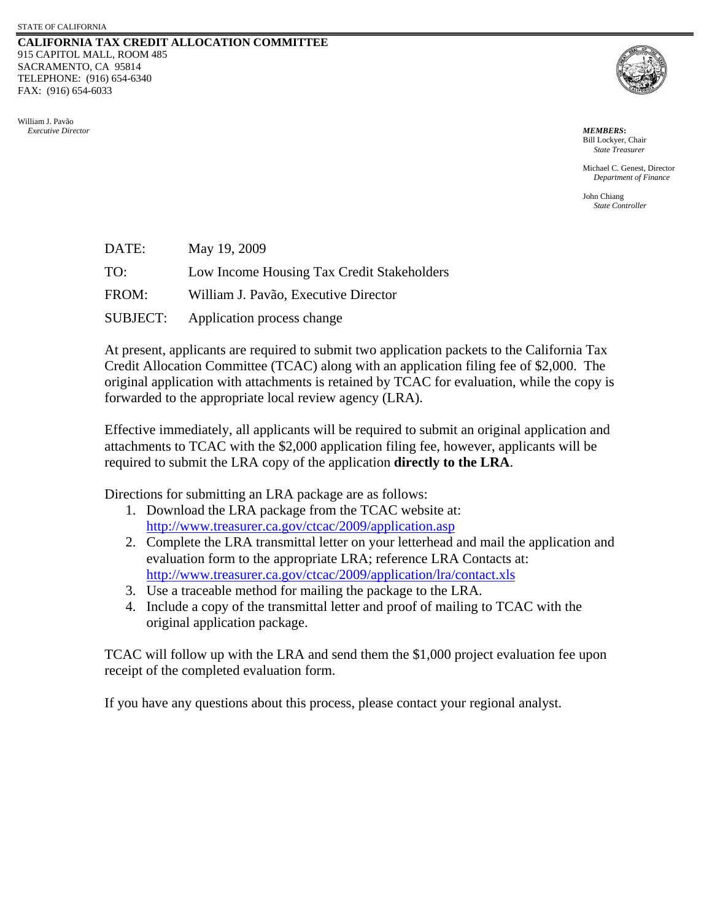#### **CALIFORNIA TAX CREDIT ALLOCATION COMMITTEE** 915 CAPITOL MALL, ROOM 485 SACRAMENTO, CA 95814 TELEPHONE: (916) 654-6340 FAX: (916) 654-6033





Bill Lockyer, Chair *State Treasurer*

Michael C. Genest, Director *Department of Finance* 

John Chiang *State Controller*

| DATE:    | May 19, 2009                               |
|----------|--------------------------------------------|
| TO:      | Low Income Housing Tax Credit Stakeholders |
| FROM:    | William J. Pavão, Executive Director       |
| SUBJECT: | Application process change                 |

At present, applicants are required to submit two application packets to the California Tax Credit Allocation Committee (TCAC) along with an application filing fee of \$2,000. The original application with attachments is retained by TCAC for evaluation, while the copy is forwarded to the appropriate local review agency (LRA).

Effective immediately, all applicants will be required to submit an original application and attachments to TCAC with the \$2,000 application filing fee, however, applicants will be required to submit the LRA copy of the application **directly to the LRA**.

Directions for submitting an LRA package are as follows:

- 1. Download the LRA package from the TCAC website at: <http://www.treasurer.ca.gov/ctcac/2009/application.asp>
- 2. Complete the LRA transmittal letter on your letterhead and mail the application and evaluation form to the appropriate LRA; reference LRA Contacts at: <http://www.treasurer.ca.gov/ctcac/2009/application/lra/contact.xls>
- 3. Use a traceable method for mailing the package to the LRA.
- 4. Include a copy of the transmittal letter and proof of mailing to TCAC with the original application package.

TCAC will follow up with the LRA and send them the \$1,000 project evaluation fee upon receipt of the completed evaluation form.

If you have any questions about this process, please contact your regional analyst.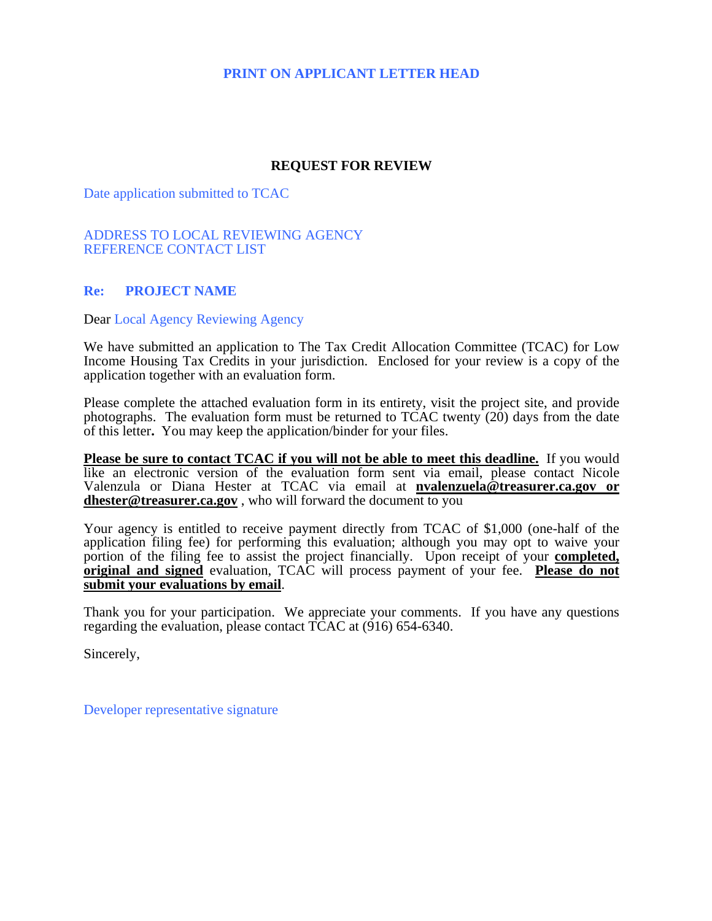# **PRINT ON APPLICANT LETTER HEAD**

## **REQUEST FOR REVIEW**

Date application submitted to TCAC

#### ADDRESS TO LOCAL REVIEWING AGENCY REFERENCE CONTACT LIST

## **Re: PROJECT NAME**

Dear Local Agency Reviewing Agency

We have submitted an application to The Tax Credit Allocation Committee (TCAC) for Low Income Housing Tax Credits in your jurisdiction. Enclosed for your review is a copy of the application together with an evaluation form.

Please complete the attached evaluation form in its entirety, visit the project site, and provide photographs. The evaluation form must be returned to  $TCAC$  twenty  $(20)$  days from the date of this letter**.** You may keep the application/binder for your files.

**Please be sure to contact TCAC if you will not be able to meet this deadline.** If you would like an electronic version of the evaluation form sent via email, please contact Nicole Valenzula or Diana Hester at TCAC via email at **[nvalenzuela@treasurer.ca.gov](mailto:nvalenzula@treasurer.ca.gov) or dhester@treasurer.ca.gov** , who will forward the document to you

Your agency is entitled to receive payment directly from TCAC of \$1,000 (one-half of the application filing fee) for performing this evaluation; although you may opt to waive your portion of the filing fee to assist the project financially. Upon receipt of your **completed, original and signed** evaluation, TCAC will process payment of your fee. **Please do not submit your evaluations by email**.

Thank you for your participation. We appreciate your comments. If you have any questions regarding the evaluation, please contact TCAC at (916) 654-6340.

Sincerely,

Developer representative signature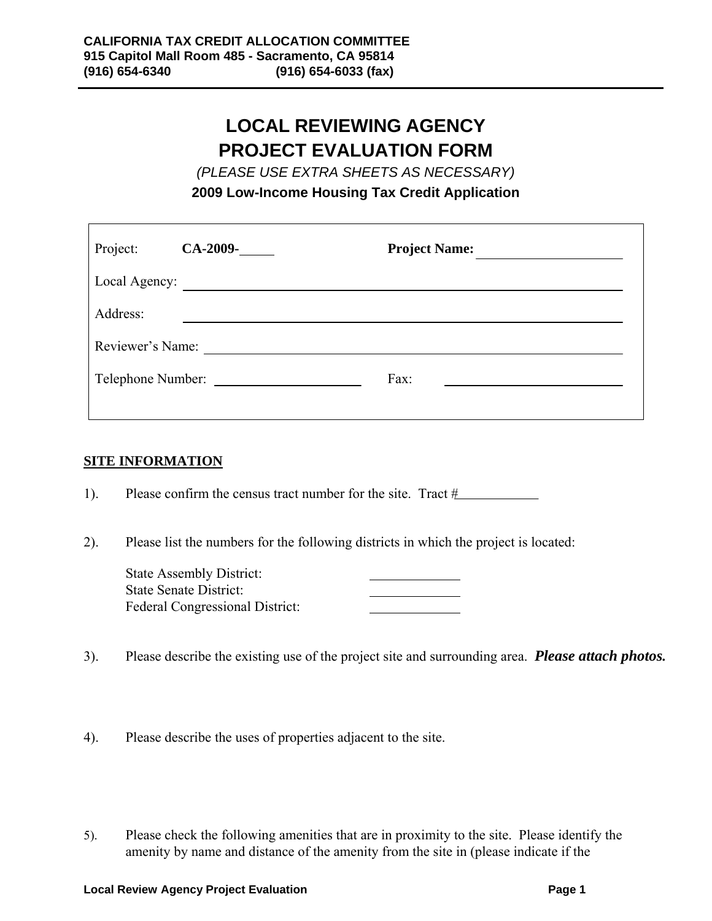# **LOCAL REVIEWING AGENCY PROJECT EVALUATION FORM**

*(PLEASE USE EXTRA SHEETS AS NECESSARY)* 

**2009 Low-Income Housing Tax Credit Application** 

| Project:      | $CA-2009-$       | <b>Project Name:</b> |  |  |  |
|---------------|------------------|----------------------|--|--|--|
| Local Agency: |                  |                      |  |  |  |
| Address:      |                  |                      |  |  |  |
|               | Reviewer's Name: |                      |  |  |  |
|               |                  | Fax:                 |  |  |  |

## **SITE INFORMATION**

ֺ֞֡

Г

1). Please confirm the census tract number for the site. Tract  $#$ 

2). Please list the numbers for the following districts in which the project is located:

| <b>State Assembly District:</b> |  |
|---------------------------------|--|
| <b>State Senate District:</b>   |  |
| Federal Congressional District: |  |

- 3). Please describe the existing use of the project site and surrounding area. *Please attach photos.*
- 4). Please describe the uses of properties adjacent to the site.
- 5). Please check the following amenities that are in proximity to the site. Please identify the amenity by name and distance of the amenity from the site in (please indicate if the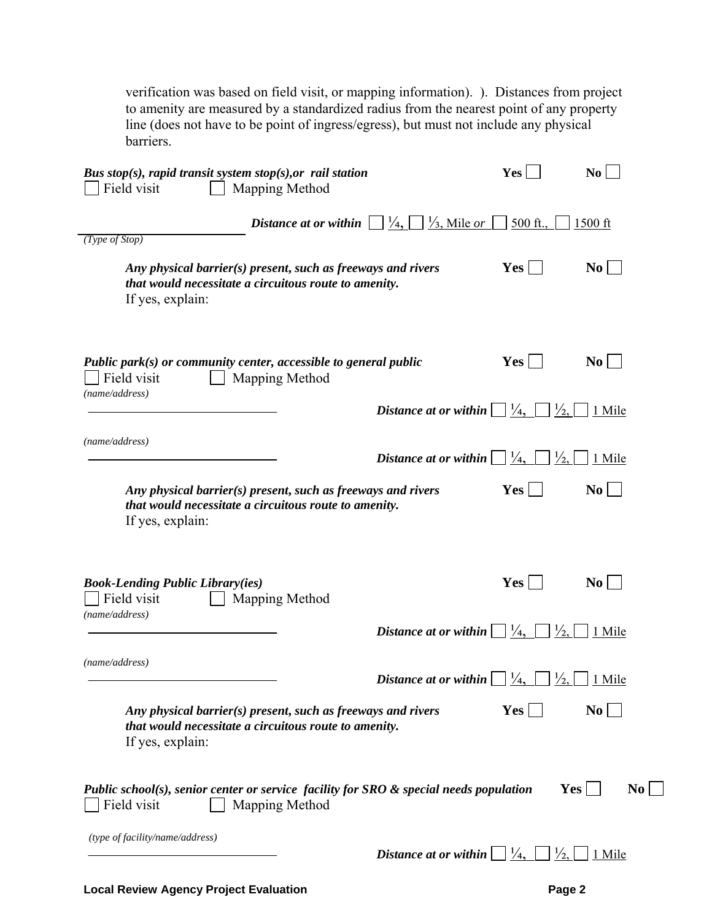verification was based on field visit, or mapping information). ). Distances from project to amenity are measured by a standardized radius from the nearest point of any property line (does not have to be point of ingress/egress), but must not include any physical barriers.

| Bus stop(s), rapid transit system stop(s), or rail station<br>Field visit<br>Mapping Method                                               |                                                     | Yes                            | N <sub>0</sub> |
|-------------------------------------------------------------------------------------------------------------------------------------------|-----------------------------------------------------|--------------------------------|----------------|
| Distance at or within<br>(Type of Stop)                                                                                                   | $\frac{1}{4}$<br>$\frac{1}{3}$ , Mile or            | $500$ ft.,                     | $1500$ ft      |
| Any physical barrier(s) present, such as freeways and rivers<br>that would necessitate a circuitous route to amenity.<br>If yes, explain: |                                                     | Yes                            | $\bf{No}$      |
| Public park $(s)$ or community center, accessible to general public<br>Field visit<br>Mapping Method<br>(name/address)                    |                                                     | Yes                            | $\bf{No}$      |
|                                                                                                                                           | Distance at or within                               | $\frac{1}{4}$<br>$\frac{1}{2}$ | 1 Mile         |
| (name/address)                                                                                                                            | Distance at or within                               | $\frac{1}{4}$<br>$\frac{1}{2}$ | 1 Mile         |
| Any physical barrier(s) present, such as freeways and rivers<br>that would necessitate a circuitous route to amenity.<br>If yes, explain: |                                                     | $Yes$                          | $\bf{No}$      |
| <b>Book-Lending Public Library(ies)</b><br>Field visit<br>Mapping Method<br>(name/address)                                                |                                                     | <b>Yes</b>                     | $\bf{No}$      |
|                                                                                                                                           | Distance at or within $\vert$                       | $\frac{1}{4}$<br>$\frac{1}{2}$ | 1 Mile         |
| (name/address)                                                                                                                            | Distance at or within $\vert \vert^{1/4}$ ,         | $\frac{1}{2}$                  | 1 Mile         |
| Any physical barrier(s) present, such as freeways and rivers<br>that would necessitate a circuitous route to amenity.<br>If yes, explain: |                                                     | Yes                            | $\bf{No}$      |
| Public school(s), senior center or service facility for SRO $\&$ special needs population<br>Field visit<br>Mapping Method                |                                                     | Yes                            | N <sub>0</sub> |
| (type of facility/name/address)                                                                                                           | Distance at or within $\Box$ $\frac{1}{4}$ , $\Box$ | $\frac{1}{2}$                  | 1 Mile         |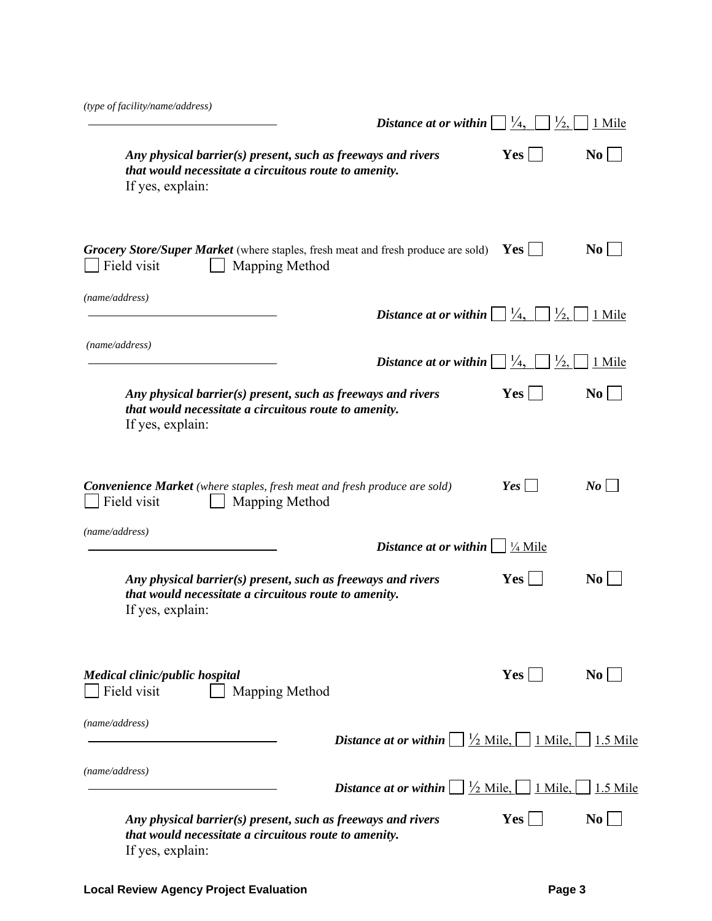| (type of facility/name/address)                                                                                                           | Distance at or within                                     | $\frac{1}{4}$<br>$\frac{1}{2}$ | 1 Mile         |
|-------------------------------------------------------------------------------------------------------------------------------------------|-----------------------------------------------------------|--------------------------------|----------------|
| Any physical barrier(s) present, such as freeways and rivers<br>that would necessitate a circuitous route to amenity.<br>If yes, explain: |                                                           | Yes                            | N <sub>0</sub> |
| Grocery Store/Super Market (where staples, fresh meat and fresh produce are sold)<br>Field visit<br>Mapping Method                        |                                                           | Yes                            | N <sub>0</sub> |
| (name/address)                                                                                                                            |                                                           |                                |                |
|                                                                                                                                           | Distance at or within $\Box$ $\frac{1}{4}$ ,              | $\frac{1}{2}$                  | 1 Mile         |
| (name/address)                                                                                                                            | Distance at or within $  \cdot  $                         | $\frac{1}{4}$<br>$\frac{1}{2}$ | 1 Mile         |
| Any physical barrier(s) present, such as freeways and rivers<br>that would necessitate a circuitous route to amenity.<br>If yes, explain: |                                                           | Yes <sup>1</sup>               | N <sub>0</sub> |
| <b>Convenience Market</b> (where staples, fresh meat and fresh produce are sold)<br>Field visit<br>Mapping Method                         |                                                           | Yes                            | $N$ o          |
| (name/address)                                                                                                                            | Distance at or within $\vert$                             | $\frac{1}{4}$ Mile             |                |
| Any physical barrier(s) present, such as freeways and rivers<br>that would necessitate a circuitous route to amenity.<br>If yes, explain: |                                                           | <b>Yes</b>                     | N <sub>0</sub> |
| <b>Medical clinic/public hospital</b><br>Field visit<br>Mapping Method                                                                    |                                                           | Yes                            | N <sub>0</sub> |
| (name/address)                                                                                                                            | <b>Distance at or within</b> $ \frac{1}{2}$ Mile, 1 Mile, |                                | 1.5 Mile       |
| (name/address)                                                                                                                            | <b>Distance at or within</b> $ \frac{1}{2}$ Mile, 1 Mile, |                                | 1.5 Mile       |
| Any physical barrier(s) present, such as freeways and rivers<br>that would necessitate a circuitous route to amenity.<br>If yes, explain: |                                                           | <b>Yes</b>                     | N <sub>0</sub> |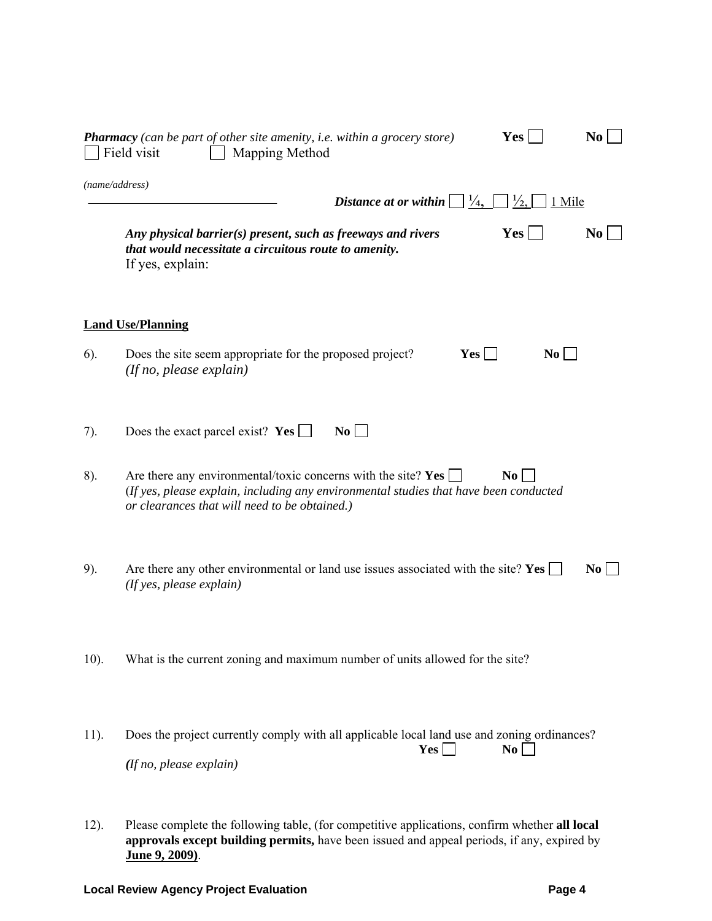|         | <b>Pharmacy</b> (can be part of other site amenity, i.e. within a grocery store)<br>Field visit<br>Mapping Method                                                                                         | <b>Yes</b>              | N <sub>0</sub> |
|---------|-----------------------------------------------------------------------------------------------------------------------------------------------------------------------------------------------------------|-------------------------|----------------|
|         | (name/address)<br>$\frac{1}{4}$<br>Distance at or within                                                                                                                                                  | $\frac{1}{2}$<br>1 Mile |                |
|         | Any physical barrier(s) present, such as freeways and rivers<br>that would necessitate a circuitous route to amenity.<br>If yes, explain:                                                                 | Yes                     | N <sub>0</sub> |
|         | <b>Land Use/Planning</b>                                                                                                                                                                                  |                         |                |
| 6).     | Yes<br>Does the site seem appropriate for the proposed project?<br>(If no, please explain)                                                                                                                | $\bf{No}$               |                |
| 7).     | Does the exact parcel exist? Yes [<br>$\bf{No}$                                                                                                                                                           |                         |                |
| 8).     | Are there any environmental/toxic concerns with the site? Yes [<br>(If yes, please explain, including any environmental studies that have been conducted<br>or clearances that will need to be obtained.) | No.                     |                |
| 9).     | Are there any other environmental or land use issues associated with the site? Yes $\Box$<br>(If yes, please explain)                                                                                     |                         | N <sub>0</sub> |
| $10$ ). | What is the current zoning and maximum number of units allowed for the site?                                                                                                                              |                         |                |
| 11).    | Does the project currently comply with all applicable local land use and zoning ordinances?<br>Yes  <br>(If no, please explain)                                                                           | No                      |                |

12). Please complete the following table, (for competitive applications, confirm whether **all local approvals except building permits,** have been issued and appeal periods, if any, expired by **June 9, 2009)**.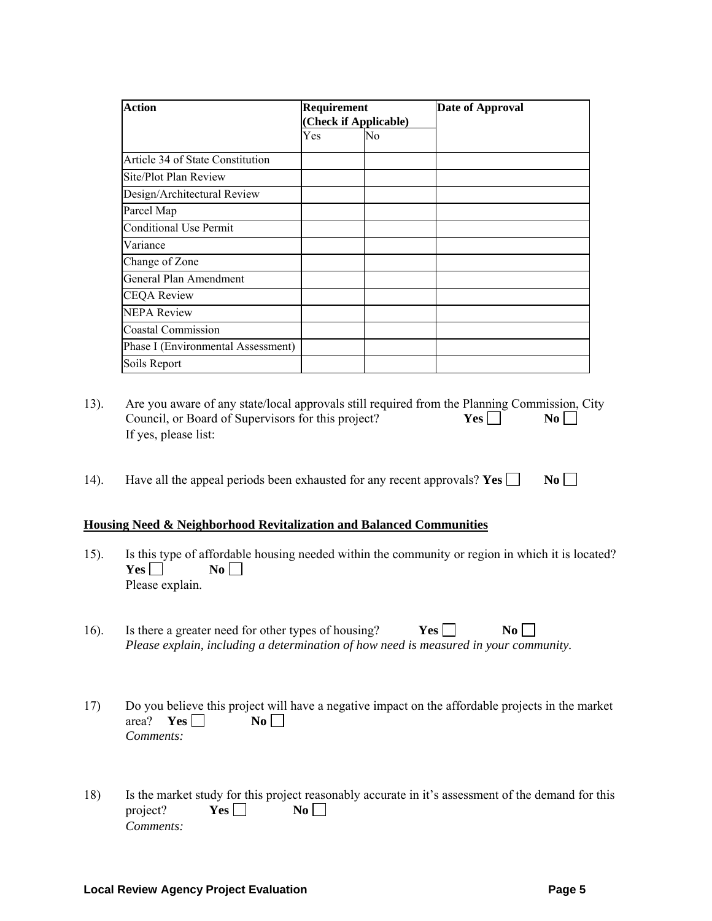| <b>Action</b>                      | Requirement<br>(Check if Applicable) |    | <b>Date of Approval</b> |
|------------------------------------|--------------------------------------|----|-------------------------|
|                                    | Yes                                  | No |                         |
| Article 34 of State Constitution   |                                      |    |                         |
| Site/Plot Plan Review              |                                      |    |                         |
| Design/Architectural Review        |                                      |    |                         |
| Parcel Map                         |                                      |    |                         |
| <b>Conditional Use Permit</b>      |                                      |    |                         |
| Variance                           |                                      |    |                         |
| Change of Zone                     |                                      |    |                         |
| General Plan Amendment             |                                      |    |                         |
| <b>CEQA Review</b>                 |                                      |    |                         |
| <b>NEPA Review</b>                 |                                      |    |                         |
| <b>Coastal Commission</b>          |                                      |    |                         |
| Phase I (Environmental Assessment) |                                      |    |                         |
| Soils Report                       |                                      |    |                         |

- 13). Are you aware of any state/local approvals still required from the Planning Commission, City Council, or Board of Supervisors for this project? **Yes**  $\Box$  **No**  $\Box$ If yes, please list:
- 14). Have all the appeal periods been exhausted for any recent approvals? **Yes**  $\Box$  **No**  $\Box$

#### **Housing Need & Neighborhood Revitalization and Balanced Communities**

- 15). Is this type of affordable housing needed within the community or region in which it is located?  $Yes \Box$  No  $\Box$ Please explain.
- 16). Is there a greater need for other types of housing? **Yes No No** *Please explain, including a determination of how need is measured in your community.*
- 17) Do you believe this project will have a negative impact on the affordable projects in the market area? **Yes**  $\Box$  **No**  $\Box$ *Comments:*
- 18) Is the market study for this project reasonably accurate in it's assessment of the demand for this project? **Yes**  $\Box$  **No**  $\Box$ *Comments:*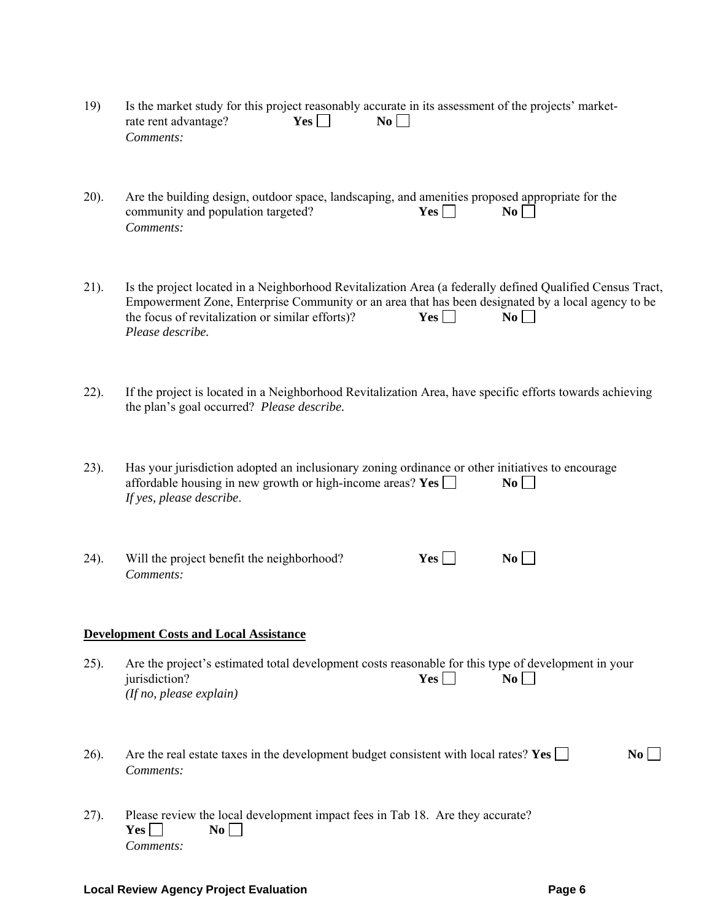| 19) | Is the market study for this project reasonably accurate in its assessment of the projects' market- |                    |                  |  |  |
|-----|-----------------------------------------------------------------------------------------------------|--------------------|------------------|--|--|
|     | rate rent advantage?                                                                                | $Yes \mid \; \;  $ | $\overline{N_0}$ |  |  |
|     | Comments:                                                                                           |                    |                  |  |  |

20). Are the building design, outdoor space, landscaping, and amenities proposed appropriate for the community and population targeted?  $Yes \nightharpoonup No \nightharpoonup No$ community and population targeted?  $Yes \Box$ *Comments:*

21). Is the project located in a Neighborhood Revitalization Area (a federally defined Qualified Census Tract, Empowerment Zone, Enterprise Community or an area that has been designated by a local agency to be the focus of revitalization or similar efforts)?  $Yes \Box$   $No \Box$ the focus of revitalization or similar efforts)?  $Yes \Box$ *Please describe.* 

22). If the project is located in a Neighborhood Revitalization Area, have specific efforts towards achieving the plan's goal occurred? *Please describe.*

23). Has your jurisdiction adopted an inclusionary zoning ordinance or other initiatives to encourage affordable housing in new growth or high-income areas?  $Yes$   $\Box$   $\bf{No}$ *If yes, please describe*.

24). Will the project benefit the neighborhood? **Yes**  $\Box$  **No**  $\Box$ *Comments:*

#### **Development Costs and Local Assistance**

25). Are the project's estimated total development costs reasonable for this type of development in your  $\alpha$  iurisdiction? **Yes**  $\Box$  **No**  $\Box$ *(If no, please explain)* 

26). Are the real estate taxes in the development budget consistent with local rates? **Yes**  $\Box$  **No**  $\Box$ *Comments:*

27). Please review the local development impact fees in Tab 18. Are they accurate?  $Yes \Box$  No  $\Box$ *Comments:*

#### **Local Review Agency Project Evaluation Contract Contract Page 6 Page 6**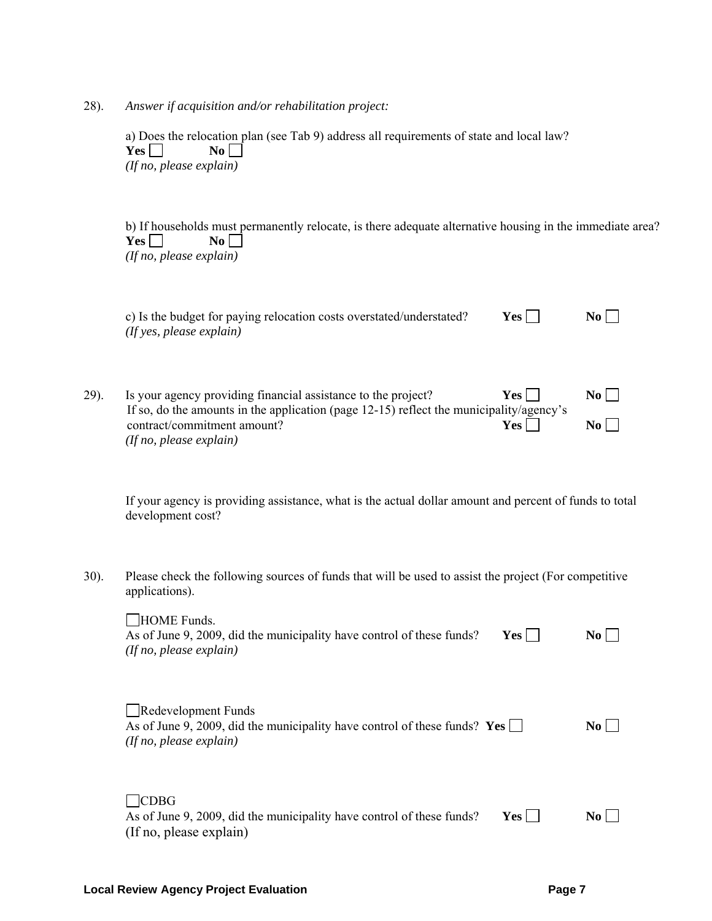28). *Answer if acquisition and/or rehabilitation project:*

 a) Does the relocation plan (see Tab 9) address all requirements of state and local law?  $Yes \Box$  No  $\Box$ *(If no, please explain)* 

 b) If households must permanently relocate, is there adequate alternative housing in the immediate area?  $Yes \Box$  No  $\Box$ *(If no, please explain)* 

|      | c) Is the budget for paying relocation costs overstated/understated?<br>$($ If yes, please explain $)$      | Yes                     | No L      |
|------|-------------------------------------------------------------------------------------------------------------|-------------------------|-----------|
| 29). | Is your agency providing financial assistance to the project?<br>TO 1 1 200 1 1 200 10 10 10 10 10 10 10 11 | $Yes \perp$<br>$\cdots$ | $\bf{No}$ |

| 49 I. | is your agency providing financial assistance to the project?                           | 1 es 1 | 1NO 1            |
|-------|-----------------------------------------------------------------------------------------|--------|------------------|
|       | If so, do the amounts in the application (page 12-15) reflect the municipality/agency's |        |                  |
|       | contract/commitment amount?                                                             | Yes    | $\overline{N_0}$ |
|       | $($ <i>If no, please explain</i> $)$                                                    |        |                  |

 If your agency is providing assistance, what is the actual dollar amount and percent of funds to total development cost?

30). Please check the following sources of funds that will be used to assist the project (For competitive applications).

| <b>HOME Funds.</b><br>As of June 9, 2009, did the municipality have control of these funds?<br>Yes  <br>(If no, please explain) | No.       |
|---------------------------------------------------------------------------------------------------------------------------------|-----------|
| Redevelopment Funds<br>As of June 9, 2009, did the municipality have control of these funds? Yes<br>(If no, please explain)     | No.       |
| <b>CDBG</b><br>As of June 9, 2009, did the municipality have control of these funds?<br>Yes  <br>(If no, please explain)        | $\bf{No}$ |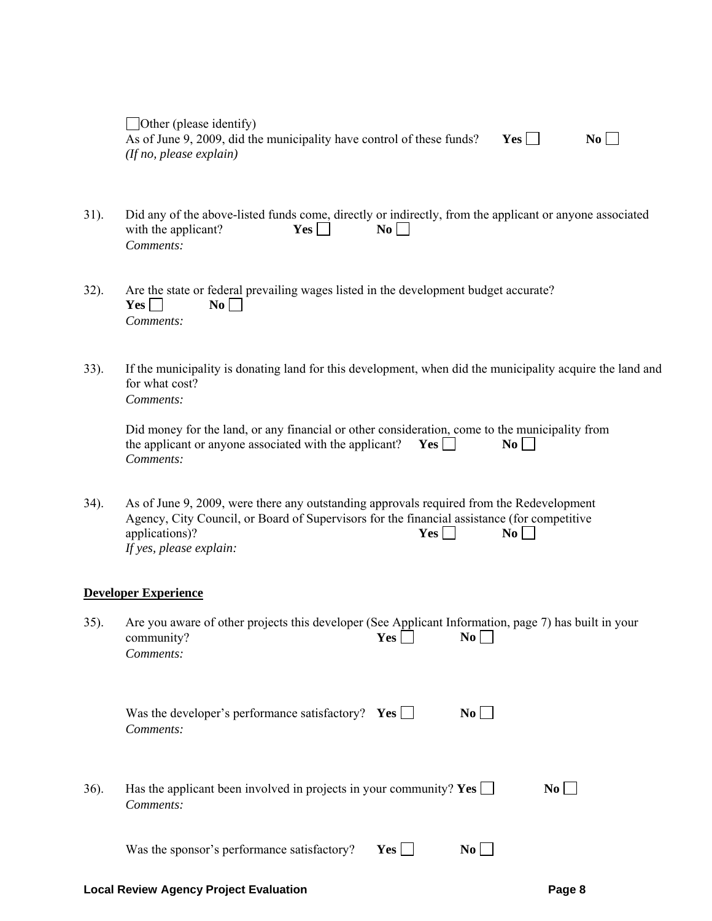| Other (please identify)                                               |     |                  |
|-----------------------------------------------------------------------|-----|------------------|
| As of June 9, 2009, did the municipality have control of these funds? | Yes | $\overline{N_0}$ |
| (If no, please explain)                                               |     |                  |

- 31). Did any of the above-listed funds come, directly or indirectly, from the applicant or anyone associated with the applicant? **Yes**  $\Box$  **No**  $\Box$ *Comments:*
- 32). Are the state or federal prevailing wages listed in the development budget accurate?  $Yes \Box$  No  $\Box$ *Comments:*
- 33). If the municipality is donating land for this development, when did the municipality acquire the land and for what cost? *Comments:*

| Did money for the land, or any financial or other consideration, come to the municipality from |     |                  |
|------------------------------------------------------------------------------------------------|-----|------------------|
| the applicant or anyone associated with the applicant?                                         | Yes | $\overline{N_0}$ |
| Comments:                                                                                      |     |                  |

34). As of June 9, 2009, were there any outstanding approvals required from the Redevelopment Agency, City Council, or Board of Supervisors for the financial assistance (for competitive applications)?<br> **Yes**  $\Box$  **No** applications)?  $Yes \Box$  No  $\Box$ *If yes, please explain:* 

#### **Developer Experience**

| $35$ ). | Are you aware of other projects this developer (See Applicant Information, page 7) has built in your |     |           |  |
|---------|------------------------------------------------------------------------------------------------------|-----|-----------|--|
|         | community?                                                                                           | Yes | $\bf{No}$ |  |
|         | Comments:                                                                                            |     |           |  |

| Was the developer's performance satisfactory? $\text{Yes} \Box$ | No |
|-----------------------------------------------------------------|----|
| Comments:                                                       |    |

36). Has the applicant been involved in projects in your community? **Yes**  $\Box$  **No**  $\Box$ *Comments:*

Was the sponsor's performance satisfactory? **Yes**  $\Box$  **No**  $\Box$ 

#### **Local Review Agency Project Evaluation Page 8**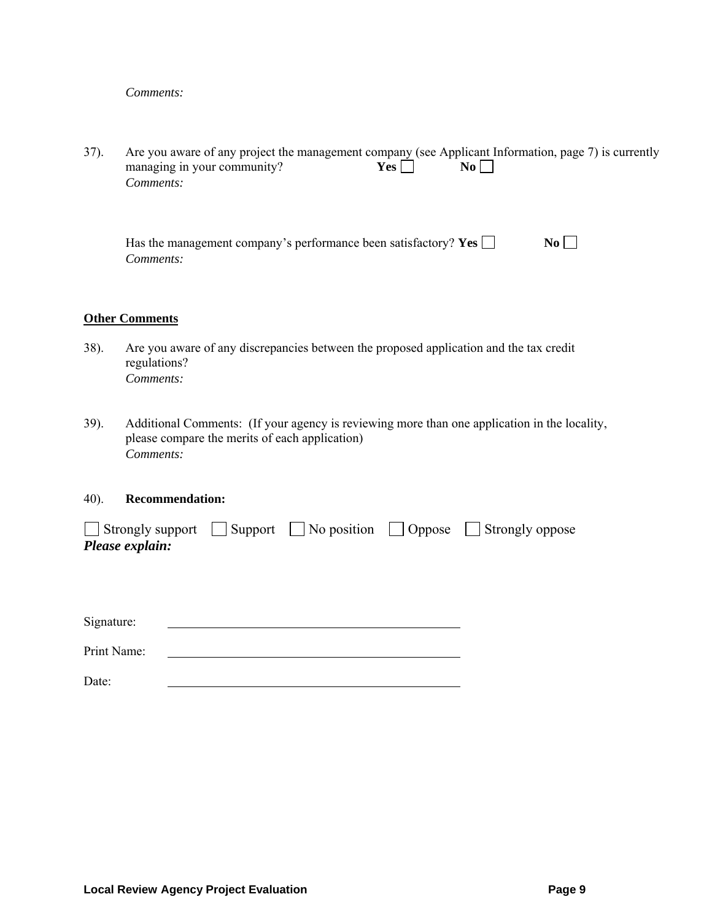## *Comments:*

37). Are you aware of any project the management company (see Applicant Information, page 7) is currently managing in your community?  $Yes \Box \qquad \text{No} \Box$ managing in your community?  $Yes \Box$  No  $\Box$  *Comments:*

| Has the management company's performance been satisfactory? Yes $\Box$ | $\overline{N_0}$ |
|------------------------------------------------------------------------|------------------|
| Comments:                                                              |                  |

#### **Other Comments**

- 38). Are you aware of any discrepancies between the proposed application and the tax credit regulations?  *Comments:*
- 39). Additional Comments: (If your agency is reviewing more than one application in the locality, please compare the merits of each application)  *Comments:*

#### 40). **Recommendation:**

|                 |  | $\Box$ Strongly support $\Box$ Support $\Box$ No position $\Box$ Oppose $\Box$ Strongly oppose |
|-----------------|--|------------------------------------------------------------------------------------------------|
| Please explain: |  |                                                                                                |

Signature:

Print Name:

Date: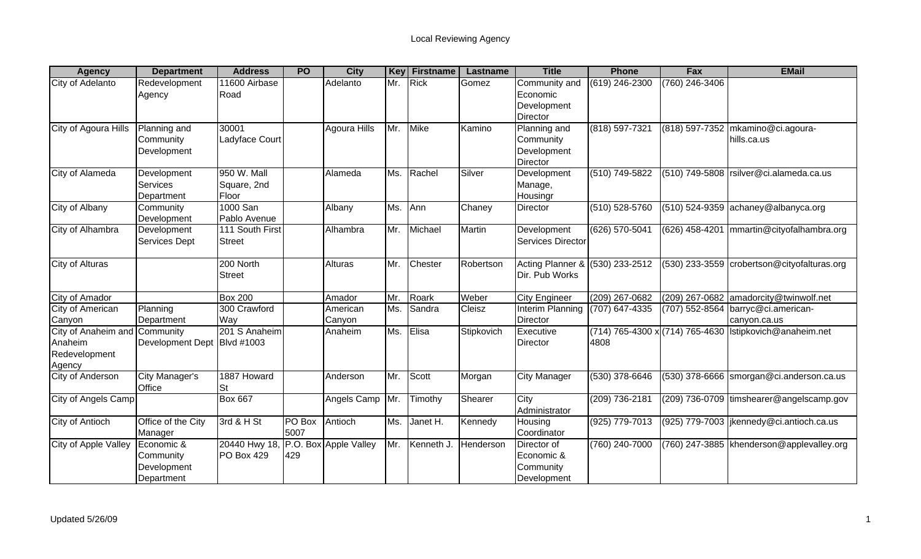| <b>Agency</b>                                                       | <b>Department</b>                                    | <b>Address</b>                      | <b>PO</b>      | <b>City</b>           |     | <b>Key Firstname</b> | Lastname   | <b>Title</b>                                                | <b>Phone</b>                            | Fax            | <b>EMail</b>                                       |
|---------------------------------------------------------------------|------------------------------------------------------|-------------------------------------|----------------|-----------------------|-----|----------------------|------------|-------------------------------------------------------------|-----------------------------------------|----------------|----------------------------------------------------|
| City of Adelanto                                                    | Redevelopment<br>Agency                              | 11600 Airbase<br>Road               |                | Adelanto              | Mr. | Rick                 | Gomez      | Community and<br>Economic<br>Development<br><b>Director</b> | (619) 246-2300                          | (760) 246-3406 |                                                    |
| City of Agoura Hills                                                | Planning and<br>Community<br>Development             | 30001<br>Ladyface Court             |                | Agoura Hills          | Mr. | Mike                 | Kamino     | Planning and<br>Community<br>Development<br><b>Director</b> | (818) 597-7321                          |                | (818) 597-7352 mkamino@ci.agoura-<br>hills.ca.us   |
| City of Alameda                                                     | Development<br><b>Services</b><br>Department         | 950 W. Mall<br>Square, 2nd<br>Floor |                | Alameda               | Ms. | Rachel               | Silver     | Development<br>Manage,<br>Housingr                          | (510) 749-5822                          |                | $(510)$ 749-5808 rsilver@ci.alameda.ca.us          |
| City of Albany                                                      | Community<br>Development                             | 1000 San<br>Pablo Avenue            |                | Albany                | Ms. | Ann                  | Chaney     | Director                                                    | (510) 528-5760                          |                | $(510)$ 524-9359 achaney@albanyca.org              |
| City of Alhambra                                                    | Development<br><b>Services Dept</b>                  | 111 South First<br><b>Street</b>    |                | Alhambra              | Mr. | Michael              | Martin     | Development<br>Services Director                            | (626) 570-5041                          | (626) 458-4201 | mmartin@cityofalhambra.org                         |
| City of Alturas                                                     |                                                      | 200 North<br><b>Street</b>          |                | Alturas               | Mr. | Chester              | Robertson  | Acting Planner & (530) 233-2512<br>Dir. Pub Works           |                                         |                | (530) 233-3559 crobertson@cityofalturas.org        |
| City of Amador                                                      |                                                      | <b>Box 200</b>                      |                | Amador                | Mr. | Roark                | Weber      | <b>City Engineer</b>                                        | (209) 267-0682                          |                | (209) 267-0682 amadorcity@twinwolf.net             |
| City of American<br>Canyon                                          | Planning<br>Department                               | 300 Crawford<br>Way                 |                | American<br>Canyon    | Ms. | Sandra               | Cleisz     | Interim Planning<br><b>Director</b>                         | (707) 647-4335                          |                | (707) 552-8564 barryc@ci.american-<br>canyon.ca.us |
| City of Anaheim and Community<br>Anaheim<br>Redevelopment<br>Agency | Development Dept Blvd #1003                          | 201 S Anaheim                       |                | Anaheim               | Ms. | Elisa                | Stipkovich | Executive<br><b>Director</b>                                | (714) 765-4300 x (714) 765-4630<br>4808 |                | Istipkovich@anaheim.net                            |
| City of Anderson                                                    | City Manager's<br>Office                             | 1887 Howard<br><b>St</b>            |                | Anderson              | Mr. | Scott                | Morgan     | <b>City Manager</b>                                         | $(530)$ 378-6646                        |                | (530) 378-6666 smorgan@ci.anderson.ca.us           |
| City of Angels Camp                                                 |                                                      | <b>Box 667</b>                      |                | Angels Camp           | Mr. | Timothy              | Shearer    | City<br>Administrator                                       | $(209) 736 - 2181$                      |                | (209) 736-0709 timshearer@angelscamp.gov           |
| City of Antioch                                                     | Office of the City<br>Manager                        | 3rd & H St                          | PO Box<br>5007 | Antioch               | Ms. | Janet H.             | Kennedy    | Housing<br>Coordinator                                      | (925) 779-7013                          |                | (925) 779-7003   jkennedy@ci.antioch.ca.us         |
| City of Apple Valley                                                | Economic &<br>Community<br>Development<br>Department | 20440 Hwy 18,<br>PO Box 429         | 429            | P.O. Box Apple Valley |     | Mr. Kenneth J.       | Henderson  | Director of<br>Economic &<br>Community<br>Development       | (760) 240-7000                          |                | (760) 247-3885   khenderson@applevalley.org        |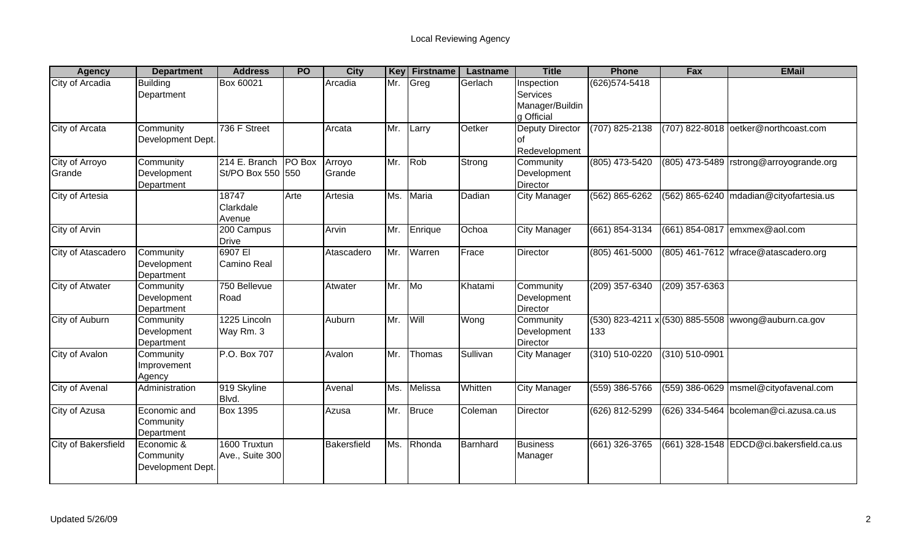| <b>Agency</b>            | <b>Department</b>                            | <b>Address</b>                              | <b>PO</b> | <b>City</b>      | Key | <b>Firstname</b> | <b>Lastname</b> | <b>Title</b>                                            | <b>Phone</b>       | <b>Fax</b>       | <b>EMail</b>                                        |
|--------------------------|----------------------------------------------|---------------------------------------------|-----------|------------------|-----|------------------|-----------------|---------------------------------------------------------|--------------------|------------------|-----------------------------------------------------|
| City of Arcadia          | <b>Building</b><br>Department                | Box 60021                                   |           | Arcadia          | Mr. | Greg             | Gerlach         | Inspection<br>Services<br>Manager/Buildin<br>g Official | (626) 574-5418     |                  |                                                     |
| City of Arcata           | Community<br>Development Dept.               | 736 F Street                                |           | Arcata           | Mr. | Larry            | Oetker          | Deputy Director<br>Redevelopment                        | (707) 825-2138     |                  | (707) 822-8018 oetker@northcoast.com                |
| City of Arroyo<br>Grande | Community<br>Development<br>Department       | 214 E. Branch   PO Box<br>St/PO Box 550 550 |           | Arroyo<br>Grande | Mr. | Rob              | Strong          | Community<br>Development<br>Director                    | (805) 473-5420     | (805) 473-5489   | rstrong@arroyogrande.org                            |
| City of Artesia          |                                              | 18747<br>Clarkdale<br>Avenue                | Arte      | Artesia          | Ms. | Maria            | Dadian          | <b>City Manager</b>                                     | (562) 865-6262     | (562) 865-6240   | mdadian@cityofartesia.us                            |
| City of Arvin            |                                              | 200 Campus<br><b>Drive</b>                  |           | Arvin            | Mr. | Enrique          | Ochoa           | <b>City Manager</b>                                     | (661) 854-3134     | (661) 854-0817   | emxmex@aol.com                                      |
| City of Atascadero       | Community<br>Development<br>Department       | 6907 EI<br><b>Camino Real</b>               |           | Atascadero       | Mr. | Warren           | Frace           | Director                                                | (805) 461-5000     |                  | $(805)$ 461-7612 wfrace@atascadero.org              |
| <b>City of Atwater</b>   | Community<br>Development<br>Department       | 750 Bellevue<br>Road                        |           | Atwater          | Mr. | M <sub>o</sub>   | Khatami         | Community<br>Development<br>Director                    | $(209)$ 357-6340   | $(209)$ 357-6363 |                                                     |
| City of Auburn           | Community<br>Development<br>Department       | 1225 Lincoln<br>Way Rm. 3                   |           | Auburn           | Mr. | Will             | Wong            | Community<br>Development<br>Director                    | 133                |                  | (530) 823-4211 x (530) 885-5508 wwong@auburn.ca.gov |
| City of Avalon           | Community<br>Improvement<br>Agency           | P.O. Box 707                                |           | Avalon           | Mr. | Thomas           | Sullivan        | <b>City Manager</b>                                     | $(310) 510 - 0220$ | (310) 510-0901   |                                                     |
| <b>City of Avenal</b>    | Administration                               | 919 Skyline<br>Blvd.                        |           | Avenal           | Ms. | Melissa          | Whitten         | <b>City Manager</b>                                     | $(559)$ 386-5766   | $(559)$ 386-0629 | msmel@cityofavenal.com                              |
| City of Azusa            | Economic and<br>Community<br>Department      | <b>Box 1395</b>                             |           | Azusa            | Mr. | Bruce            | Coleman         | Director                                                | (626) 812-5299     |                  | (626) 334-5464 bcoleman@ci.azusa.ca.us              |
| City of Bakersfield      | Economic &<br>Community<br>Development Dept. | 1600 Truxtun<br>Ave., Suite 300             |           | Bakersfield      | Ms. | Rhonda           | Barnhard        | <b>Business</b><br>Manager                              | (661) 326-3765     |                  | (661) 328-1548 EDCD@ci.bakersfield.ca.us            |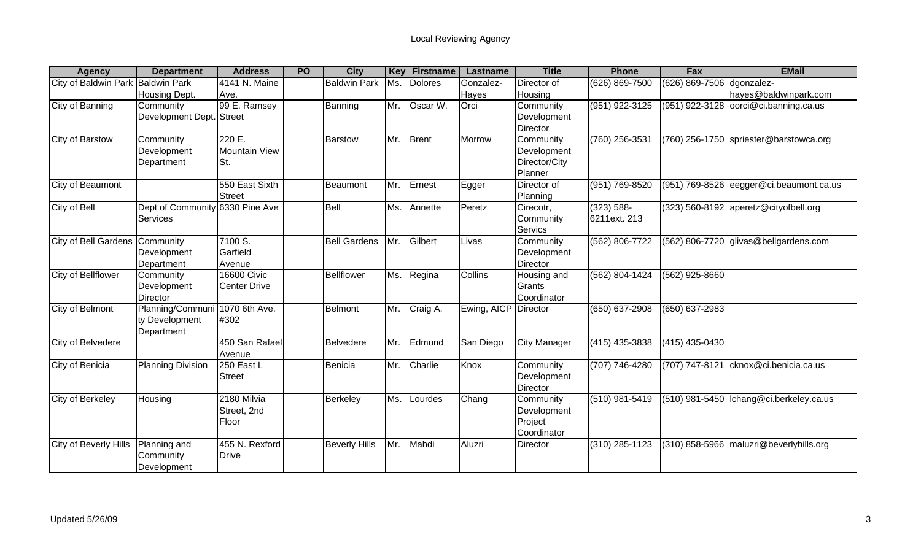| <b>Agency</b>                     | <b>Department</b>               | <b>Address</b>      | <b>PO</b> | <b>City</b>          | Key | <b>Firstname</b>       | Lastname             | <b>Title</b>        | <b>Phone</b>       | Fax                         | <b>EMail</b>                              |
|-----------------------------------|---------------------------------|---------------------|-----------|----------------------|-----|------------------------|----------------------|---------------------|--------------------|-----------------------------|-------------------------------------------|
| City of Baldwin Park Baldwin Park |                                 | 4141 N. Maine       |           | <b>Baldwin Park</b>  | Ms. | <b>Dolores</b>         | Gonzalez-            | Director of         | (626) 869-7500     | (626) 869-7506              | dgonzalez-                                |
|                                   | Housing Dept.                   | Ave.                |           |                      |     |                        | <b>Hayes</b>         | Housing             |                    |                             | hayes@baldwinpark.com                     |
| City of Banning                   | Community                       | 99 E. Ramsey        |           | Banning              | Mr. | Oscar $\overline{W}$ . | Orci                 | Community           | $(951) 922 - 3125$ | (951) 922-3128              | oorci@ci.banning.ca.us                    |
|                                   | Development Dept. Street        |                     |           |                      |     |                        |                      | Development         |                    |                             |                                           |
|                                   |                                 |                     |           |                      |     |                        |                      | Director            |                    |                             |                                           |
| <b>City of Barstow</b>            | Community                       | 220 E.              |           | <b>Barstow</b>       | Mr. | <b>Brent</b>           | Morrow               | Community           | (760) 256-3531     |                             | (760) 256-1750 spriester@barstowca.org    |
|                                   | Development                     | Mountain View       |           |                      |     |                        |                      | Development         |                    |                             |                                           |
|                                   | Department                      | St.                 |           |                      |     |                        |                      | Director/City       |                    |                             |                                           |
|                                   |                                 |                     |           |                      |     |                        |                      | Planner             |                    |                             |                                           |
| City of Beaumont                  |                                 | 550 East Sixth      |           | Beaumont             | Mr. | Ernest                 | Egger                | Director of         | (951) 769-8520     | $\overline{(951)}$ 769-8526 | eegger@ci.beaumont.ca.us                  |
|                                   |                                 | <b>Street</b>       |           |                      |     |                        |                      | Planning            |                    |                             |                                           |
| City of Bell                      | Dept of Community 6330 Pine Ave |                     |           | Bell                 | Ms. | Annette                | Peretz               | Cirecotr,           | $(323) 588 -$      |                             | $(323)$ 560-8192 aperetz@cityofbell.org   |
|                                   | <b>Services</b>                 |                     |           |                      |     |                        |                      | Community           | 6211ext. 213       |                             |                                           |
|                                   |                                 |                     |           |                      |     |                        |                      | Servics             |                    |                             |                                           |
| City of Bell Gardens Community    |                                 | 7100 S.             |           | <b>Bell Gardens</b>  | Mr. | Gilbert                | Livas                | Community           | (562) 806-7722     |                             | (562) 806-7720 glivas@bellgardens.com     |
|                                   | Development                     | Garfield            |           |                      |     |                        |                      | Development         |                    |                             |                                           |
|                                   | Department                      | Avenue              |           |                      |     |                        |                      | Director            |                    |                             |                                           |
| City of Bellflower                | Community                       | <b>16600 Civic</b>  |           | <b>Bellflower</b>    | Ms. | Regina                 | Collins              | Housing and         | (562) 804-1424     | (562) 925-8660              |                                           |
|                                   | Development                     | <b>Center Drive</b> |           |                      |     |                        |                      | Grants              |                    |                             |                                           |
|                                   | <b>Director</b>                 |                     |           |                      |     |                        |                      | Coordinator         |                    |                             |                                           |
| City of Belmont                   | Planning/Communi                | 1070 6th Ave.       |           | <b>Belmont</b>       | Mr. | Craig A.               | Ewing, AICP Director |                     | $(650) 637 - 2908$ | $(650) 637 - 2983$          |                                           |
|                                   | ty Development                  | #302                |           |                      |     |                        |                      |                     |                    |                             |                                           |
|                                   | Department                      |                     |           |                      |     |                        |                      |                     |                    |                             |                                           |
| City of Belvedere                 |                                 | 450 San Rafael      |           | Belvedere            | Mr. | Edmund                 | San Diego            | <b>City Manager</b> | $(415)$ 435-3838   | $(415)$ 435-0430            |                                           |
|                                   |                                 | Avenue              |           |                      |     |                        |                      |                     |                    |                             |                                           |
| City of Benicia                   | <b>Planning Division</b>        | 250 East $L$        |           | Benicia              | Mr. | Charlie                | Knox                 | Community           | (707) 746-4280     | (707) 747-8121              | cknox@ci.benicia.ca.us                    |
|                                   |                                 | <b>Street</b>       |           |                      |     |                        |                      | Development         |                    |                             |                                           |
|                                   |                                 |                     |           |                      |     |                        |                      | <b>Director</b>     |                    |                             |                                           |
| City of Berkeley                  | Housing                         | 2180 Milvia         |           | Berkeley             | Ms. | Lourdes                | Chang                | Community           | $(510)$ 981-5419   |                             | (510) 981-5450   Ichang@ci.berkeley.ca.us |
|                                   |                                 | Street, 2nd         |           |                      |     |                        |                      | Development         |                    |                             |                                           |
|                                   |                                 | Floor               |           |                      |     |                        |                      | Project             |                    |                             |                                           |
|                                   |                                 |                     |           |                      |     |                        |                      | Coordinator         |                    |                             |                                           |
| City of Beverly Hills             | Planning and                    | 455 N. Rexford      |           | <b>Beverly Hills</b> | Mr. | Mahdi                  | Aluzri               | Director            | (310) 285-1123     |                             | (310) 858-5966   maluzri@beverlyhills.org |
|                                   | Community                       | <b>Drive</b>        |           |                      |     |                        |                      |                     |                    |                             |                                           |
|                                   | Development                     |                     |           |                      |     |                        |                      |                     |                    |                             |                                           |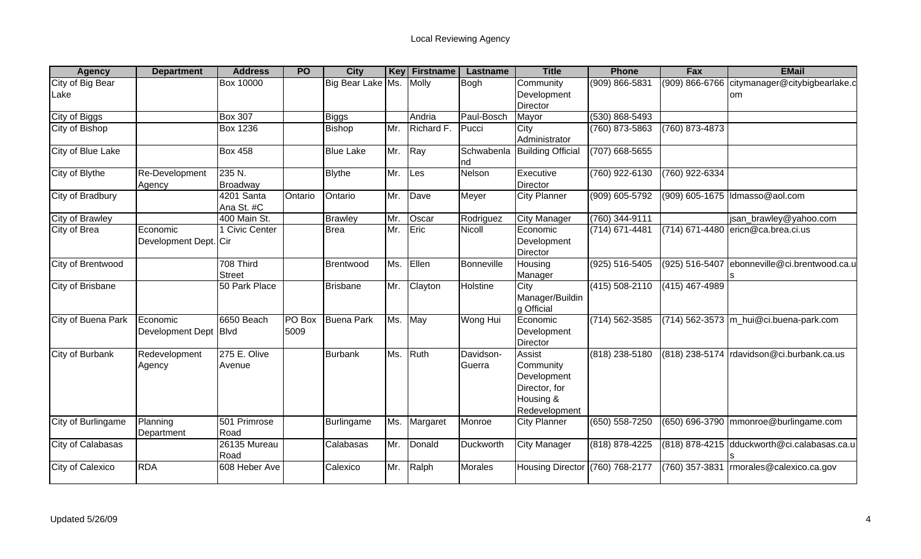| <b>Agency</b>            | <b>Department</b>                 | <b>Address</b>             | <b>PO</b>      | <b>City</b>       | <b>Key</b> | <b>Firstname</b> | Lastname            | <b>Title</b>                                                                             | <b>Phone</b>       | Fax              | <b>EMail</b>                                                  |
|--------------------------|-----------------------------------|----------------------------|----------------|-------------------|------------|------------------|---------------------|------------------------------------------------------------------------------------------|--------------------|------------------|---------------------------------------------------------------|
| City of Big Bear<br>Lake |                                   | <b>Box 10000</b>           |                | Big Bear Lake Ms. |            | Molly            | Bogh                | Community<br>Development<br>Director                                                     | (909) 866-5831     |                  | (909) 866-6766 citymanager@citybigbearlake.c<br><sub>om</sub> |
| <b>City of Biggs</b>     |                                   | <b>Box 307</b>             |                | <b>Biggs</b>      |            | Andria           | Paul-Bosch          | Mayor                                                                                    | $(530) 868 - 5493$ |                  |                                                               |
| City of Bishop           |                                   | <b>Box 1236</b>            |                | <b>Bishop</b>     | Mr.        | Richard F.       | Pucci               | City<br>Administrator                                                                    | (760) 873-5863     | (760) 873-4873   |                                                               |
| City of Blue Lake        |                                   | <b>Box 458</b>             |                | <b>Blue Lake</b>  | Mr.        | Ray              | Schwabenla<br>Ind   | <b>Building Official</b>                                                                 | (707) 668-5655     |                  |                                                               |
| City of Blythe           | Re-Development<br>Agency          | $235$ N.<br>Broadway       |                | <b>Blythe</b>     | Mr.        | Les              | Nelson              | Executive<br>Director                                                                    | (760) 922-6130     | (760) 922-6334   |                                                               |
| City of Bradbury         |                                   | 4201 Santa<br>Ana St. #C   | Ontario        | Ontario           | Mr.        | Dave             | Meyer               | <b>City Planner</b>                                                                      | (909) 605-5792     |                  | (909) 605-1675  Idmasso@aol.com                               |
| City of Brawley          |                                   | 400 Main St.               |                | <b>Brawley</b>    | Mr.        | Oscar            | Rodriguez           | <b>City Manager</b>                                                                      | $(760)$ 344-9111   |                  | jsan_brawley@yahoo.com                                        |
| City of Brea             | Economic<br>Development Dept. Cir | 1 Civic Center             |                | <b>Brea</b>       | Mr.        | Eric             | Nicoll              | Economic<br>Development<br>Director                                                      | (714) 671-4481     |                  | (714) 671-4480 ericn@ca.brea.ci.us                            |
| City of Brentwood        |                                   | 708 Third<br><b>Street</b> |                | Brentwood         | Ms.        | Ellen            | Bonneville          | Housing<br>Manager                                                                       | (925) 516-5405     | (925) 516-5407   | ebonneville@ci.brentwood.ca.u                                 |
| <b>City of Brisbane</b>  |                                   | 50 Park Place              |                | <b>Brisbane</b>   | Mr.        | Clayton          | Holstine            | City<br>Manager/Buildin<br>g Official                                                    | $(415) 508 - 2110$ | $(415)$ 467-4989 |                                                               |
| City of Buena Park       | Economic<br>Development Dept Blvd | 6650 Beach                 | PO Box<br>5009 | <b>Buena Park</b> | Ms.        | May              | Wong Hui            | Economic<br>Development<br>Director                                                      | $(714) 562 - 3585$ |                  | (714) 562-3573 m_hui@ci.buena-park.com                        |
| <b>City of Burbank</b>   | Redevelopment<br>Agency           | 275 E. Olive<br>Avenue     |                | <b>Burbank</b>    | Ms.        | Ruth             | Davidson-<br>Guerra | <b>Assist</b><br>Community<br>Development<br>Director, for<br>Housing &<br>Redevelopment | (818) 238-5180     |                  | (818) 238-5174 rdavidson@ci.burbank.ca.us                     |
| City of Burlingame       | Planning<br>Department            | 501 Primrose<br>Road       |                | Burlingame        | Ms.        | Margaret         | Monroe              | <b>City Planner</b>                                                                      | $(650) 558 - 7250$ |                  | (650) 696-3790 mmonroe@burlingame.com                         |
| City of Calabasas        |                                   | 26135 Mureau<br>Road       |                | Calabasas         | Mr.        | Donald           | Duckworth           | <b>City Manager</b>                                                                      | (818) 878-4225     |                  | (818) 878-4215 dduckworth@ci.calabasas.ca.u                   |
| City of Calexico         | <b>RDA</b>                        | 608 Heber Ave              |                | Calexico          | Mr.        | Ralph            | <b>Morales</b>      | Housing Director (760) 768-2177                                                          |                    | (760) 357-3831   | morales@calexico.ca.gov                                       |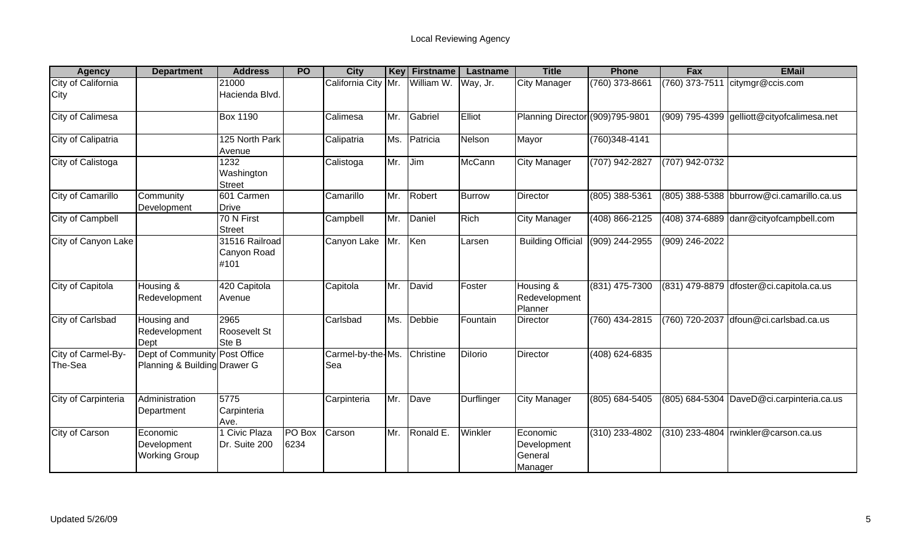| <b>Agency</b>                 | <b>Department</b>                                             | <b>Address</b>                        | <b>PO</b>      | <b>City</b>              | Key | <b>Firstname</b> | Lastname       | <b>Title</b>                                  | <b>Phone</b>   | <b>Fax</b>       | <b>EMail</b>                               |
|-------------------------------|---------------------------------------------------------------|---------------------------------------|----------------|--------------------------|-----|------------------|----------------|-----------------------------------------------|----------------|------------------|--------------------------------------------|
| City of California<br>City    |                                                               | 21000<br>Hacienda Blvd.               |                | California City Mr.      |     | William W.       | Way, Jr.       | <b>City Manager</b>                           | (760) 373-8661 | $(760)$ 373-7511 | citymgr@ccis.com                           |
| City of Calimesa              |                                                               | <b>Box 1190</b>                       |                | Calimesa                 | Mr. | Gabriel          | Elliot         | Planning Director (909)795-9801               |                |                  | (909) 795-4399 gelliott@cityofcalimesa.net |
| City of Calipatria            |                                                               | 125 North Park<br>Avenue              |                | Calipatria               | Ms. | Patricia         | Nelson         | Mayor                                         | (760)348-4141  |                  |                                            |
| City of Calistoga             |                                                               | 1232<br>Washington<br><b>Street</b>   |                | Calistoga                | Mr. | Jim              | <b>McCann</b>  | <b>City Manager</b>                           | (707) 942-2827 | (707) 942-0732   |                                            |
| City of Camarillo             | Community<br>Development                                      | 601 Carmen<br><b>Drive</b>            |                | Camarillo                | Mr. | Robert           | <b>Burrow</b>  | Director                                      | (805) 388-5361 |                  | (805) 388-5388 bburrow@ci.camarillo.ca.us  |
| City of Campbell              |                                                               | 70 N First<br><b>Street</b>           |                | Campbell                 | Mr. | Daniel           | Rich           | <b>City Manager</b>                           | (408) 866-2125 |                  | (408) 374-6889 danr@cityofcampbell.com     |
| City of Canyon Lake           |                                                               | 31516 Railroad<br>Canyon Road<br>#101 |                | Canyon Lake              | Mr. | Ken              | Larsen         | <b>Building Official</b>                      | (909) 244-2955 | (909) 246-2022   |                                            |
| City of Capitola              | Housing &<br>Redevelopment                                    | 420 Capitola<br>Avenue                |                | Capitola                 | Mr. | David            | Foster         | Housing &<br>Redevelopment<br>Planner         | (831) 475-7300 |                  | (831) 479-8879 dfoster@ci.capitola.ca.us   |
| City of Carlsbad              | Housing and<br>Redevelopment<br>Dept                          | 2965<br>Roosevelt St<br>Ste B         |                | Carlsbad                 | Ms. | Debbie           | Fountain       | Director                                      | (760) 434-2815 | (760) 720-2037   | dfoun@ci.carlsbad.ca.us                    |
| City of Carmel-By-<br>The-Sea | Dept of Community Post Office<br>Planning & Building Drawer G |                                       |                | Carmel-by-the-Ms.<br>Sea |     | Christine        | <b>Dilorio</b> | Director                                      | (408) 624-6835 |                  |                                            |
| City of Carpinteria           | Administration<br>Department                                  | 5775<br>Carpinteria<br>Ave.           |                | Carpinteria              | Mr. | Dave             | Durflinger     | <b>City Manager</b>                           | (805) 684-5405 |                  | (805) 684-5304 DaveD@ci.carpinteria.ca.us  |
| City of Carson                | Economic<br>Development<br><b>Working Group</b>               | Civic Plaza<br>Dr. Suite 200          | PO Box<br>6234 | Carson                   | Mr. | Ronald E         | Winkler        | Economic<br>Development<br>General<br>Manager | (310) 233-4802 |                  | (310) 233-4804   rwinkler@carson.ca.us     |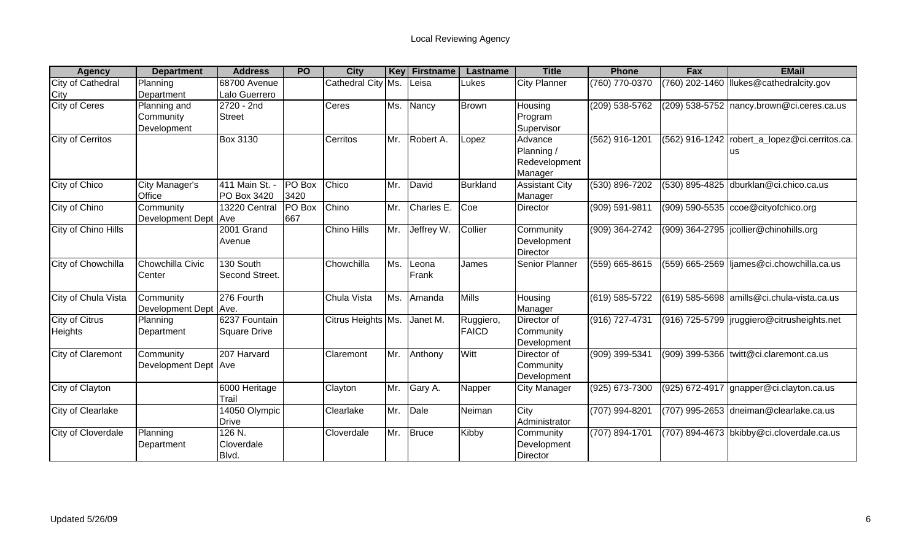| <b>Agency</b>            | <b>Department</b>     | <b>Address</b>      | <b>PO</b>     | <b>City</b>        | Key | Firstname  | <b>Lastname</b> | <b>Title</b>          | <b>Phone</b>       | Fax            | <b>EMail</b>                                  |
|--------------------------|-----------------------|---------------------|---------------|--------------------|-----|------------|-----------------|-----------------------|--------------------|----------------|-----------------------------------------------|
| City of Cathedral        | Planning              | 68700 Avenue        |               | Cathedral City Ms. |     | Leisa      | Lukes           | <b>City Planner</b>   | (760) 770-0370     | (760) 202-1460 | Tlukes@cathedralcity.gov                      |
| City                     | Department            | Lalo Guerrero       |               |                    |     |            |                 |                       |                    |                |                                               |
| <b>City of Ceres</b>     | Planning and          | 2720 - 2nd          |               | Ceres              | Ms. | Nancy      | <b>Brown</b>    | Housing               | (209) 538-5762     |                | (209) 538-5752 nancy.brown@ci.ceres.ca.us     |
|                          | Community             | <b>Street</b>       |               |                    |     |            |                 | Program               |                    |                |                                               |
|                          | Development           |                     |               |                    |     |            |                 | Supervisor            |                    |                |                                               |
| <b>City of Cerritos</b>  |                       | <b>Box 3130</b>     |               | Cerritos           | Mr. | Robert A.  | Lopez           | Advance               | (562) 916-1201     |                | (562) 916-1242 robert_a_lopez@ci.cerritos.ca. |
|                          |                       |                     |               |                    |     |            |                 | Planning /            |                    |                | us                                            |
|                          |                       |                     |               |                    |     |            |                 | Redevelopment         |                    |                |                                               |
|                          |                       |                     |               |                    |     |            |                 | Manager               |                    |                |                                               |
| City of Chico            | City Manager's        | 411 Main St. -      | PO Box        | Chico              | Mr. | David      | <b>Burkland</b> | <b>Assistant City</b> | $(530) 896 - 7202$ |                | (530) 895-4825 dburklan@ci.chico.ca.us        |
|                          | Office                | PO Box 3420         | 3420          |                    |     |            |                 | Manager               |                    |                |                                               |
| City of Chino            | Community             | 13220 Central       | <b>PO</b> Box | Chino              | Mr. | Charles E. | Coe             | <b>Director</b>       | $(909) 591 - 9811$ |                | $(909)$ 590-5535 $ccoe@cityofchico.org$       |
|                          | Development Dept Ave  |                     | 667           |                    |     |            |                 |                       |                    |                |                                               |
| City of Chino Hills      |                       | 2001 Grand          |               | Chino Hills        | Mr. | Jeffrey W. | Collier         | Community             | (909) 364-2742     |                | (909) 364-2795  jcollier@chinohills.org       |
|                          |                       | Avenue              |               |                    |     |            |                 | Development           |                    |                |                                               |
|                          |                       |                     |               |                    |     |            |                 | Director              |                    |                |                                               |
| City of Chowchilla       | Chowchilla Civic      | 130 South           |               | Chowchilla         | Ms. | Leona      | James           | Senior Planner        | (559) 665-8615     |                | (559) 665-2569 liames@ci.chowchilla.ca.us     |
|                          | Center                | Second Street.      |               |                    |     | Frank      |                 |                       |                    |                |                                               |
|                          |                       |                     |               |                    |     |            |                 |                       |                    |                |                                               |
| City of Chula Vista      | Community             | 276 Fourth          |               | <b>Chula Vista</b> | Ms. | Amanda     | <b>Mills</b>    | Housing               | (619) 585-5722     |                | $(619)$ 585-5698 amills@ci.chula-vista.ca.us  |
|                          | Development Dept Ave. |                     |               |                    |     |            |                 | Manager               |                    |                |                                               |
| <b>City of Citrus</b>    | Planning              | 6237 Fountain       |               | Citrus Heights Ms. |     | Janet M.   | Ruggiero,       | Director of           | (916) 727-4731     |                | (916) 725-5799  jruggiero@citrusheights.net   |
| Heights                  | Department            | <b>Square Drive</b> |               |                    |     |            | <b>FAICD</b>    | Community             |                    |                |                                               |
|                          |                       |                     |               |                    |     |            |                 | Development           |                    |                |                                               |
| City of Claremont        | Community             | 207 Harvard         |               | Claremont          | Mr. | Anthony    | <b>Witt</b>     | Director of           | (909) 399-5341     |                | (909) 399-5366 twitt@ci.claremont.ca.us       |
|                          | Development Dept Ave  |                     |               |                    |     |            |                 | Community             |                    |                |                                               |
|                          |                       |                     |               |                    |     |            |                 | Development           |                    |                |                                               |
| City of Clayton          |                       | 6000 Heritage       |               | Clayton            | Mr. | Gary A.    | Napper          | <b>City Manager</b>   | $(925) 673 - 7300$ |                | (925) 672-4917 gnapper@ci.clayton.ca.us       |
|                          |                       | Trail               |               |                    |     |            |                 |                       |                    |                |                                               |
| <b>City of Clearlake</b> |                       | 14050 Olympic       |               | Clearlake          | Mr. | Dale       | Neiman          | City                  | (707) 994-8201     |                | (707) 995-2653 dneiman@clearlake.ca.us        |
|                          |                       | <b>Drive</b>        |               |                    |     |            |                 | Administrator         |                    |                |                                               |
| City of Cloverdale       | Planning              | $126 N$ .           |               | Cloverdale         | Mr. | Bruce      | Kibby           | Community             | (707) 894-1701     |                | (707) 894-4673 bkibby@ci.cloverdale.ca.us     |
|                          | Department            | Cloverdale          |               |                    |     |            |                 | Development           |                    |                |                                               |
|                          |                       | Blvd.               |               |                    |     |            |                 | <b>Director</b>       |                    |                |                                               |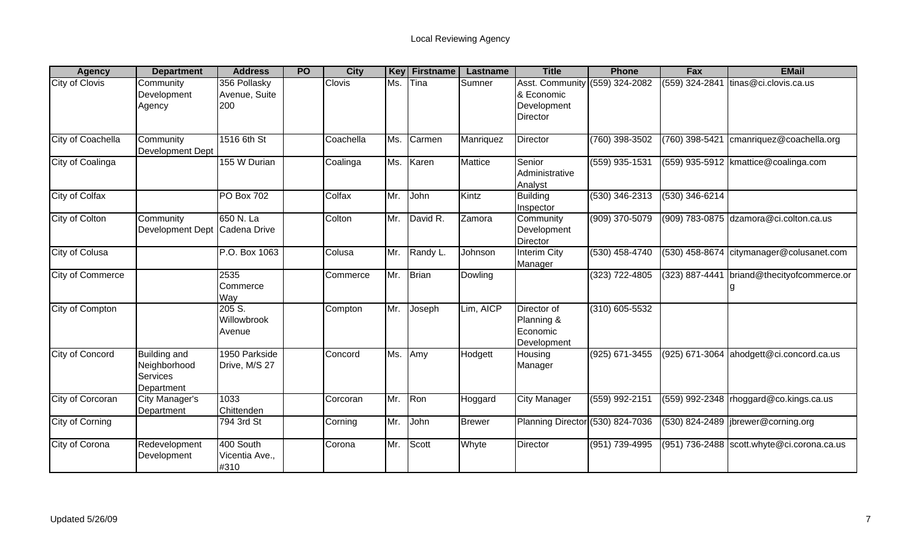| <b>Agency</b>           | <b>Department</b>                                                    | <b>Address</b>                       | <b>PO</b> | <b>City</b>   | <b>Key</b> | <b>Firstname</b> | Lastname      | <b>Title</b>                                                                   | <b>Phone</b>       | <b>Fax</b>     | <b>EMail</b>                                 |
|-------------------------|----------------------------------------------------------------------|--------------------------------------|-----------|---------------|------------|------------------|---------------|--------------------------------------------------------------------------------|--------------------|----------------|----------------------------------------------|
| City of Clovis          | Community<br>Development<br>Agency                                   | 356 Pollasky<br>Avenue, Suite<br>200 |           | <b>Clovis</b> | Ms.        | Tina             | Sumner        | Asst. Community (559) 324-2082<br>& Economic<br>Development<br><b>Director</b> |                    | (559) 324-2841 | tinas@ci.clovis.ca.us                        |
| City of Coachella       | Community<br>Development Dept                                        | 1516 6th St                          |           | Coachella     | Ms.        | Carmen           | Manriquez     | <b>Director</b>                                                                | (760) 398-3502     | (760) 398-5421 | cmanriquez@coachella.org                     |
| City of Coalinga        |                                                                      | 155 W Durian                         |           | Coalinga      | Ms.        | Karen            | Mattice       | Senior<br>Administrative<br>Analyst                                            | (559) 935-1531     |                | $(559)$ 935-5912   kmattice @ coalinga.com   |
| City of Colfax          |                                                                      | PO Box 702                           |           | Colfax        | Mr.        | John             | Kintz         | <b>Building</b><br>Inspector                                                   | (530) 346-2313     | (530) 346-6214 |                                              |
| City of Colton          | Community<br>Development Dept                                        | 650 N. La<br>Cadena Drive            |           | Colton        | Mr.        | David R.         | Zamora        | Community<br>Development<br><b>Director</b>                                    | (909) 370-5079     |                | (909) 783-0875 dzamora@ci.colton.ca.us       |
| City of Colusa          |                                                                      | P.O. Box 1063                        |           | Colusa        | Mr.        | Randy L.         | Johnson       | <b>Interim City</b><br>Manager                                                 | (530) 458-4740     | (530) 458-8674 | citymanager@colusanet.com                    |
| <b>City of Commerce</b> |                                                                      | 2535<br>Commerce<br>Way              |           | Commerce      | Mr.        | Brian            | Dowling       |                                                                                | $(323)$ 722-4805   | (323) 887-4441 | briand@thecityofcommerce.or                  |
| City of Compton         |                                                                      | 205S.<br>Willowbrook<br>Avenue       |           | Compton       | Mr.        | Joseph           | Lim, AICP     | Director of<br>Planning &<br>Economic<br>Development                           | $(310) 605 - 5532$ |                |                                              |
| City of Concord         | <b>Building and</b><br>Neighborhood<br><b>Services</b><br>Department | 1950 Parkside<br>Drive, M/S 27       |           | Concord       | Ms.        | Amy              | Hodgett       | Housing<br>Manager                                                             | $(925) 671 - 3455$ |                | (925) 671-3064 ahodgett@ci.concord.ca.us     |
| City of Corcoran        | City Manager's<br>Department                                         | 1033<br>Chittenden                   |           | Corcoran      | Mr.        | Ron              | Hoggard       | <b>City Manager</b>                                                            | (559) 992-2151     |                | $(559)$ 992-2348   rhoggard@co.kings.ca.us   |
| City of Corning         |                                                                      | 794 3rd St                           |           | Corning       | Mr.        | John             | <b>Brewer</b> | Planning Director (530) 824-7036                                               |                    |                | (530) 824-2489  jbrewer@corning.org          |
| City of Corona          | Redevelopment<br>Development                                         | 400 South<br>Vicentia Ave.,<br>#310  |           | Corona        | Mr.        | Scott            | Whyte         | <b>Director</b>                                                                | $(951) 739 - 4995$ |                | $(951)$ 736-2488 scott.whyte@ci.corona.ca.us |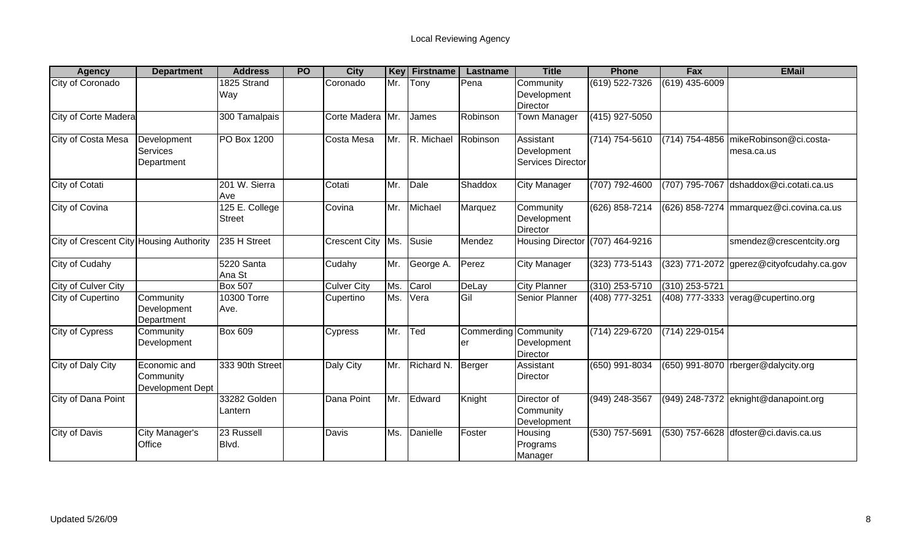| <b>Agency</b>                           | <b>Department</b>                             | <b>Address</b>                  | <b>PO</b> | <b>City</b>          | Key | <b>Firstname</b> | Lastname                | <b>Title</b>                                         | <b>Phone</b>       | Fax              | <b>EMail</b>                                        |
|-----------------------------------------|-----------------------------------------------|---------------------------------|-----------|----------------------|-----|------------------|-------------------------|------------------------------------------------------|--------------------|------------------|-----------------------------------------------------|
| City of Coronado                        |                                               | 1825 Strand<br>Way              |           | Coronado             | Mr. | Tony             | Pena                    | Community<br>Development<br><b>Director</b>          | (619) 522-7326     | (619) 435-6009   |                                                     |
| <b>City of Corte Madera</b>             |                                               | 300 Tamalpais                   |           | Corte Madera         | Mr. | James            | Robinson                | <b>Town Manager</b>                                  | (415) 927-5050     |                  |                                                     |
| City of Costa Mesa                      | Development<br>Services<br>Department         | <b>PO Box 1200</b>              |           | Costa Mesa           | Mr. | R. Michael       | Robinson                | Assistant<br>Development<br><b>Services Director</b> | $(714) 754 - 5610$ |                  | (714) 754-4856 mikeRobinson@ci.costa-<br>mesa.ca.us |
| City of Cotati                          |                                               | 201 W. Sierra<br>Ave            |           | Cotati               | Mr. | Dale             | Shaddox                 | <b>City Manager</b>                                  | (707) 792-4600     | (707) 795-7067   | dshaddox@ci.cotati.ca.us                            |
| City of Covina                          |                                               | 125 E. College<br><b>Street</b> |           | Covina               | Mr. | Michael          | Marquez                 | Community<br>Development<br><b>Director</b>          | (626) 858-7214     |                  | (626) 858-7274 mmarquez@ci.covina.ca.us             |
| City of Crescent City Housing Authority |                                               | 235 H Street                    |           | <b>Crescent City</b> | Ms. | Susie            | Mendez                  | <b>Housing Director</b>                              | (707) 464-9216     |                  | smendez@crescentcity.org                            |
| City of Cudahy                          |                                               | 5220 Santa<br>Ana St            |           | Cudahy               | Mr. | George A.        | Perez                   | <b>City Manager</b>                                  | $(323)$ 773-5143   | (323) 771-2072   | gperez@cityofcudahy.ca.gov                          |
| <b>City of Culver City</b>              |                                               | <b>Box 507</b>                  |           | <b>Culver City</b>   | Ms. | Carol            | DeLay                   | <b>City Planner</b>                                  | $(310)$ 253-5710   | $(310)$ 253-5721 |                                                     |
| City of Cupertino                       | Community<br>Development<br>Department        | 10300 Torre<br>Ave.             |           | Cupertino            | Ms. | Vera             | <b>Gil</b>              | <b>Senior Planner</b>                                | (408) 777-3251     |                  | $(408)$ 777-3333 verag@cupertino.org                |
| City of Cypress                         | Community<br>Development                      | <b>Box 609</b>                  |           | Cypress              | Mr. | Ted              | <b>Commerding</b><br>er | Community<br>Development<br>Director                 | (714) 229-6720     | (714) 229-0154   |                                                     |
| City of Daly City                       | Economic and<br>Community<br>Development Dept | 333 90th Street                 |           | Daly City            | Mr. | Richard N.       | Berger                  | Assistant<br><b>Director</b>                         | (650) 991-8034     | (650) 991-8070   | rberger@dalycity.org                                |
| City of Dana Point                      |                                               | 33282 Golden<br>Lantern         |           | Dana Point           | Mr. | Edward           | Knight                  | Director of<br>Community<br>Development              | (949) 248-3567     | (949) 248-7372   | eknight@danapoint.org                               |
| City of Davis                           | City Manager's<br>Office                      | 23 Russell<br>Blvd.             |           | Davis                | Ms. | Danielle         | Foster                  | Housing<br>Programs<br>Manager                       | (530) 757-5691     | (530) 757-6628   | dfoster@ci.davis.ca.us                              |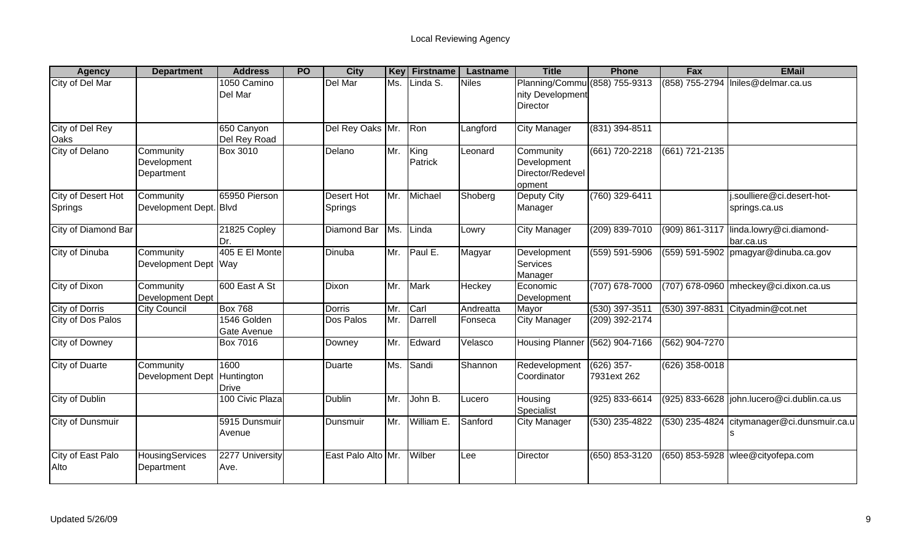| <b>Agency</b>                  | <b>Department</b>                      | <b>Address</b>                     | <b>PO</b> | <b>City</b>                  | <b>Key</b> | <b>Firstname</b> | Lastname     | <b>Title</b>                                                         | <b>Phone</b>                | Fax              | <b>EMail</b>                                |
|--------------------------------|----------------------------------------|------------------------------------|-----------|------------------------------|------------|------------------|--------------|----------------------------------------------------------------------|-----------------------------|------------------|---------------------------------------------|
| City of Del Mar                |                                        | 1050 Camino<br>Del Mar             |           | Del Mar                      | Ms.        | Linda S.         | <b>Niles</b> | Planning/Commu (858) 755-9313<br>nity Development<br><b>Director</b> |                             |                  | (858) 755-2794 Iniles@delmar.ca.us          |
| <b>City of Del Rey</b><br>Oaks |                                        | 650 Canyon<br>Del Rey Road         |           | Del Rey Oaks Mr.             |            | Ron              | Langford     | <b>City Manager</b>                                                  | $(831)$ 394-8511            |                  |                                             |
| <b>City of Delano</b>          | Community<br>Development<br>Department | Box 3010                           |           | Delano                       | Mr.        | King<br>Patrick  | Leonard      | Community<br>Development<br>Director/Redevel<br>opment               | $(661) 720 - 2218$          | (661) 721-2135   |                                             |
| City of Desert Hot<br>Springs  | Community<br>Development Dept. Blvd    | 65950 Pierson                      |           | <b>Desert Hot</b><br>Springs | Mr.        | Michael          | Shoberg      | Deputy City<br>Manager                                               | (760) 329-6411              |                  | i.soulliere@ci.desert-hot-<br>springs.ca.us |
| City of Diamond Bar            |                                        | 21825 Copley<br>Dr.                |           | Diamond Bar                  | Ms.        | Linda            | Lowry        | <b>City Manager</b>                                                  | (209) 839-7010              | (909) 861-3117   | linda.lowry@ci.diamond-<br>bar.ca.us        |
| City of Dinuba                 | Community<br>Development Dept Way      | 405 E El Monte                     |           | Dinuba                       | Mr.        | Paul E.          | Magyar       | Development<br>Services<br>Manager                                   | (559) 591-5906              |                  | (559) 591-5902   pmagyar@dinuba.ca.gov      |
| City of Dixon                  | Community<br>Development Dept          | 600 East A St                      |           | Dixon                        | Mr.        | <b>Mark</b>      | Heckey       | Economic<br>Development                                              | $(707)$ 678-7000            |                  | (707) 678-0960 mheckey@ci.dixon.ca.us       |
| <b>City of Dorris</b>          | <b>City Council</b>                    | <b>Box 768</b>                     |           | <b>Dorris</b>                | Mr.        | Carl             | Andreatta    | Mayor                                                                | $(530)$ 397-3511            | $(530)$ 397-8831 | Cityadmin@cot.net                           |
| City of Dos Palos              |                                        | 1546 Golden<br>Gate Avenue         |           | Dos Palos                    | Mr.        | Darrell          | Fonseca      | City Manager                                                         | (209) 392-2174              |                  |                                             |
| <b>City of Downey</b>          |                                        | <b>Box 7016</b>                    |           | Downey                       | Mr.        | Edward           | Velasco      | Housing Planner (562) 904-7166                                       |                             | (562) 904-7270   |                                             |
| <b>City of Duarte</b>          | Community<br>Development Dept          | 1600<br>Huntington<br><b>Drive</b> |           | <b>Duarte</b>                | Ms.        | Sandi            | Shannon      | Redevelopment<br>Coordinator                                         | $(626)$ 357-<br>7931ext 262 | $(626)$ 358-0018 |                                             |
| City of Dublin                 |                                        | 100 Civic Plaza                    |           | <b>Dublin</b>                | Mr.        | John B.          | Lucero       | Housing<br>Specialist                                                | (925) 833-6614              |                  | (925) 833-6628  john.lucero@ci.dublin.ca.us |
| City of Dunsmuir               |                                        | 5915 Dunsmuir<br>Avenue            |           | Dunsmuir                     | Mr.        | William E.       | Sanford      | <b>City Manager</b>                                                  | $(530)$ 235-4822            |                  | (530) 235-4824 citymanager@ci.dunsmuir.ca.u |
| City of East Palo<br>Alto      | HousingServices<br>Department          | 2277 University<br>Ave.            |           | East Palo Alto Mr.           |            | Wilber           | -ee          | Director                                                             | (650) 853-3120              |                  | $(650)$ 853-5928 wlee@cityofepa.com         |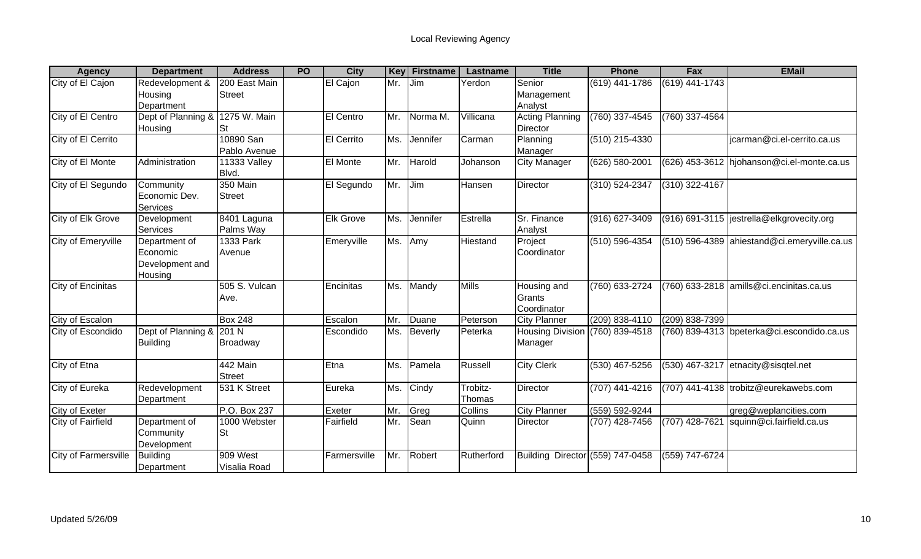| <b>Agency</b>         | <b>Department</b>                                       | <b>Address</b>               | <b>PO</b> | <b>City</b>       | Key | <b>Firstname</b>   | Lastname           | <b>Title</b>                         | <b>Phone</b>     | Fax              | <b>EMail</b>                                 |
|-----------------------|---------------------------------------------------------|------------------------------|-----------|-------------------|-----|--------------------|--------------------|--------------------------------------|------------------|------------------|----------------------------------------------|
| City of El Cajon      | Redevelopment &<br>Housing<br>Department                | 200 East Main<br>Street      |           | El Cajon          | Mr. | Jim                | Yerdon             | Senior<br>Management<br>Analyst      | $(619)$ 441-1786 | $(619)$ 441-1743 |                                              |
| City of El Centro     | Dept of Planning &<br>Housing                           | 1275 W. Main<br><b>St</b>    |           | <b>El Centro</b>  | Mr. | Norma <sub>M</sub> | Villicana          | <b>Acting Planning</b><br>Director   | (760) 337-4545   | (760) 337-4564   |                                              |
| City of El Cerrito    |                                                         | 10890 San<br>Pablo Avenue    |           | <b>El Cerrito</b> | Ms. | Jennifer           | Carman             | Planning<br>Manager                  | $(510)$ 215-4330 |                  | jcarman@ci.el-cerrito.ca.us                  |
| City of El Monte      | Administration                                          | <b>11333 Valley</b><br>Blvd. |           | El Monte          | Mr. | Harold             | Johanson           | <b>City Manager</b>                  | (626) 580-2001   |                  | (626) 453-3612 hjohanson@ci.el-monte.ca.us   |
| City of El Segundo    | Community<br>Economic Dev.<br><b>Services</b>           | <b>350 Main</b><br>Street    |           | El Segundo        | Mr. | Jim                | Hansen             | Director                             | (310) 524-2347   | (310) 322-4167   |                                              |
| City of Elk Grove     | Development<br>Services                                 | 8401 Laguna<br>Palms Way     |           | <b>Elk Grove</b>  | Ms. | Jennifer           | Estrella           | Sr. Finance<br>Analyst               | (916) 627-3409   |                  | (916) 691-3115  jestrella@elkgrovecity.org   |
| City of Emeryville    | Department of<br>Economic<br>Development and<br>Housing | 1333 Park<br>Avenue          |           | Emeryville        | Ms. | Amy                | Hiestand           | Project<br>Coordinator               | (510) 596-4354   |                  | (510) 596-4389 ahiestand@ci.emeryville.ca.us |
| City of Encinitas     |                                                         | 505 S. Vulcan<br>Ave.        |           | Encinitas         | Ms. | Mandy              | <b>Mills</b>       | Housing and<br>Grants<br>Coordinator | (760) 633-2724   |                  | (760) 633-2818 amills@ci.encinitas.ca.us     |
| City of Escalon       |                                                         | <b>Box 248</b>               |           | Escalon           | Mr. | Duane              | Peterson           | <b>City Planner</b>                  | (209) 838-4110   | (209) 838-7399   |                                              |
| City of Escondido     | Dept of Planning & 201 N<br><b>Building</b>             | Broadway                     |           | Escondido         | Ms. | Beverly            | Peterka            | <b>Housing Division</b><br>Manager   | (760) 839-4518   |                  | (760) 839-4313 bpeterka@ci.escondido.ca.us   |
| City of Etna          |                                                         | 442 Main<br><b>Street</b>    |           | Etna              | Ms. | Pamela             | Russell            | <b>City Clerk</b>                    | (530) 467-5256   | (530) 467-3217   | etnacity@sisqtel.net                         |
| <b>City of Eureka</b> | Redevelopment<br>Department                             | 531 K Street                 |           | Eureka            | Ms. | Cindy              | Trobitz-<br>Thomas | Director                             | (707) 441-4216   |                  | (707) 441-4138 trobitz@eurekawebs.com        |
| City of Exeter        |                                                         | P.O. Box 237                 |           | Exeter            | Mr. | Greg               | Collins            | City Planner                         | (559) 592-9244   |                  | greg@weplancities.com                        |
| City of Fairfield     | Department of<br>Community<br>Development               | 1000 Webster<br><b>St</b>    |           | Fairfield         | Mr. | Sean               | Quinn              | <b>Director</b>                      | (707) 428-7456   | $(707)$ 428-7621 | squinn@ci.fairfield.ca.us                    |
| City of Farmersville  | <b>Building</b><br>Department                           | 909 West<br>Visalia Road     |           | Farmersville      | Mr. | Robert             | Rutherford         | Building Director (559) 747-0458     |                  | (559) 747-6724   |                                              |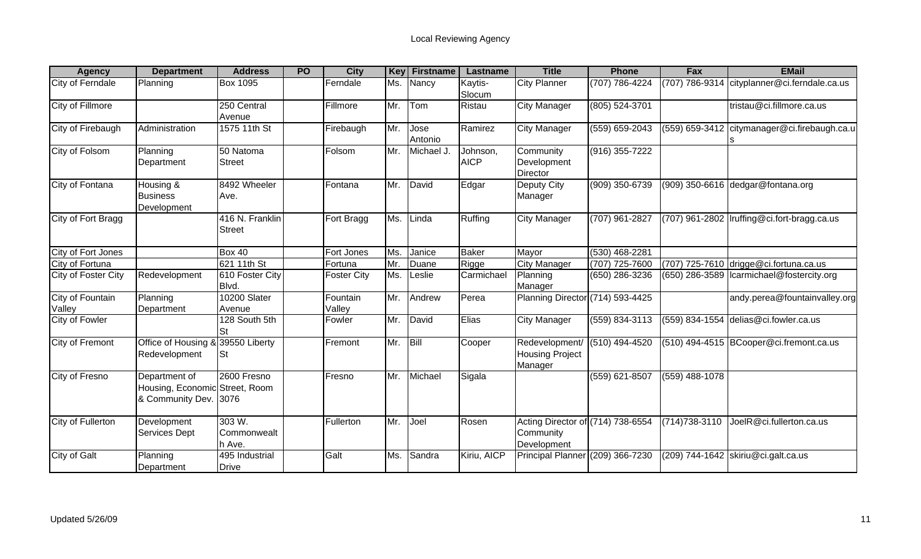| <b>Agency</b>              | <b>Department</b>                                                        | <b>Address</b>                  | <b>PO</b> | <b>City</b>        | Key      | <b>Firstname</b> | Lastname                | <b>Title</b>                                                  | <b>Phone</b>     | Fax              | <b>EMail</b>                            |
|----------------------------|--------------------------------------------------------------------------|---------------------------------|-----------|--------------------|----------|------------------|-------------------------|---------------------------------------------------------------|------------------|------------------|-----------------------------------------|
| City of Ferndale           | Planning                                                                 | <b>Box 1095</b>                 |           | Ferndale           | Ms.      | Nancy            | Kaytis-<br>Slocum       | City Planner                                                  | (707) 786-4224   | (707) 786-9314   | cityplanner@ci.ferndale.ca.us           |
| City of Fillmore           |                                                                          | 250 Central<br>Avenue           |           | Fillmore           | Mr.      | Tom              | Ristau                  | <b>City Manager</b>                                           | (805) 524-3701   |                  | tristau@ci.fillmore.ca.us               |
| City of Firebaugh          | Administration                                                           | 1575 11th St                    |           | Firebaugh          | Mr.      | Jose<br>Antonio  | Ramirez                 | <b>City Manager</b>                                           | (559) 659-2043   | (559) 659-3412   | citymanager@ci.firebaugh.ca.u           |
| City of Folsom             | Planning<br>Department                                                   | 50 Natoma<br><b>Street</b>      |           | Folsom             | Mr.      | Michael J.       | Johnson,<br><b>AICP</b> | Community<br>Development<br>Director                          | $(916)$ 355-7222 |                  |                                         |
| City of Fontana            | Housing &<br><b>Business</b><br>Development                              | 8492 Wheeler<br>Ave.            |           | Fontana            | Mr.      | David            | Edgar                   | Deputy City<br>Manager                                        | (909) 350-6739   |                  | (909) 350-6616 dedgar@fontana.org       |
| City of Fort Bragg         |                                                                          | 416 N. Franklin<br>Street       |           | Fort Bragg         | Ms.      | Linda            | Ruffing                 | <b>City Manager</b>                                           | (707) 961-2827   | (707) 961-2802   | Iruffing@ci.fort-bragg.ca.us            |
| City of Fort Jones         |                                                                          | <b>Box 40</b>                   |           | Fort Jones         | Ms.      | Janice           | <b>Baker</b>            | Mayor                                                         | (530) 468-2281   |                  |                                         |
| City of Fortuna            |                                                                          | 621 11th St                     |           | Fortuna            | Mr.      | Duane            | Rigge                   | <b>City Manager</b>                                           | (707) 725-7600   |                  | (707) 725-7610 drigge@ci.fortuna.ca.us  |
| <b>City of Foster City</b> | Redevelopment                                                            | 610 Foster City<br>Blvd.        |           | <b>Foster City</b> | Ms.      | Leslie           | Carmichael              | Planning<br>Manager                                           | (650) 286-3236   | (650) 286-3589   | Icarmichael@fostercity.org              |
| City of Fountain<br>Valley | Planning<br>Department                                                   | 10200 Slater<br>Avenue          |           | Fountain<br>Valley | Mr.      | Andrew           | Perea                   | Planning Director (714) 593-4425                              |                  |                  | andy.perea@fountainvalley.org           |
| City of Fowler             |                                                                          | 128 South 5th<br>St             |           | Fowler             | Mr.      | David            | Elias                   | <b>City Manager</b>                                           | (559) 834-3113   |                  | $(559)$ 834-1554 delias@ci.fowler.ca.us |
| <b>City of Fremont</b>     | Office of Housing & 39550 Liberty<br>Redevelopment                       | St                              |           | Fremont            | Mr. Bill |                  | Cooper                  | Redevelopment/<br><b>Housing Project</b><br>Manager           | (510) 494-4520   |                  | (510) 494-4515 BCooper@ci.fremont.ca.us |
| City of Fresno             | Department of<br>Housing, Economic Street, Room<br>& Community Dev. 3076 | 2600 Fresno                     |           | Fresno             | Mr.      | Michael          | Sigala                  |                                                               | (559) 621-8507   | $(559)$ 488-1078 |                                         |
| City of Fullerton          | Development<br>Services Dept                                             | 303 W.<br>Commonwealt<br>h Ave. |           | Fullerton          | Mr.      | Joel             | Rosen                   | Acting Director of (714) 738-6554<br>Community<br>Development |                  | (714) 738-3110   | JoelR@ci.fullerton.ca.us                |
| City of Galt               | Planning<br>Department                                                   | 495 Industrial<br><b>Drive</b>  |           | Galt               | Ms.      | Sandra           | Kiriu, AICP             | Principal Planner (209) 366-7230                              |                  |                  | (209) 744-1642 skiriu@ci.galt.ca.us     |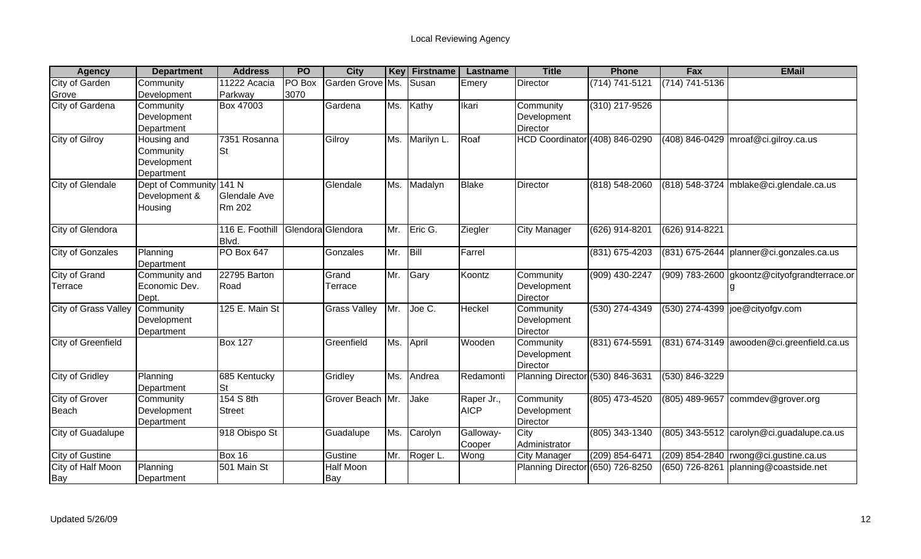| <b>Agency</b>               | <b>Department</b>       | <b>Address</b>      | <b>PO</b> | <b>City</b>         | <b>Key</b> | <b>Firstname</b> | Lastname     | <b>Title</b>                     | <b>Phone</b>     | Fax                | <b>EMail</b>                                                        |
|-----------------------------|-------------------------|---------------------|-----------|---------------------|------------|------------------|--------------|----------------------------------|------------------|--------------------|---------------------------------------------------------------------|
| <b>City of Garden</b>       | Community               | 11222 Acacia        | PO Box    | Garden Grove Ms.    |            | Susan            | Emery        | Director                         | (714) 741-5121   | $(714) 741 - 5136$ |                                                                     |
| Grove                       | Development             | Parkway             | 3070      |                     |            |                  |              |                                  |                  |                    |                                                                     |
| City of Gardena             | Community               | Box 47003           |           | Gardena             | Ms.        | Kathy            | Ikari        | Community                        | (310) 217-9526   |                    |                                                                     |
|                             | Development             |                     |           |                     |            |                  |              | Development                      |                  |                    |                                                                     |
|                             | Department              |                     |           |                     |            |                  |              | Director                         |                  |                    |                                                                     |
| <b>City of Gilroy</b>       | Housing and             | 7351 Rosanna        |           | Gilroy              | Ms.        | Marilyn L.       | Roaf         | HCD Coordinator (408) 846-0290   |                  | (408) 846-0429     | $m\text{rod}@\text{ci.}$ gilroy.ca.us                               |
|                             | Community               | <b>St</b>           |           |                     |            |                  |              |                                  |                  |                    |                                                                     |
|                             | Development             |                     |           |                     |            |                  |              |                                  |                  |                    |                                                                     |
|                             | Department              |                     |           |                     |            |                  |              |                                  |                  |                    |                                                                     |
| City of Glendale            | Dept of Community 141 N |                     |           | Glendale            | Ms.        | Madalyn          | <b>Blake</b> | Director                         | (818) 548-2060   |                    | $(818)$ 548-3724   mblake@ci.glendale.ca.us                         |
|                             | Development &           | <b>Glendale Ave</b> |           |                     |            |                  |              |                                  |                  |                    |                                                                     |
|                             | Housing                 | Rm 202              |           |                     |            |                  |              |                                  |                  |                    |                                                                     |
| City of Glendora            |                         | 116 E. Foothill     |           | Glendora Glendora   | Mr.        | Eric G.          | Ziegler      | City Manager                     | (626) 914-8201   | (626) 914-8221     |                                                                     |
|                             |                         | Blvd.               |           |                     |            |                  |              |                                  |                  |                    |                                                                     |
| <b>City of Gonzales</b>     | Planning                | <b>PO Box 647</b>   |           | Gonzales            | Mr.        | Bill             | Farrel       |                                  | (831) 675-4203   |                    | (831) 675-2644 planner@ci.gonzales.ca.us                            |
|                             | Department              |                     |           |                     |            |                  |              |                                  |                  |                    |                                                                     |
| <b>City of Grand</b>        | Community and           | 22795 Barton        |           | Grand               | Mr.        | Gary             | Koontz       | Community                        | $(909)$ 430-2247 |                    | (909) 783-2600 gkoontz@cityofgrandterrace.or                        |
| Terrace                     | Economic Dev.           | Road                |           | Terrace             |            |                  |              | Development                      |                  |                    |                                                                     |
|                             | Dept.                   |                     |           |                     |            |                  |              | Director                         |                  |                    |                                                                     |
| <b>City of Grass Valley</b> | Community               | 125 E. Main St      |           | <b>Grass Valley</b> | Mr.        | Joe C.           | Heckel       | Community                        | $(530)$ 274-4349 |                    | (530) 274-4399  joe@cityofgv.com                                    |
|                             | Development             |                     |           |                     |            |                  |              | Development                      |                  |                    |                                                                     |
|                             | Department              |                     |           |                     |            |                  |              | Director                         |                  |                    |                                                                     |
| <b>City of Greenfield</b>   |                         | <b>Box 127</b>      |           | Greenfield          | Ms.        | April            | Wooden       | Community                        | (831) 674-5591   |                    | (831) 674-3149 awooden@ci.greenfield.ca.us                          |
|                             |                         |                     |           |                     |            |                  |              | Development                      |                  |                    |                                                                     |
|                             |                         |                     |           |                     |            |                  |              | Director                         |                  |                    |                                                                     |
| <b>City of Gridley</b>      | Planning                | 685 Kentucky        |           | Gridley             |            | Ms. Andrea       | Redamonti    | Planning Director (530) 846-3631 |                  | (530) 846-3229     |                                                                     |
|                             | Department              | <b>St</b>           |           |                     |            |                  |              |                                  |                  |                    |                                                                     |
| <b>City of Grover</b>       | Community               | 154 S 8th           |           | Grover Beach Mr.    |            | Jake             | Raper Jr.,   | Community                        | $(805)$ 473-4520 | $(805)$ 489-9657   | commdev@grover.org                                                  |
| Beach                       | Development             | <b>Street</b>       |           |                     |            |                  | <b>AICP</b>  | Development                      |                  |                    |                                                                     |
|                             | Department              |                     |           |                     |            |                  |              | Director                         |                  |                    |                                                                     |
| City of Guadalupe           |                         | 918 Obispo St       |           | Guadalupe           | Ms.        | Carolyn          | Galloway-    | City                             | (805) 343-1340   |                    | $(805)$ 343-5512 $\sqrt{\frac{25}{10}}$ carolyn @ci.guadalupe.ca.us |
|                             |                         |                     |           |                     |            |                  | Cooper       | Administrator                    |                  |                    |                                                                     |
| <b>City of Gustine</b>      |                         | <b>Box 16</b>       |           | Gustine             | Mr.        | Roger L.         | Wong         | <b>City Manager</b>              | (209) 854-6471   |                    | $(209)$ 854-2840   rwong@ci.gustine.ca.us                           |
| City of Half Moon           | Planning                | 501 Main St         |           | Half Moon           |            |                  |              | Planning Director (650) 726-8250 |                  | (650) 726-8261     | planning@coastside.net                                              |
| Bay                         | Department              |                     |           | Bay                 |            |                  |              |                                  |                  |                    |                                                                     |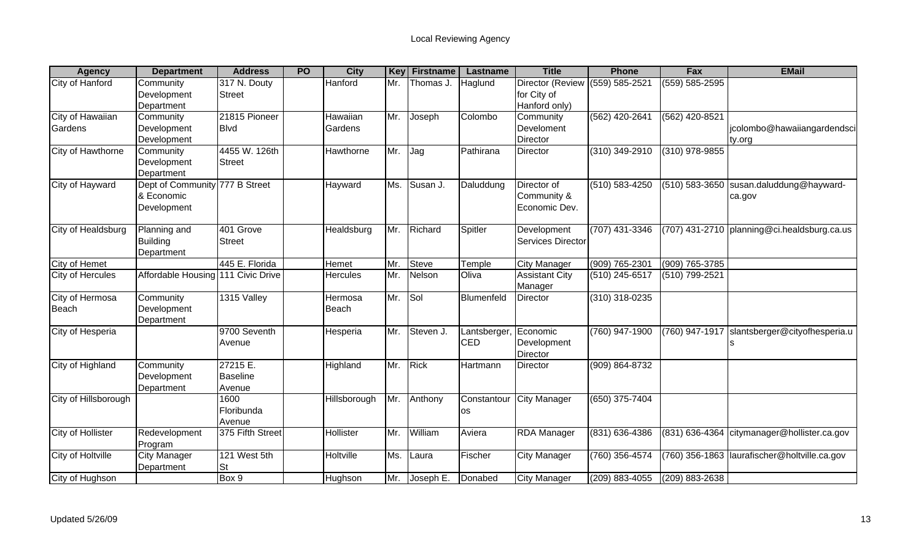| <b>Agency</b>        | <b>Department</b>                  | <b>Address</b>   | <b>PO</b> | <b>City</b>     | Key | <b>Firstname</b> | Lastname              | <b>Title</b>             | <b>Phone</b>     | Fax                | <b>EMail</b>                                 |
|----------------------|------------------------------------|------------------|-----------|-----------------|-----|------------------|-----------------------|--------------------------|------------------|--------------------|----------------------------------------------|
| City of Hanford      | Community                          | 317 N. Douty     |           | Hanford         | Mr. | Thomas J         | <b>Haglund</b>        | Director (Review         | (559) 585-2521   | $(559) 585 - 2595$ |                                              |
|                      | Development                        | <b>Street</b>    |           |                 |     |                  |                       | for City of              |                  |                    |                                              |
|                      | Department                         |                  |           |                 |     |                  |                       | Hanford only)            |                  |                    |                                              |
| City of Hawaiian     | Community                          | 21815 Pioneer    |           | Hawaiian        | Mr. | Joseph           | Colombo               | Community                | (562) 420-2641   | (562) 420-8521     |                                              |
| Gardens              | Development                        | <b>Blvd</b>      |           | Gardens         |     |                  |                       | Develoment               |                  |                    | jcolombo@hawaiiangardendsci                  |
|                      | Development                        |                  |           |                 |     |                  |                       | <b>Director</b>          |                  |                    | ty.org                                       |
| City of Hawthorne    | Community                          | 4455 W. 126th    |           | Hawthorne       | Mr. | Jag              | Pathirana             | <b>Director</b>          | $(310)$ 349-2910 | $(310)$ 978-9855   |                                              |
|                      | Development                        | <b>Street</b>    |           |                 |     |                  |                       |                          |                  |                    |                                              |
|                      | Department                         |                  |           |                 |     |                  |                       |                          |                  |                    |                                              |
| City of Hayward      | Dept of Community 777 B Street     |                  |           | Hayward         | Ms. | Susan J.         | Daluddung             | Director of              | (510) 583-4250   | (510) 583-3650     | susan.daluddung@hayward-                     |
|                      | & Economic                         |                  |           |                 |     |                  |                       | Community &              |                  |                    | ca.gov                                       |
|                      | Development                        |                  |           |                 |     |                  |                       | Economic Dev.            |                  |                    |                                              |
| City of Healdsburg   | Planning and                       | 401 Grove        |           | Healdsburg      | Mr. | Richard          | Spitler               | Development              | (707) 431-3346   |                    | (707) 431-2710 planning@ci.healdsburg.ca.us  |
|                      | <b>Building</b>                    | <b>Street</b>    |           |                 |     |                  |                       | <b>Services Director</b> |                  |                    |                                              |
|                      | Department                         |                  |           |                 |     |                  |                       |                          |                  |                    |                                              |
| City of Hemet        |                                    | 445 E. Florida   |           | Hemet           | Mr. | <b>Steve</b>     | Temple                | <b>City Manager</b>      | (909) 765-2301   | (909) 765-3785     |                                              |
| City of Hercules     | Affordable Housing 111 Civic Drive |                  |           | <b>Hercules</b> | Mr. | Nelson           | Oliva                 | <b>Assistant City</b>    | (510) 245-6517   | (510) 799-2521     |                                              |
|                      |                                    |                  |           |                 |     |                  |                       | Manager                  |                  |                    |                                              |
| City of Hermosa      | Community                          | 1315 Valley      |           | Hermosa         | Mr. | Sol              | Blumenfeld            | <b>Director</b>          | $(310)$ 318-0235 |                    |                                              |
| Beach                | Development                        |                  |           | Beach           |     |                  |                       |                          |                  |                    |                                              |
|                      | Department                         |                  |           |                 |     |                  |                       |                          |                  |                    |                                              |
| City of Hesperia     |                                    | 9700 Seventh     |           | Hesperia        | Mr. | Steven J.        | Lantsberger, Economic |                          | (760) 947-1900   |                    | (760) 947-1917 Slantsberger@cityofhesperia.u |
|                      |                                    | Avenue           |           |                 |     |                  | <b>CED</b>            | Development              |                  |                    |                                              |
|                      |                                    |                  |           |                 |     |                  |                       | Director                 |                  |                    |                                              |
| City of Highland     | Community                          | 27215 E.         |           | Highland        | Mr. | <b>Rick</b>      | Hartmann              | Director                 | (909) 864-8732   |                    |                                              |
|                      | Development                        | <b>Baseline</b>  |           |                 |     |                  |                       |                          |                  |                    |                                              |
|                      | Department                         | Avenue           |           |                 |     |                  |                       |                          |                  |                    |                                              |
| City of Hillsborough |                                    | 1600             |           | Hillsborough    | Mr. | Anthony          | Constantour           | <b>City Manager</b>      | $(650)$ 375-7404 |                    |                                              |
|                      |                                    | Floribunda       |           |                 |     |                  | os                    |                          |                  |                    |                                              |
|                      |                                    | Avenue           |           |                 |     |                  |                       |                          |                  |                    |                                              |
| City of Hollister    | Redevelopment<br>Program           | 375 Fifth Street |           | Hollister       | Mr. | William          | Aviera                | <b>RDA Manager</b>       | (831) 636-4386   | (831) 636-4364     | citymanager@hollister.ca.gov                 |
| City of Holtville    | <b>City Manager</b>                | 121 West 5th     |           | Holtville       | Ms. | Laura            | Fischer               | <b>City Manager</b>      | (760) 356-4574   | (760) 356-1863     | laurafischer@holtville.ca.gov                |
|                      | Department                         | <b>St</b>        |           |                 |     |                  |                       |                          |                  |                    |                                              |
| City of Hughson      |                                    | Box 9            |           | Hughson         | Mr. | Joseph E.        | Donabed               | <b>City Manager</b>      | (209) 883-4055   | (209) 883-2638     |                                              |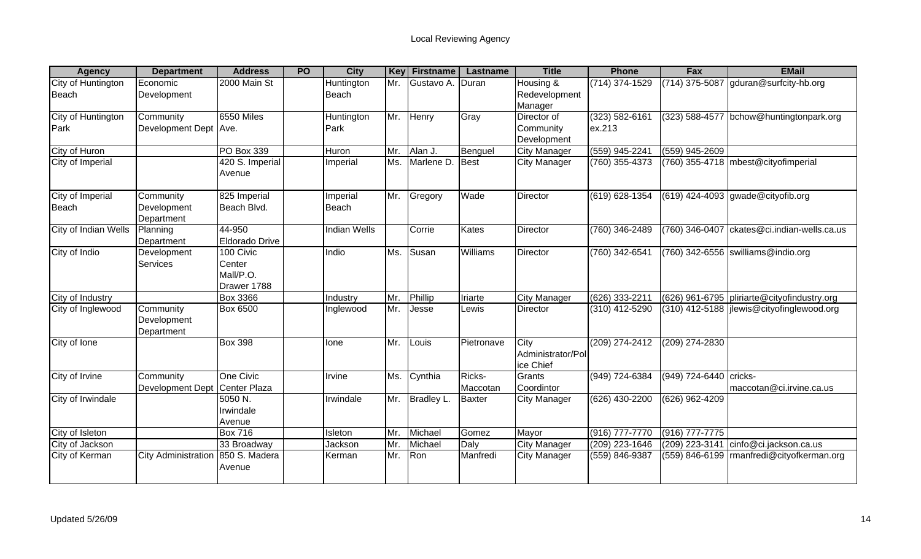| <b>Agency</b>               | <b>Department</b>                      | <b>Address</b>                                  | <b>PO</b> | <b>City</b>         | <b>Key</b> | <b>Firstname</b> | Lastname           | <b>Title</b>                            | <b>Phone</b>             | Fax                    | <b>EMail</b>                                  |
|-----------------------------|----------------------------------------|-------------------------------------------------|-----------|---------------------|------------|------------------|--------------------|-----------------------------------------|--------------------------|------------------------|-----------------------------------------------|
| City of Huntington<br>Beach | Economic<br>Development                | 2000 Main St                                    |           | Huntington<br>Beach | Mr.        | Gustavo A.       | <b>IDuran</b>      | Housing &<br>Redevelopment<br>Manager   | (714) 374-1529           |                        | (714) 375-5087 gduran@surfcity-hb.org         |
| City of Huntington<br>Park  | Community<br>Development Dept Ave.     | 6550 Miles                                      |           | Huntington<br>Park  | Mr.        | Henry            | Gray               | Director of<br>Community<br>Development | (323) 582-6161<br>ex.213 |                        | (323) 588-4577 bchow@huntingtonpark.org       |
| City of Huron               |                                        | <b>PO Box 339</b>                               |           | Huron               | Mr.        | Alan J           | Benguel            | <b>City Manager</b>                     | (559) 945-2241           | (559) 945-2609         |                                               |
| City of Imperial            |                                        | 420 S. Imperial<br>Avenue                       |           | Imperial            | Ms.        | Marlene D.       | Best               | <b>City Manager</b>                     | (760) 355-4373           |                        | (760) 355-4718   mbest@cityofimperial         |
| City of Imperial<br>Beach   | Community<br>Development<br>Department | 825 Imperial<br>Beach Blvd.                     |           | Imperial<br>Beach   | Mr.        | Gregory          | Wade               | Director                                | (619) 628-1354           |                        | $(619)$ 424-4093 gwade@cityofib.org           |
| City of Indian Wells        | Planning<br>Department                 | 44-950<br><b>Eldorado Drive</b>                 |           | <b>Indian Wells</b> |            | Corrie           | Kates              | Director                                | (760) 346-2489           | (760) 346-0407         | ckates@ci.indian-wells.ca.us                  |
| City of Indio               | Development<br><b>Services</b>         | 100 Civic<br>Center<br>Mall/P.O.<br>Drawer 1788 |           | Indio               | Ms.        | Susan            | Williams           | <b>Director</b>                         | (760) 342-6541           |                        | (760) 342-6556 swilliams@indio.org            |
| City of Industry            |                                        | <b>Box 3366</b>                                 |           | Industry            | Mr.        | Phillip          | <b>Iriarte</b>     | <b>City Manager</b>                     | (626) 333-2211           |                        | (626) 961-6795   pliriarte@cityofindustry.org |
| City of Inglewood           | Community<br>Development<br>Department | <b>Box 6500</b>                                 |           | Inglewood           | Mr.        | Jesse            | Lewis              | Director                                | (310) 412-5290           |                        | (310) 412-5188   jlewis@cityofinglewood.org   |
| City of Ione                |                                        | <b>Box 398</b>                                  |           | Ione                | Mr.        | Louis            | Pietronave         | City<br>Administrator/Pol<br>ice Chief  | (209) 274-2412           | $(209)$ 274-2830       |                                               |
| City of Irvine              | Community<br><b>Development Dept</b>   | One Civic<br>Center Plaza                       |           | Irvine              | Ms.        | Cynthia          | Ricks-<br>Maccotan | Grants<br>Coordintor                    | (949) 724-6384           | (949) 724-6440 cricks- | maccotan@ci.irvine.ca.us                      |
| City of Irwindale           |                                        | 5050 N.<br>Irwindale<br>Avenue                  |           | Irwindale           | Mr.        | Bradley L.       | <b>Baxter</b>      | City Manager                            | (626) 430-2200           | (626) 962-4209         |                                               |
| City of Isleton             |                                        | <b>Box 716</b>                                  |           | Isleton             | Mr.        | Michael          | Gomez              | Mayor                                   | $(916) 777 - 7770$       | (916) 777-7775         |                                               |
| City of Jackson             |                                        | 33 Broadway                                     |           | Jackson             | Mr         | Michael          | Daly               | <b>City Manager</b>                     | (209) 223-1646           | (209) 223-3141         | cinfo@ci.jackson.ca.us                        |
| City of Kerman              | <b>City Administration</b>             | 850 S. Madera<br>Avenue                         |           | Kerman              | Mr.        | Ron              | Manfredi           | <b>City Manager</b>                     | (559) 846-9387           |                        | (559) 846-6199   rmanfredi@cityofkerman.org   |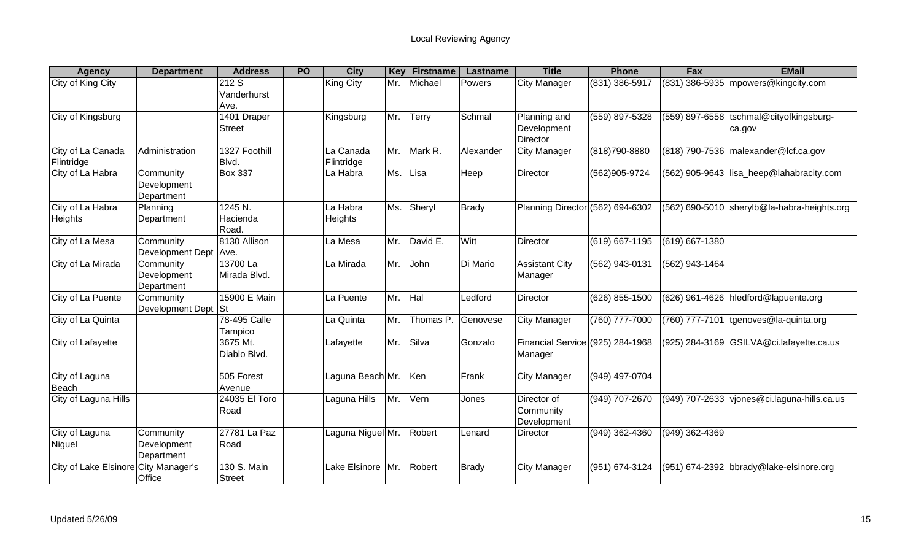| <b>Agency</b>                        | <b>Department</b>                      | <b>Address</b>               | <b>PO</b> | <b>City</b>             | Key | <b>Firstname</b> | Lastname     | <b>Title</b>                                | <b>Phone</b>     | Fax              | <b>EMail</b>                                       |
|--------------------------------------|----------------------------------------|------------------------------|-----------|-------------------------|-----|------------------|--------------|---------------------------------------------|------------------|------------------|----------------------------------------------------|
| City of King City                    |                                        | 212S<br>Vanderhurst          |           | King City               | Mr. | Michael          | Powers       | <b>City Manager</b>                         | (831) 386-5917   |                  | $(831)$ 386-5935 mpowers@kingcity.com              |
|                                      |                                        | Ave.                         |           |                         |     |                  |              |                                             |                  |                  |                                                    |
| City of Kingsburg                    |                                        | 1401 Draper<br><b>Street</b> |           | Kingsburg               | Mr. | Terry            | Schmal       | Planning and<br>Development<br>Director     | (559) 897-5328   |                  | (559) 897-6558  tschmal@cityofkingsburg-<br>ca.gov |
| City of La Canada<br>Flintridge      | Administration                         | 1327 Foothill<br>Blvd.       |           | La Canada<br>Flintridge | Mr. | Mark R.          | Alexander    | <b>City Manager</b>                         | (818) 790-8880   |                  | (818) 790-7536 malexander@lcf.ca.gov               |
| City of La Habra                     | Community<br>Development<br>Department | <b>Box 337</b>               |           | La Habra                | Ms. | Lisa             | Heep         | <b>Director</b>                             | (562)905-9724    |                  | (562) 905-9643 lisa_heep@lahabracity.com           |
| City of La Habra<br><b>Heights</b>   | Planning<br>Department                 | 1245 N.<br>Hacienda<br>Road. |           | La Habra<br>Heights     | Ms. | Sheryl           | <b>Brady</b> | Planning Director (562) 694-6302            |                  |                  | (562) 690-5010 sherylb@la-habra-heights.org        |
| City of La Mesa                      | Community<br>Development Dept          | 8130 Allison<br>Ave.         |           | La Mesa                 | Mr. | David E.         | Witt         | Director                                    | (619) 667-1195   | (619) 667-1380   |                                                    |
| City of La Mirada                    | Community<br>Development<br>Department | 13700 La<br>Mirada Blvd.     |           | La Mirada               | Mr. | John             | Di Mario     | <b>Assistant City</b><br>Manager            | (562) 943-0131   | (562) 943-1464   |                                                    |
| City of La Puente                    | Community<br>Development Dept          | 15900 E Main<br><b>St</b>    |           | La Puente               | Mr. | <b>Hal</b>       | Ledford      | Director                                    | (626) 855-1500   |                  | (626) 961-4626 hledford@lapuente.org               |
| City of La Quinta                    |                                        | 78-495 Calle<br>Tampico      |           | La Quinta               | Mr. | Thomas P.        | Genovese     | <b>City Manager</b>                         | (760) 777-7000   | (760) 777-7101   | tgenoves@la-quinta.org                             |
| City of Lafayette                    |                                        | 3675 Mt.<br>Diablo Blvd.     |           | Lafayette               | Mr. | Silva            | Gonzalo      | Financial Service (925) 284-1968<br>Manager |                  |                  | (925) 284-3169 GSILVA@ci.lafayette.ca.us           |
| City of Laguna<br>Beach              |                                        | 505 Forest<br>Avenue         |           | Laguna Beach Mr.        |     | Ken              | Frank        | <b>City Manager</b>                         | (949) 497-0704   |                  |                                                    |
| City of Laguna Hills                 |                                        | 24035 El Toro<br>Road        |           | Laguna Hills            | Mr. | Vern             | Jones        | Director of<br>Community<br>Development     | (949) 707-2670   |                  | (949) 707-2633 vjones@ci.laguna-hills.ca.us        |
| City of Laguna<br>Niguel             | Community<br>Development<br>Department | 27781 La Paz<br>Road         |           | Laguna Niguel Mr.       |     | Robert           | Lenard       | Director                                    | $(949)$ 362-4360 | $(949)$ 362-4369 |                                                    |
| City of Lake Elsinore City Manager's | Office                                 | 130 S. Main<br><b>Street</b> |           | Lake Elsinore           | Mr. | <b>Robert</b>    | <b>Brady</b> | <b>City Manager</b>                         | (951) 674-3124   |                  | (951) 674-2392 bbrady@lake-elsinore.org            |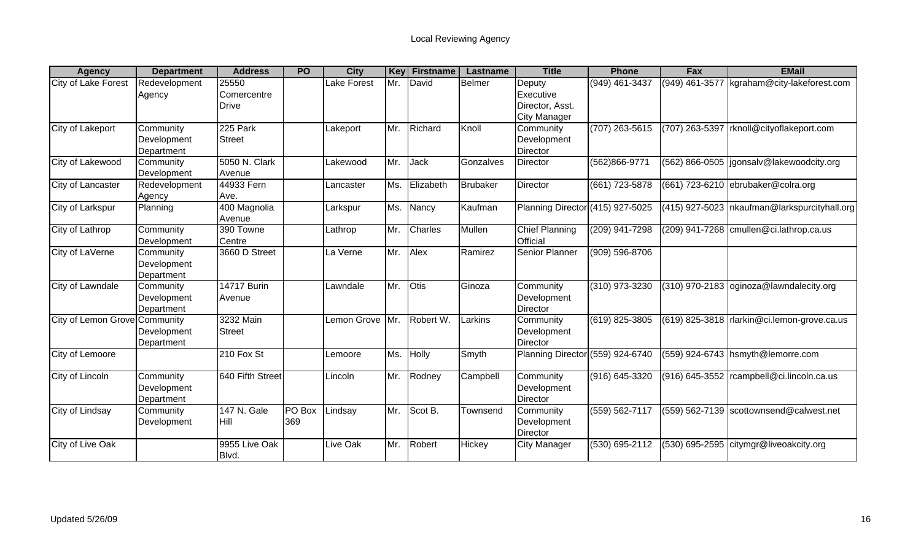| <b>Agency</b>                 | <b>Department</b>                      | <b>Address</b>                       | <b>PO</b>     | <b>City</b>     | Key | <b>Firstname</b> | Lastname      | <b>Title</b>                                                  | <b>Phone</b>     | <b>Fax</b>     | <b>EMail</b>                                   |
|-------------------------------|----------------------------------------|--------------------------------------|---------------|-----------------|-----|------------------|---------------|---------------------------------------------------------------|------------------|----------------|------------------------------------------------|
| City of Lake Forest           | Redevelopment<br>Agency                | 25550<br>Comercentre<br><b>Drive</b> |               | Lake Forest     | Mr. | David            | <b>Belmer</b> | Deputy<br>Executive<br>Director, Asst.<br><b>City Manager</b> | (949) 461-3437   | (949) 461-3577 | kgraham@city-lakeforest.com                    |
| City of Lakeport              | Community<br>Development<br>Department | 225 Park<br><b>Street</b>            |               | Lakeport        | Mr. | Richard          | Knoll         | Community<br>Development<br>Director                          | $(707)$ 263-5615 |                | (707) 263-5397 rknoll@cityoflakeport.com       |
| City of Lakewood              | Community<br>Development               | 5050 N. Clark<br>Avenue              |               | Lakewood        | Mr. | Jack             | Gonzalves     | Director                                                      | (562)866-9771    |                | (562) 866-0505   jgonsalv@lakewoodcity.org     |
| City of Lancaster             | Redevelopment<br>Agency                | 44933 Fern<br>Ave.                   |               | Lancaster       | Ms. | Elizabeth        | Brubaker      | <b>Director</b>                                               | (661) 723-5878   |                | $(661)$ 723-6210 ebrubaker@colra.org           |
| City of Larkspur              | Planning                               | 400 Magnolia<br>Avenue               |               | Larkspur        | Ms. | Nancy            | Kaufman       | Planning Director (415) 927-5025                              |                  |                | (415) 927-5023   nkaufman@larkspurcityhall.org |
| City of Lathrop               | Community<br>Development               | 390 Towne<br>Centre                  |               | Lathrop         | Mr. | <b>Charles</b>   | Mullen        | <b>Chief Planning</b><br>Official                             | (209) 941-7298   |                | (209) 941-7268 cmullen@ci.lathrop.ca.us        |
| City of LaVerne               | Community<br>Development<br>Department | 3660 D Street                        |               | La Verne        | Mr. | Alex             | Ramirez       | Senior Planner                                                | (909) 596-8706   |                |                                                |
| City of Lawndale              | Community<br>Development<br>Department | <b>14717 Burin</b><br>Avenue         |               | Lawndale        | Mr. | <b>Otis</b>      | Ginoza        | Community<br>Development<br>Director                          | (310) 973-3230   |                | (310) 970-2183 oginoza@lawndalecity.org        |
| City of Lemon Grove Community | Development<br>Department              | 3232 Main<br><b>Street</b>           |               | Lemon Grove     | Mr. | Robert W.        | Larkins       | Community<br>Development<br><b>Director</b>                   | (619) 825-3805   |                | (619) 825-3818   rlarkin@ci.lemon-grove.ca.us  |
| City of Lemoore               |                                        | 210 Fox St                           |               | Lemoore         | Ms. | Holly            | Smyth         | Planning Director (559) 924-6740                              |                  |                | (559) 924-6743 hsmyth@lemorre.com              |
| City of Lincoln               | Community<br>Development<br>Department | 640 Fifth Street                     |               | Lincoln         | Mr. | Rodney           | Campbell      | Community<br>Development<br>Director                          | (916) 645-3320   |                | (916) 645-3552 rcampbell@ci.lincoln.ca.us      |
| City of Lindsay               | Community<br>Development               | <b>147 N. Gale</b><br>l Hill         | PO Box<br>369 | Lindsay         | Mr. | Scot B.          | Townsend      | Community<br>Development<br>Director                          | (559) 562-7117   |                | (559) 562-7139 scottownsend@calwest.net        |
| City of Live Oak              |                                        | 9955 Live Oak<br>Blvd.               |               | <b>Live Oak</b> | Mr. | <b>Robert</b>    | Hickey        | <b>City Manager</b>                                           | (530) 695-2112   |                | (530) 695-2595 citymgr@liveoakcity.org         |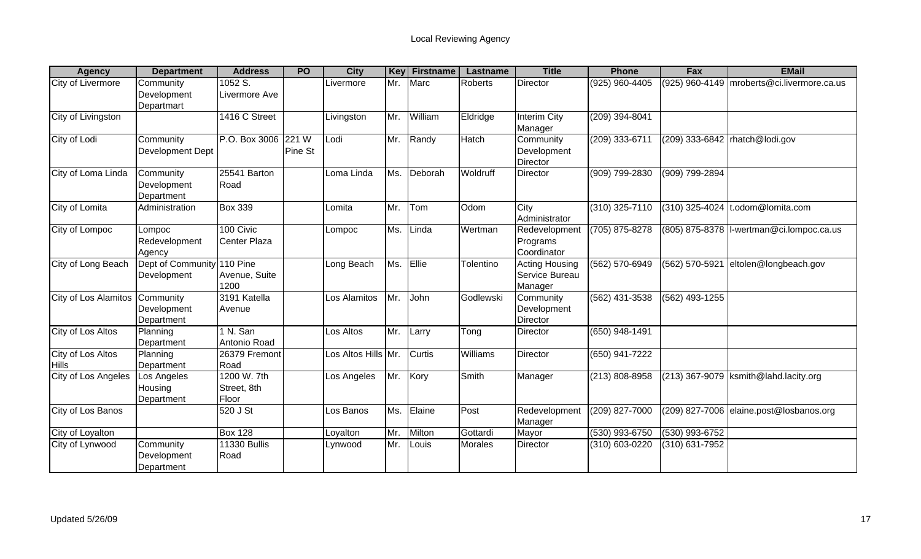| <b>Agency</b>               | <b>Department</b>          | <b>Address</b>      | <b>PO</b> | <b>City</b>         | <b>Key</b> | <b>Firstname</b> | Lastname       | <b>Title</b>          | <b>Phone</b>       | Fax              | <b>EMail</b>                               |
|-----------------------------|----------------------------|---------------------|-----------|---------------------|------------|------------------|----------------|-----------------------|--------------------|------------------|--------------------------------------------|
| <b>City of Livermore</b>    | Community                  | 1052 S.             |           | Livermore           | Mr.        | Marc             | <b>Roberts</b> | Director              | (925) 960-4405     |                  | (925) 960-4149 mroberts@ci.livermore.ca.us |
|                             | Development                | Livermore Ave       |           |                     |            |                  |                |                       |                    |                  |                                            |
|                             | Departmart                 |                     |           |                     |            |                  |                |                       |                    |                  |                                            |
| City of Livingston          |                            | 1416 C Street       |           | Livingston          | Mr.        | William          | Eldridge       | <b>Interim City</b>   | $(209)$ 394-8041   |                  |                                            |
|                             |                            |                     |           |                     |            |                  |                | Manager               |                    |                  |                                            |
| City of Lodi                | Community                  | P.O. Box 3006 221 W |           | Lodi                | Mr.        | Randy            | Hatch          | Community             | (209) 333-6711     |                  | (209) 333-6842   rhatch@lodi.gov           |
|                             | Development Dept           |                     | Pine St   |                     |            |                  |                | Development           |                    |                  |                                            |
|                             |                            |                     |           |                     |            |                  |                | Director              |                    |                  |                                            |
| City of Loma Linda          | Community                  | 25541 Barton        |           | Loma Linda          | Ms.        | Deborah          | Woldruff       | Director              | (909) 799-2830     | (909) 799-2894   |                                            |
|                             | Development                | Road                |           |                     |            |                  |                |                       |                    |                  |                                            |
|                             | Department                 |                     |           |                     |            |                  |                |                       |                    |                  |                                            |
| City of Lomita              | Administration             | <b>Box 339</b>      |           | Lomita              | Mr.        | Tom              | Odom           | City                  | (310) 325-7110     | (310) 325-4024   | .odom@lomita.com                           |
|                             |                            |                     |           |                     |            |                  |                | Administrator         |                    |                  |                                            |
| City of Lompoc              | Lompoc                     | 100 Civic           |           | Lompoc              | Ms.        | Linda            | Wertman        | Redevelopment         | (705) 875-8278     |                  | (805) 875-8378   I-wertman@ci.lompoc.ca.us |
|                             | Redevelopment              | Center Plaza        |           |                     |            |                  |                | Programs              |                    |                  |                                            |
|                             | Agency                     |                     |           |                     |            |                  |                | Coordinator           |                    |                  |                                            |
| City of Long Beach          | Dept of Community 110 Pine |                     |           | Long Beach          | Ms.        | Ellie            | Tolentino      | <b>Acting Housing</b> | (562) 570-6949     | (562) 570-5921   | eltolen@longbeach.gov                      |
|                             | Development                | Avenue, Suite       |           |                     |            |                  |                | Service Bureau        |                    |                  |                                            |
|                             |                            | 1200                |           |                     |            |                  |                | Manager               |                    |                  |                                            |
| <b>City of Los Alamitos</b> | Community                  | 3191 Katella        |           | Los Alamitos        | Mr.        | John             | Godlewski      | Community             | $(562)$ 431-3538   | $(562)$ 493-1255 |                                            |
|                             | Development                | Avenue              |           |                     |            |                  |                | Development           |                    |                  |                                            |
|                             | Department                 |                     |           |                     |            |                  |                | Director              |                    |                  |                                            |
| City of Los Altos           | Planning                   | 1 N. San            |           | Los Altos           | Mr.        | Larry            | Tong           | Director              | $(650)$ 948-1491   |                  |                                            |
|                             | Department                 | Antonio Road        |           |                     |            |                  |                |                       |                    |                  |                                            |
| City of Los Altos           | Planning                   | 26379 Fremont       |           | Los Altos Hills Mr. |            | <b>Curtis</b>    | Williams       | Director              | (650) 941-7222     |                  |                                            |
| <b>Hills</b>                | Department                 | Road                |           |                     |            |                  |                |                       |                    |                  |                                            |
| City of Los Angeles         | Los Angeles                | 1200 W. 7th         |           | Los Angeles         | Mr.        | Kory             | <b>Smith</b>   | Manager               | $(213) 808 - 8958$ |                  | (213) 367-9079  ksmith@lahd.lacity.org     |
|                             | Housing                    | Street, 8th         |           |                     |            |                  |                |                       |                    |                  |                                            |
|                             | Department                 | Floor               |           |                     |            |                  |                |                       |                    |                  |                                            |
| City of Los Banos           |                            | 520 J St            |           | Los Banos           | Ms.        | Elaine           | Post           | Redevelopment         | $(209)$ 827-7000   |                  | (209) 827-7006 elaine.post@losbanos.org    |
|                             |                            |                     |           |                     |            |                  |                | Manager               |                    |                  |                                            |
| City of Loyalton            |                            | <b>Box 128</b>      |           | Loyalton            | Mr.        | Milton           | Gottardi       | Mayor                 | (530) 993-6750     | (530) 993-6752   |                                            |
| City of Lynwood             | Community                  | <b>11330 Bullis</b> |           | Lynwood             | Mr.        | Louis            | <b>Morales</b> | <b>Director</b>       | (310) 603-0220     | (310) 631-7952   |                                            |
|                             | Development                | Road                |           |                     |            |                  |                |                       |                    |                  |                                            |
|                             | Department                 |                     |           |                     |            |                  |                |                       |                    |                  |                                            |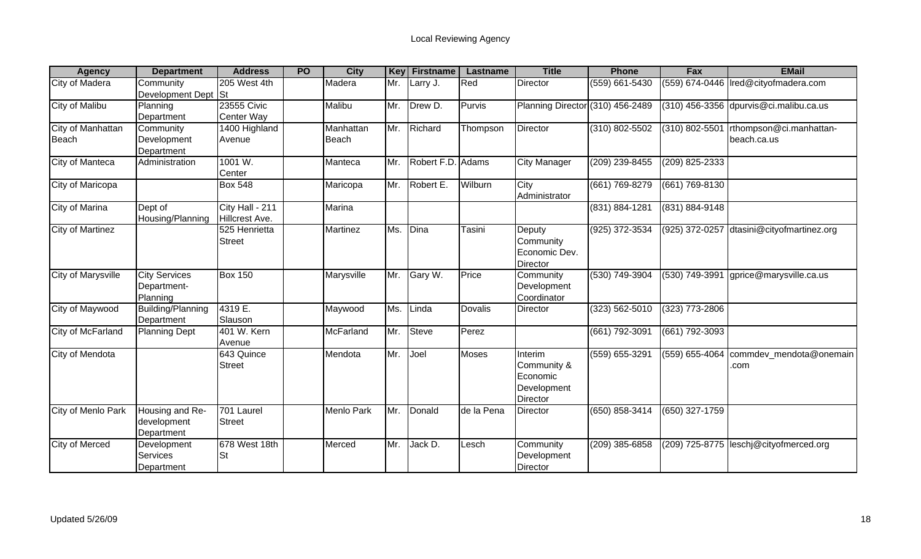| <b>Agency</b>         | <b>Department</b>    | <b>Address</b>    | <b>PO</b> | <b>City</b>       | <b>Key</b> | <b>Firstname</b>  | Lastname       | <b>Title</b>                     | <b>Phone</b>       | Fax              | <b>EMail</b>                             |
|-----------------------|----------------------|-------------------|-----------|-------------------|------------|-------------------|----------------|----------------------------------|--------------------|------------------|------------------------------------------|
| <b>City of Madera</b> | Community            | 205 West 4th      |           | Madera            | Mr.        | Larry J.          | Red            | Director                         | (559) 661-5430     |                  | (559) 674-0446   Ired@cityofmadera.com   |
|                       | Development Dept St  |                   |           |                   |            |                   |                |                                  |                    |                  |                                          |
| City of Malibu        | Planning             | 23555 Civic       |           | Malibu            | Mr.        | Drew D.           | Purvis         | Planning Director (310) 456-2489 |                    |                  | $(310)$ 456-3356 dpurvis@ci.malibu.ca.us |
|                       | Department           | <b>Center Way</b> |           |                   |            |                   |                |                                  |                    |                  |                                          |
| City of Manhattan     | Community            | 1400 Highland     |           | Manhattan         | Mr.        | Richard           | Thompson       | <b>Director</b>                  | (310) 802-5502     | (310) 802-5501   | rthompson@ci.manhattan-                  |
| Beach                 | Development          | Avenue            |           | Beach             |            |                   |                |                                  |                    |                  | beach.ca.us                              |
|                       | Department           |                   |           |                   |            |                   |                |                                  |                    |                  |                                          |
| City of Manteca       | Administration       | 1001 W.           |           | Manteca           | Mr.        | Robert F.D. Adams |                | City Manager                     | (209) 239-8455     | (209) 825-2333   |                                          |
|                       |                      | Center            |           |                   |            |                   |                |                                  |                    |                  |                                          |
| City of Maricopa      |                      | <b>Box 548</b>    |           | Maricopa          | Mr.        | Robert E.         | Wilburn        | City                             | (661) 769-8279     | (661) 769-8130   |                                          |
|                       |                      |                   |           |                   |            |                   |                | Administrator                    |                    |                  |                                          |
| City of Marina        | Dept of              | City Hall - 211   |           | Marina            |            |                   |                |                                  | (831) 884-1281     | (831) 884-9148   |                                          |
|                       | Housing/Planning     | Hillcrest Ave.    |           |                   |            |                   |                |                                  |                    |                  |                                          |
| City of Martinez      |                      | 525 Henrietta     |           | Martinez          | Ms.        | Dina              | Tasini         | Deputy                           | (925) 372-3534     | (925) 372-0257   | dtasini@cityofmartinez.org               |
|                       |                      | <b>Street</b>     |           |                   |            |                   |                | Community                        |                    |                  |                                          |
|                       |                      |                   |           |                   |            |                   |                | Economic Dev.                    |                    |                  |                                          |
|                       |                      |                   |           |                   |            |                   |                | Director                         |                    |                  |                                          |
| City of Marysville    | <b>City Services</b> | <b>Box 150</b>    |           | Marysville        | Mr.        | Gary W.           | Price          | Community                        | (530) 749-3904     | $(530)$ 749-3991 | gprice@marysville.ca.us                  |
|                       | Department-          |                   |           |                   |            |                   |                | Development                      |                    |                  |                                          |
|                       | Planning             |                   |           |                   |            |                   |                | Coordinator                      |                    |                  |                                          |
| City of Maywood       | Building/Planning    | 4319 E.           |           | Maywood           | Ms.        | Linda             | <b>Dovalis</b> | Director                         | $(323) 562 - 5010$ | (323) 773-2806   |                                          |
|                       | Department           | Slauson           |           |                   |            |                   |                |                                  |                    |                  |                                          |
| City of McFarland     | <b>Planning Dept</b> | 401 W. Kern       |           | McFarland         | Mr.        | <b>Steve</b>      | Perez          |                                  | (661) 792-3091     | $(661)$ 792-3093 |                                          |
|                       |                      | Avenue            |           |                   |            |                   |                |                                  |                    |                  |                                          |
| City of Mendota       |                      | 643 Quince        |           | Mendota           | Mr.        | Joel              | <b>Moses</b>   | Interim                          | $(559)$ 655-3291   |                  | (559) 655-4064   commdev_mendota@onemain |
|                       |                      | <b>Street</b>     |           |                   |            |                   |                | Community &                      |                    |                  | .com                                     |
|                       |                      |                   |           |                   |            |                   |                | Economic                         |                    |                  |                                          |
|                       |                      |                   |           |                   |            |                   |                | Development                      |                    |                  |                                          |
|                       |                      |                   |           |                   |            |                   |                | Director                         |                    |                  |                                          |
| City of Menlo Park    | Housing and Re-      | 701 Laurel        |           | <b>Menlo Park</b> | Mr.        | Donald            | de la Pena     | Director                         | (650) 858-3414     | (650) 327-1759   |                                          |
|                       | development          | <b>Street</b>     |           |                   |            |                   |                |                                  |                    |                  |                                          |
|                       | Department           |                   |           |                   |            |                   |                |                                  |                    |                  |                                          |
| City of Merced        | Development          | 678 West 18th     |           | Merced            | Mr.        | Jack D.           | Lesch          | Community                        | (209) 385-6858     |                  | (209) 725-8775 leschj@cityofmerced.org   |
|                       | <b>Services</b>      | <b>St</b>         |           |                   |            |                   |                | Development                      |                    |                  |                                          |
|                       | Department           |                   |           |                   |            |                   |                | Director                         |                    |                  |                                          |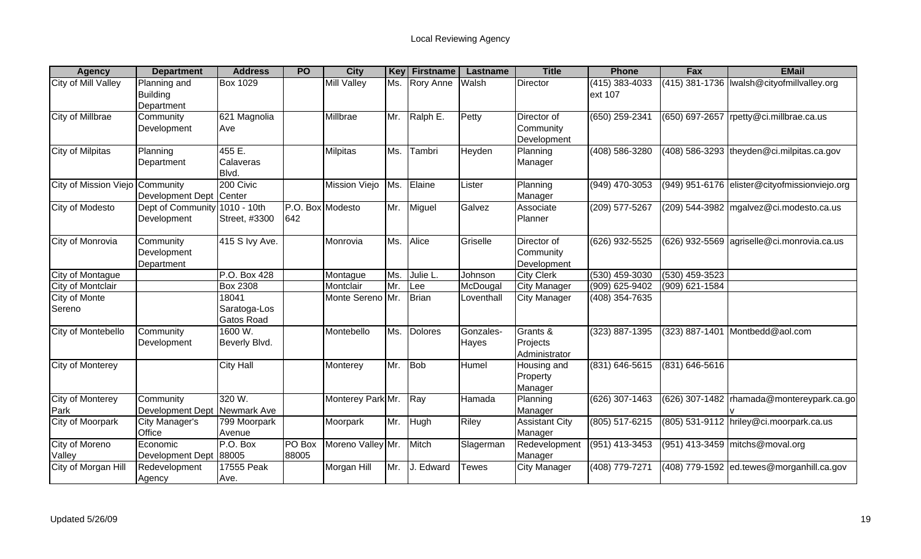| <b>Agency</b>                   | <b>Department</b>       | <b>Address</b>        | <b>PO</b>        | <b>City</b>          | <b>Key</b> | <b>Firstname</b> | Lastname     | <b>Title</b>          | <b>Phone</b>   | Fax                | <b>EMail</b>                                  |
|---------------------------------|-------------------------|-----------------------|------------------|----------------------|------------|------------------|--------------|-----------------------|----------------|--------------------|-----------------------------------------------|
| <b>City of Mill Valley</b>      | Planning and            | <b>Box 1029</b>       |                  | <b>Mill Valley</b>   | Ms.        | <b>Rory Anne</b> | Walsh        | Director              | (415) 383-4033 |                    | (415) 381-1736   Iwalsh@cityofmillvalley.org  |
|                                 | <b>Building</b>         |                       |                  |                      |            |                  |              |                       | ext 107        |                    |                                               |
|                                 | Department              |                       |                  |                      |            |                  |              |                       |                |                    |                                               |
| <b>City of Millbrae</b>         | Community               | 621 Magnolia          |                  | Millbrae             | Mr.        | Ralph E.         | Petty        | Director of           | (650) 259-2341 | (650) 697-2657     | rpetty@ci.millbrae.ca.us                      |
|                                 | Development             | Ave                   |                  |                      |            |                  |              | Community             |                |                    |                                               |
|                                 |                         |                       |                  |                      |            |                  |              | Development           |                |                    |                                               |
| <b>City of Milpitas</b>         | Planning                | 455 E.                |                  | <b>Milpitas</b>      | Ms.        | Tambri           | Heyden       | Planning              | (408) 586-3280 |                    | $(408)$ 586-3293  theyden@ci.milpitas.ca.gov  |
|                                 | Department              | Calaveras             |                  |                      |            |                  |              | Manager               |                |                    |                                               |
|                                 |                         | Blvd.<br>200 Civic    |                  |                      |            |                  |              |                       |                |                    |                                               |
| City of Mission Viejo Community | <b>Development Dept</b> |                       |                  | <b>Mission Viejo</b> | Ms.        | Elaine           | Lister       | Planning              | (949) 470-3053 |                    | (949) 951-6176 elister@cityofmissionviejo.org |
| City of Modesto                 | Dept of Community       | Center<br>1010 - 10th | P.O. Box Modesto |                      | Mr.        | Miguel           | Galvez       | Manager<br>Associate  | (209) 577-5267 |                    | $(209)$ 544-3982 mgalvez@ci.modesto.ca.us     |
|                                 | Development             | Street, #3300         | 642              |                      |            |                  |              | Planner               |                |                    |                                               |
|                                 |                         |                       |                  |                      |            |                  |              |                       |                |                    |                                               |
| City of Monrovia                | Community               | 415 S Ivy Ave.        |                  | Monrovia             | Ms.        | Alice            | Griselle     | Director of           | (626) 932-5525 |                    | (626) 932-5569 agriselle@ci.monrovia.ca.us    |
|                                 | Development             |                       |                  |                      |            |                  |              | Community             |                |                    |                                               |
|                                 | Department              |                       |                  |                      |            |                  |              | Development           |                |                    |                                               |
| <b>City of Montague</b>         |                         | P.O. Box 428          |                  | Montague             | Ms.        | Julie L.         | Johnson      | <b>City Clerk</b>     | (530) 459-3030 | $(530)$ 459-3523   |                                               |
| City of Montclair               |                         | <b>Box 2308</b>       |                  | Montclair            | Mr.        | Lee              | McDougal     | <b>City Manager</b>   | (909) 625-9402 | (909) 621-1584     |                                               |
| <b>City of Monte</b>            |                         | 18041                 |                  | Monte Sereno Mr.     |            | <b>Brian</b>     | Loventhall   | City Manager          | (408) 354-7635 |                    |                                               |
| Sereno                          |                         | Saratoga-Los          |                  |                      |            |                  |              |                       |                |                    |                                               |
|                                 |                         | <b>Gatos Road</b>     |                  |                      |            |                  |              |                       |                |                    |                                               |
| City of Montebello              | Community               | 1600 W.               |                  | Montebello           | Ms.        | <b>Dolores</b>   | Gonzales-    | Grants &              | (323) 887-1395 | (323) 887-1401     | Montbedd@aol.com                              |
|                                 | Development             | Beverly Blvd.         |                  |                      |            |                  | <b>Hayes</b> | Projects              |                |                    |                                               |
|                                 |                         |                       |                  |                      |            |                  |              | Administrator         |                |                    |                                               |
| <b>City of Monterey</b>         |                         | <b>City Hall</b>      |                  | Monterey             | Mr.        | Bob              | Humel        | Housing and           | (831) 646-5615 | $(831) 646 - 5616$ |                                               |
|                                 |                         |                       |                  |                      |            |                  |              | Property              |                |                    |                                               |
|                                 |                         |                       |                  |                      |            |                  |              | Manager               |                |                    |                                               |
| <b>City of Monterey</b>         | Community               | 320 W.                |                  | Monterey Park Mr.    |            | $\vert$ Ray      | Hamada       | Planning              | (626) 307-1463 |                    | (626) 307-1482 rhamada@montereypark.ca.go     |
| Park                            | Development Dept        | Newmark Ave           |                  |                      |            |                  |              | Manager               |                |                    |                                               |
| City of Moorpark                | City Manager's          | 799 Moorpark          |                  | Moorpark             | Mr.        | Hugh             | Riley        | <b>Assistant City</b> | (805) 517-6215 |                    | (805) 531-9112 hriley@ci.moorpark.ca.us       |
|                                 | Office                  | Avenue                |                  |                      |            |                  |              | Manager               |                |                    |                                               |
| City of Moreno                  | Economic                | P.O. Box              | PO Box           | Moreno Valley Mr.    |            | Mitch            | Slagerman    | Redevelopment         | (951) 413-3453 |                    | (951) 413-3459 mitchs@moval.org               |
| Valley                          | Development Dept 88005  |                       | 88005            |                      |            |                  |              | Manager               |                |                    |                                               |
| City of Morgan Hill             | Redevelopment           | 17555 Peak            |                  | Morgan Hill          | Mr.        | Edward           | Tewes        | <b>City Manager</b>   | (408) 779-7271 |                    | (408) 779-1592 ed.tewes@morganhill.ca.gov     |
|                                 | Agency                  | Ave.                  |                  |                      |            |                  |              |                       |                |                    |                                               |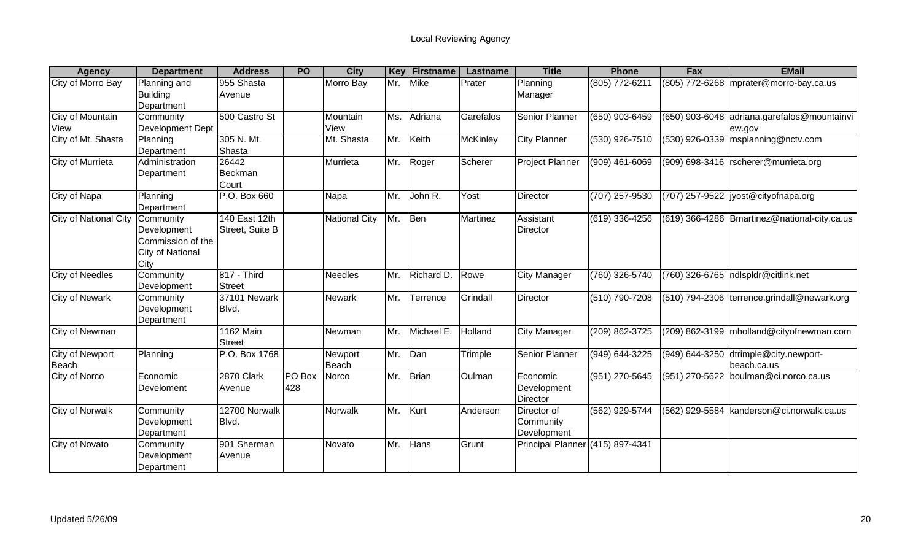| <b>Agency</b>                | <b>Department</b> | <b>Address</b>   | <b>PO</b> | <b>City</b>          | Key | <b>Firstname</b> | Lastname        | <b>Title</b>                     | <b>Phone</b>       | Fax              | <b>EMail</b>                                   |
|------------------------------|-------------------|------------------|-----------|----------------------|-----|------------------|-----------------|----------------------------------|--------------------|------------------|------------------------------------------------|
| City of Morro Bay            | Planning and      | 955 Shasta       |           | Morro Bay            | Mr. | <b>Mike</b>      | Prater          | Planning                         | (805) 772-6211     |                  | (805) 772-6268 mprater@morro-bay.ca.us         |
|                              | <b>Building</b>   | Avenue           |           |                      |     |                  |                 | Manager                          |                    |                  |                                                |
|                              | Department        |                  |           |                      |     |                  |                 |                                  |                    |                  |                                                |
| City of Mountain             | Community         | 500 Castro St    |           | Mountain             | Ms. | Adriana          | Garefalos       | <b>Senior Planner</b>            | $(650)$ 903-6459   | $(650)$ 903-6048 | adriana.garefalos@mountainvi                   |
| View                         | Development Dept  |                  |           | View                 |     |                  |                 |                                  |                    |                  | ew.gov                                         |
| City of Mt. Shasta           | Planning          | 305 N. Mt.       |           | Mt. Shasta           | Mr. | Keith            | <b>McKinley</b> | <b>City Planner</b>              | $(530)$ 926-7510   |                  | (530) 926-0339 msplanning@nctv.com             |
|                              | Department        | Shasta           |           |                      |     |                  |                 |                                  |                    |                  |                                                |
| City of Murrieta             | Administration    | 26442            |           | Murrieta             | Mr. | Roger            | Scherer         | Project Planner                  | $(909)$ 461-6069   |                  | (909) 698-3416   rscherer@murrieta.org         |
|                              | Department        | Beckman          |           |                      |     |                  |                 |                                  |                    |                  |                                                |
|                              |                   | Court            |           |                      |     |                  |                 |                                  |                    |                  |                                                |
| City of Napa                 | Planning          | P.O. Box 660     |           | Napa                 | Mr. | John R.          | Yost            | Director                         | (707) 257-9530     |                  | (707) 257-9522  jyost@cityofnapa.org           |
|                              | Department        |                  |           |                      |     |                  |                 |                                  |                    |                  |                                                |
| <b>City of National City</b> | Community         | 140 East 12th    |           | <b>National City</b> | Mr. | Ben              | <b>Martinez</b> | Assistant                        | (619) 336-4256     |                  | (619) 366-4286   Bmartinez@national-city.ca.us |
|                              | Development       | Street, Suite B  |           |                      |     |                  |                 | <b>Director</b>                  |                    |                  |                                                |
|                              | Commission of the |                  |           |                      |     |                  |                 |                                  |                    |                  |                                                |
|                              | City of National  |                  |           |                      |     |                  |                 |                                  |                    |                  |                                                |
|                              | City              |                  |           |                      |     |                  |                 |                                  |                    |                  |                                                |
| <b>City of Needles</b>       | Community         | 817 - Third      |           | <b>Needles</b>       | Mr. | Richard D.       | Rowe            | <b>City Manager</b>              | (760) 326-5740     |                  | (760) 326-6765  ndlspldr@citlink.net           |
|                              | Development       | <b>Street</b>    |           |                      |     |                  |                 |                                  |                    |                  |                                                |
| <b>City of Newark</b>        | Community         | 37101 Newark     |           | Newark               | Mr. | Terrence         | Grindall        | Director                         | $(510) 790 - 7208$ |                  | (510) 794-2306 terrence.grindall@newark.org    |
|                              | Development       | Blvd.            |           |                      |     |                  |                 |                                  |                    |                  |                                                |
|                              | Department        |                  |           |                      |     |                  |                 |                                  |                    |                  |                                                |
| City of Newman               |                   | <b>1162 Main</b> |           | Newman               | Mr. | Michael E.       | Holland         | <b>City Manager</b>              | (209) 862-3725     |                  | (209) 862-3199   mholland@cityofnewman.com     |
|                              |                   | <b>Street</b>    |           |                      |     |                  |                 |                                  |                    |                  |                                                |
| <b>City of Newport</b>       | Planning          | P.O. Box 1768    |           | Newport              | Mr. | Dan              | Trimple         | Senior Planner                   | (949) 644-3225     |                  | (949) 644-3250 dtrimple@city.newport-          |
| <b>Beach</b>                 |                   |                  |           | Beach                |     |                  |                 |                                  |                    |                  | beach.ca.us                                    |
| City of Norco                | Economic          | 2870 Clark       | PO Box    | Norco                | Mr. | <b>Brian</b>     | Oulman          | Economic                         | (951) 270-5645     | (951) 270-5622   | boulman@ci.norco.ca.us                         |
|                              | Develoment        | Avenue           | 428       |                      |     |                  |                 | Development                      |                    |                  |                                                |
|                              |                   |                  |           |                      |     |                  |                 | Director                         |                    |                  |                                                |
| <b>City of Norwalk</b>       | Community         | 12700 Norwalk    |           | Norwalk              | Mr. | Kurt             | Anderson        | Director of                      | (562) 929-5744     |                  | (562) 929-5584 kanderson@ci.norwalk.ca.us      |
|                              | Development       | Blvd.            |           |                      |     |                  |                 | Community                        |                    |                  |                                                |
|                              | Department        |                  |           |                      |     |                  |                 | Development                      |                    |                  |                                                |
| City of Novato               | Community         | 901 Sherman      |           | Novato               | Mr. | Hans             | Grunt           | Principal Planner (415) 897-4341 |                    |                  |                                                |
|                              | Development       | Avenue           |           |                      |     |                  |                 |                                  |                    |                  |                                                |
|                              | Department        |                  |           |                      |     |                  |                 |                                  |                    |                  |                                                |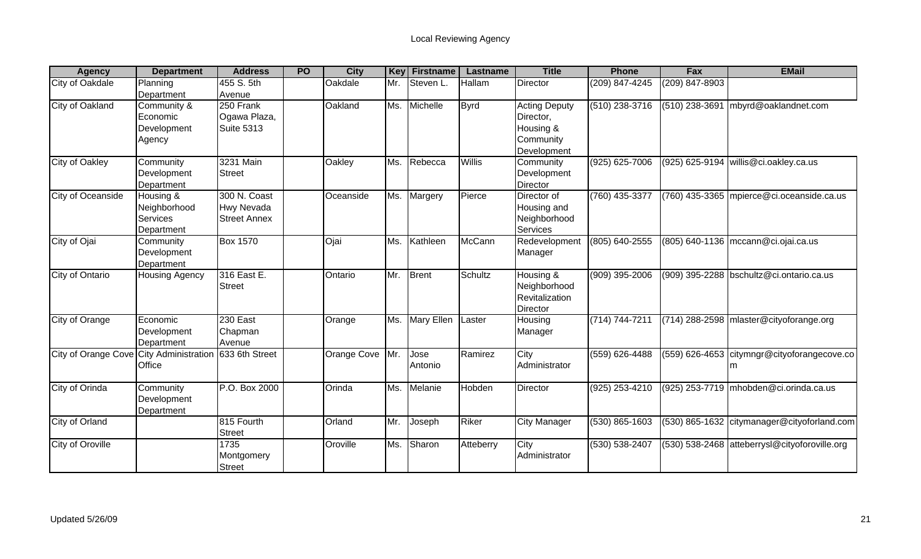| <b>Agency</b>                           | <b>Department</b>                                   | <b>Address</b>                                    | <b>PO</b> | <b>City</b>   | Key | <b>Firstname</b> | Lastname    | <b>Title</b>                                                               | <b>Phone</b>       | Fax            | <b>EMail</b>                                     |
|-----------------------------------------|-----------------------------------------------------|---------------------------------------------------|-----------|---------------|-----|------------------|-------------|----------------------------------------------------------------------------|--------------------|----------------|--------------------------------------------------|
| City of Oakdale                         | Planning<br>Department                              | 455 S. 5th<br>Avenue                              |           | Oakdale       | Mr. | Steven L         | Hallam      | <b>Director</b>                                                            | (209) 847-4245     | (209) 847-8903 |                                                  |
| <b>City of Oakland</b>                  | Community &<br>Economic<br>Development<br>Agency    | 250 Frank<br>Ogawa Plaza,<br><b>Suite 5313</b>    |           | Oakland       |     | Ms. Michelle     | <b>Byrd</b> | <b>Acting Deputy</b><br>Director,<br>Housing &<br>Community<br>Development | $(510)$ 238-3716   | (510) 238-3691 | mbyrd@oaklandnet.com                             |
| City of Oakley                          | Community<br>Development<br>Department              | 3231 Main<br><b>Street</b>                        |           | Oakley        | Ms. | Rebecca          | Willis      | Community<br>Development<br>Director                                       | $(925) 625 - 7006$ |                | (925) 625-9194 willis@ci.oakley.ca.us            |
| City of Oceanside                       | Housing &<br>Neighborhood<br>Services<br>Department | 300 N. Coast<br>Hwy Nevada<br><b>Street Annex</b> |           | Oceanside     | Ms. | <b>TMargery</b>  | Pierce      | Director of<br>Housing and<br>Neighborhood<br>Services                     | (760) 435-3377     |                | (760) 435-3365 mpierce@ci.oceanside.ca.us        |
| City of Ojai                            | Community<br>Development<br>Department              | <b>Box 1570</b>                                   |           | Ojai          | Ms. | Kathleen         | McCann      | Redevelopment<br>Manager                                                   | (805) 640-2555     |                | (805) 640-1136   mccann@ci.ojai.ca.us            |
| City of Ontario                         | <b>Housing Agency</b>                               | 316 East E.<br><b>Street</b>                      |           | Ontario       | Mr. | Brent            | Schultz     | Housing &<br>Neighborhood<br>Revitalization<br>Director                    | (909) 395-2006     |                | $(909)$ 395-2288 bschultz@ci.ontario.ca.us       |
| City of Orange                          | Economic<br>Development<br>Department               | 230 East<br>Chapman<br>Avenue                     |           | Orange        |     | Ms. Mary Ellen   | Laster      | Housing<br>Manager                                                         | (714) 744-7211     |                | (714) 288-2598 mlaster@cityoforange.org          |
| City of Orange Cove City Administration | Office                                              | 633 6th Street                                    |           | Orange Cove   | Mr. | Jose<br>Antonio  | Ramirez     | City<br>Administrator                                                      | $(559)$ 626-4488   |                | (559) 626-4653 citymngr@cityoforangecove.co<br>m |
| City of Orinda                          | Community<br>Development<br>Department              | P.O. Box 2000                                     |           | Orinda        | Ms. | Melanie          | Hobden      | Director                                                                   | (925) 253-4210     |                | (925) 253-7719 mhobden@ci.orinda.ca.us           |
| City of Orland                          |                                                     | 815 Fourth<br><b>Street</b>                       |           | <b>Orland</b> | Mr. | Joseph           | Riker       | <b>City Manager</b>                                                        | $(530) 865 - 1603$ |                | (530) 865-1632 citymanager@cityoforland.com      |
| City of Oroville                        |                                                     | 1735<br>Montgomery<br><b>Street</b>               |           | Oroville      | Ms. | Sharon           | Atteberry   | City<br>Administrator                                                      | (530) 538-2407     |                | (530) 538-2468 atteberrysl@cityoforoville.org    |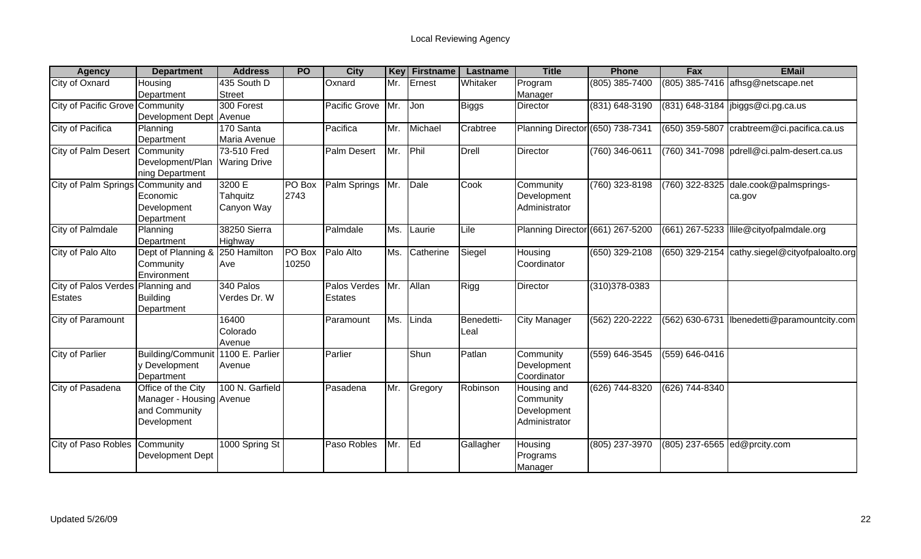| <b>Agency</b>                                | <b>Department</b>                                                              | <b>Address</b>                     | <b>PO</b>              | <b>City</b>             | <b>Key</b> | Firstname | Lastname           | <b>Title</b>                                             | <b>Phone</b>       | Fax                | <b>EMail</b>                               |
|----------------------------------------------|--------------------------------------------------------------------------------|------------------------------------|------------------------|-------------------------|------------|-----------|--------------------|----------------------------------------------------------|--------------------|--------------------|--------------------------------------------|
| City of Oxnard                               | Housing<br>Department                                                          | 435 South D<br><b>Street</b>       |                        | Oxnard                  | Mr.        | Ernest    | Whitaker           | Program<br>Manager                                       | (805) 385-7400     | (805) 385-7416     | afhsg@netscape.net                         |
| City of Pacific Grove                        | Community<br>Development Dept                                                  | 300 Forest<br>Avenue               |                        | Pacific Grove           | Mr.        | Jon       | <b>Biggs</b>       | <b>Director</b>                                          | (831) 648-3190     |                    | (831) 648-3184  jbiggs@ci.pg.ca.us         |
| <b>City of Pacifica</b>                      | Planning<br>Department                                                         | 170 Santa<br>Maria Avenue          |                        | Pacifica                | Mr.        | Michael   | Crabtree           | Planning Director (650) 738-7341                         |                    | (650) 359-5807     | crabtreem@ci.pacifica.ca.us                |
| <b>City of Palm Desert</b>                   | Community<br>Development/Plan<br>ning Department                               | 73-510 Fred<br><b>Waring Drive</b> |                        | <b>Palm Desert</b>      | Mr.        | Phil      | <b>Drell</b>       | Director                                                 | $(760)$ 346-0611   |                    | (760) 341-7098 pdrell@ci.palm-desert.ca.us |
| City of Palm Springs                         | Community and<br>Economic<br>Development<br>Department                         | 3200 E<br>Tahquitz<br>Canyon Way   | PO Box<br>2743         | Palm Springs            | Mr.        | Dale      | Cook               | Community<br>Development<br>Administrator                | (760) 323-8198     | (760) 322-8325     | dale.cook@palmsprings-<br>ca.gov           |
| City of Palmdale                             | Planning<br>Department                                                         | 38250 Sierra<br>Highway            |                        | Palmdale                | Ms.        | Laurie    | Lile               | Planning Director (661) 267-5200                         |                    | (661) 267-5233     | llile@cityofpalmdale.org                   |
| City of Palo Alto                            | Dept of Planning &<br>Community<br>Environment                                 | 250 Hamilton<br>Ave                | <b>PO</b> Box<br>10250 | Palo Alto               | Ms.        | Catherine | Siegel             | Housing<br>Coordinator                                   | (650) 329-2108     | (650) 329-2154     | cathy.siegel@cityofpaloalto.org            |
| City of Palos Verdes Planning and<br>Estates | <b>Building</b><br>Department                                                  | 340 Palos<br>Verdes Dr. W          |                        | Palos Verdes<br>Estates | Mr.        | Allan     | Rigg               | Director                                                 | $(310)378 - 0383$  |                    |                                            |
| City of Paramount                            |                                                                                | 16400<br>Colorado<br>Avenue        |                        | Paramount               | Ms.        | Linda     | Benedetti-<br>Leal | <b>City Manager</b>                                      | (562) 220-2222     | (562) 630-6731     | Ibenedetti@paramountcity.com               |
| <b>City of Parlier</b>                       | Building/Communit 1100 E. Parlier<br>y Development<br>Department               | Avenue                             |                        | Parlier                 |            | Shun      | Patlan             | Community<br>Development<br>Coordinator                  | $(559) 646 - 3545$ | $(559) 646 - 0416$ |                                            |
| City of Pasadena                             | Office of the City<br>Manager - Housing Avenue<br>and Community<br>Development | 100 N. Garfield                    |                        | Pasadena                | Mr.        | Gregory   | Robinson           | Housing and<br>Community<br>Development<br>Administrator | (626) 744-8320     | (626) 744-8340     |                                            |
| City of Paso Robles                          | Community<br>Development Dept                                                  | 1000 Spring St                     |                        | Paso Robles             | Mr.        | Eq        | Gallagher          | Housing<br>Programs<br>Manager                           | (805) 237-3970     | (805) 237-6565     | ed@prcity.com                              |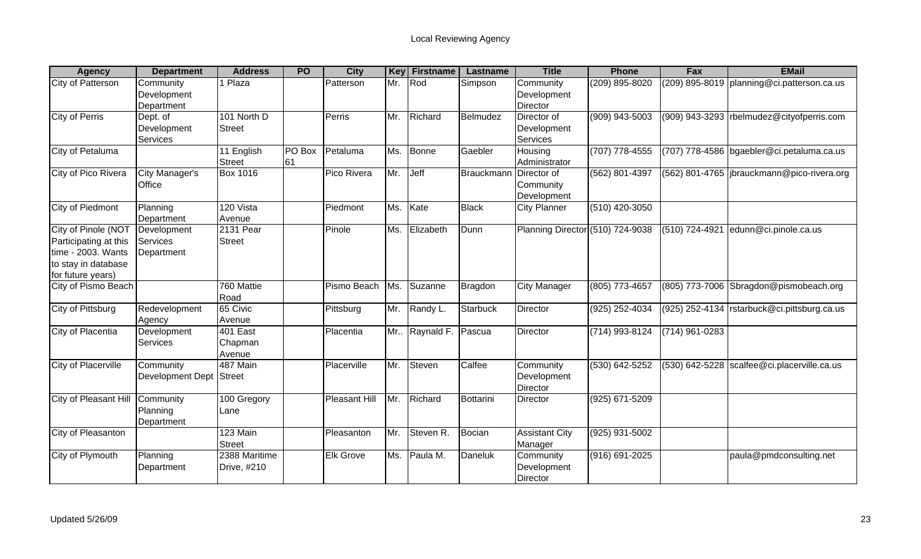| <b>Agency</b>              | <b>Department</b>        | <b>Address</b>  | <b>PO</b> | <b>City</b>          | <b>Key</b> | <b>Firstname</b>     | Lastname        | <b>Title</b>                            | <b>Phone</b>   | Fax            | <b>EMail</b>                                  |
|----------------------------|--------------------------|-----------------|-----------|----------------------|------------|----------------------|-----------------|-----------------------------------------|----------------|----------------|-----------------------------------------------|
| City of Patterson          | Community<br>Development | <b>Plaza</b>    |           | Patterson            | Mr.        | Rod                  | Simpson         | Community<br>Development                | (209) 895-8020 |                | (209) 895-8019   planning@ci.patterson.ca.us  |
|                            | Department               |                 |           |                      |            |                      |                 | <b>Director</b>                         |                |                |                                               |
| <b>City of Perris</b>      | Dept. of                 | 101 North D     |           | Perris               | Mr.        | Richard              | Belmudez        | Director of                             | (909) 943-5003 |                | (909) 943-3293 rbelmudez@cityofperris.com     |
|                            | Development              | <b>Street</b>   |           |                      |            |                      |                 | Development                             |                |                |                                               |
|                            | Services                 |                 |           |                      |            |                      |                 | <b>Services</b>                         |                |                |                                               |
| City of Petaluma           |                          | 11 English      | PO Box    | Petaluma             | Ms.        | <b>Bonne</b>         | Gaebler         | Housing                                 | (707) 778-4555 |                | (707) 778-4586 bgaebler@ci.petaluma.ca.us     |
|                            |                          | <b>Street</b>   | 61        |                      |            |                      |                 | Administrator                           |                |                |                                               |
| City of Pico Rivera        | City Manager's<br>Office | <b>Box 1016</b> |           | Pico Rivera          | Mr.        | Jeff                 | Brauckmann      | Director of<br>Community<br>Development | (562) 801-4397 |                | (562) 801-4765  jbrauckmann@pico-rivera.org   |
| City of Piedmont           | Planning                 | 120 Vista       |           | Piedmont             | Ms.        | Kate                 | <b>Black</b>    | <b>City Planner</b>                     | (510) 420-3050 |                |                                               |
|                            | Department               | Avenue          |           |                      |            |                      |                 |                                         |                |                |                                               |
| City of Pinole (NOT        | Development              | 2131 Pear       |           | Pinole               | Ms.        | Elizabeth            | Dunn            | Planning Director (510) 724-9038        |                | (510) 724-4921 | edunn@ci.pinole.ca.us                         |
| Participating at this      | Services                 | Street          |           |                      |            |                      |                 |                                         |                |                |                                               |
| time - 2003. Wants         | Department               |                 |           |                      |            |                      |                 |                                         |                |                |                                               |
| to stay in database        |                          |                 |           |                      |            |                      |                 |                                         |                |                |                                               |
| for future years)          |                          |                 |           |                      |            |                      |                 |                                         |                |                |                                               |
| City of Pismo Beach        |                          | 760 Mattie      |           | Pismo Beach          | Ms.        | Suzanne              | Bragdon         | <b>City Manager</b>                     | (805) 773-4657 |                | (805) 773-7006 Sbragdon@pismobeach.org        |
|                            |                          | Road            |           |                      |            |                      |                 |                                         |                |                |                                               |
| <b>City of Pittsburg</b>   | Redevelopment            | 65 Civic        |           | Pittsburg            | Mr.        | Randy L.             | <b>Starbuck</b> | Director                                | (925) 252-4034 |                | (925) 252-4134   rstarbuck@ci.pittsburg.ca.us |
|                            | Agency                   | Avenue          |           |                      |            |                      |                 |                                         |                |                |                                               |
| City of Placentia          | Development              | 401 East        |           | Placentia            |            | Mr Raynald F. Pascua |                 | <b>Director</b>                         | (714) 993-8124 | (714) 961-0283 |                                               |
|                            | Services                 | Chapman         |           |                      |            |                      |                 |                                         |                |                |                                               |
|                            |                          | Avenue          |           |                      |            |                      |                 |                                         |                |                |                                               |
| <b>City of Placerville</b> | Community                | 487 Main        |           | Placerville          | Mr.        | Steven               | Calfee          | Community                               | (530) 642-5252 |                | (530) 642-5228 scalfee@ci.placerville.ca.us   |
|                            | Development Dept Street  |                 |           |                      |            |                      |                 | Development                             |                |                |                                               |
|                            |                          |                 |           |                      |            |                      |                 | Director                                |                |                |                                               |
| City of Pleasant Hill      | Community                | 100 Gregory     |           | <b>Pleasant Hill</b> | Mr.        | Richard              | Bottarini       | Director                                | (925) 671-5209 |                |                                               |
|                            | Planning                 | Lane            |           |                      |            |                      |                 |                                         |                |                |                                               |
|                            | Department               |                 |           |                      |            |                      |                 |                                         |                |                |                                               |
| City of Pleasanton         |                          | 123 Main        |           | Pleasanton           | Mr.        | Steven R.            | Bocian          | <b>Assistant City</b>                   | (925) 931-5002 |                |                                               |
|                            |                          | <b>Street</b>   |           |                      |            |                      |                 | Manager                                 |                |                |                                               |
| City of Plymouth           | Planning                 | 2388 Maritime   |           | <b>Elk Grove</b>     | Ms.        | Paula M.             | Daneluk         | Community                               | (916) 691-2025 |                | paula@pmdconsulting.net                       |
|                            | Department               | Drive, #210     |           |                      |            |                      |                 | Development                             |                |                |                                               |
|                            |                          |                 |           |                      |            |                      |                 | Director                                |                |                |                                               |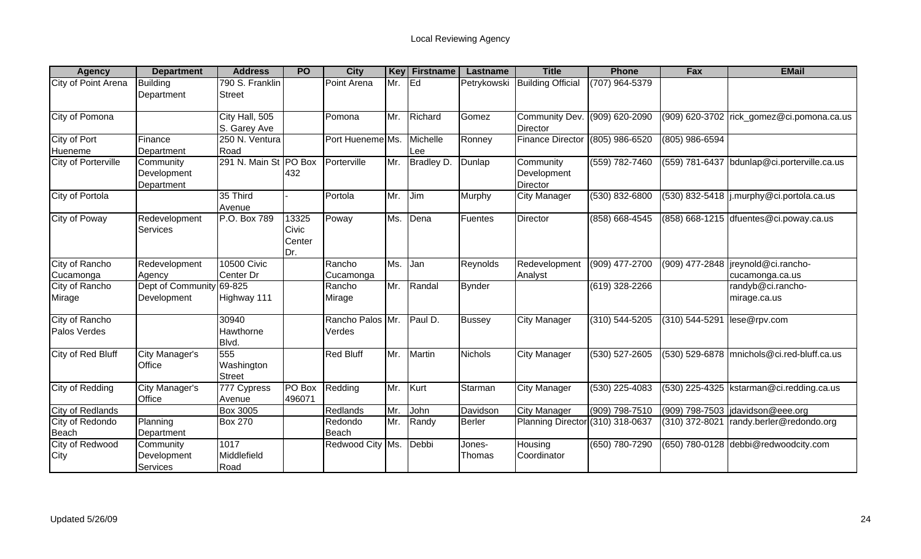| <b>Agency</b>                  | <b>Department</b>                      | <b>Address</b>                     | <b>PO</b>                       | <b>City</b>            | <b>Key</b> | <b>Firstname</b> | Lastname         | <b>Title</b>                                     | <b>Phone</b>       | Fax              | <b>EMail</b>                                            |
|--------------------------------|----------------------------------------|------------------------------------|---------------------------------|------------------------|------------|------------------|------------------|--------------------------------------------------|--------------------|------------------|---------------------------------------------------------|
| City of Point Arena            | <b>Building</b><br>Department          | 790 S. Franklin<br><b>Street</b>   |                                 | Point Arena            | Mr.        | lEd.             | Petrykowski      | <b>Building Official</b>                         | (707) 964-5379     |                  |                                                         |
| City of Pomona                 |                                        | City Hall, 505<br>S. Garey Ave     |                                 | Pomona                 | Mr.        | Richard          | Gomez            | Community Dev. (909) 620-2090<br><b>Director</b> |                    |                  | (909) 620-3702 rick_gomez@ci.pomona.ca.us               |
| City of Port<br>Hueneme        | Finance<br>Department                  | 250 N. Ventura<br>Road             |                                 | Port Hueneme Ms.       |            | Michelle<br>Lee  | Ronney           | <b>Finance Director</b>                          | (805) 986-6520     | $(805)$ 986-6594 |                                                         |
| City of Porterville            | Community<br>Development<br>Department | 291 N. Main St PO Box              | 432                             | Porterville            | Mr.        | Bradley D.       | Dunlap           | Community<br>Development<br>Director             | (559) 782-7460     |                  | (559) 781-6437 bdunlap@ci.porterville.ca.us             |
| City of Portola                |                                        | 35 Third<br>Avenue                 |                                 | Portola                | Mr.        | Jim              | Murphy           | <b>City Manager</b>                              | (530) 832-6800     |                  | (530) 832-5418  j.murphy@ci.portola.ca.us               |
| City of Poway                  | Redevelopment<br>Services              | P.O. Box 789                       | 13325<br>Civic<br>Center<br>Dr. | Poway                  | Ms.        | Dena             | Fuentes          | Director                                         | (858) 668-4545     |                  | (858) 668-1215 dfuentes@ci.poway.ca.us                  |
| City of Rancho<br>Cucamonga    | Redevelopment<br>Agency                | <b>10500 Civic</b><br>Center Dr    |                                 | Rancho<br>Cucamonga    | Ms.        | Jan              | Reynolds         | Redevelopment<br>Analyst                         | (909) 477-2700     |                  | (909) 477-2848   jreynold@ci.rancho-<br>cucamonga.ca.us |
| City of Rancho<br>Mirage       | Dept of Community<br>Development       | 69-825<br>Highway 111              |                                 | Rancho<br>Mirage       | Mr.        | Randal           | <b>Bynder</b>    |                                                  | (619) 328-2266     |                  | randyb@ci.rancho-<br>mirage.ca.us                       |
| City of Rancho<br>Palos Verdes |                                        | 30940<br>Hawthorne<br>Blvd.        |                                 | Rancho Palos<br>Verdes | Mr.        | Paul D.          | <b>Bussey</b>    | <b>City Manager</b>                              | $(310) 544 - 5205$ | (310) 544-5291   | lese@rpv.com                                            |
| City of Red Bluff              | <b>City Manager's</b><br>Office        | 555<br>Washington<br><b>Street</b> |                                 | <b>Red Bluff</b>       | Mr.        | Martin           | <b>Nichols</b>   | <b>City Manager</b>                              | (530) 527-2605     |                  | (530) 529-6878 mnichols@ci.red-bluff.ca.us              |
| <b>City of Redding</b>         | <b>City Manager's</b><br>Office        | 777 Cypress<br>Avenue              | PO Box<br>496071                | Redding                | Mr.        | Kurt             | Starman          | City Manager                                     | (530) 225-4083     |                  | (530) 225-4325   kstarman@ci.redding.ca.us              |
| City of Redlands               |                                        | <b>Box 3005</b>                    |                                 | Redlands               | Mr.        | John             | Davidson         | <b>City Manager</b>                              | $(909) 798 - 7510$ |                  | (909) 798-7503 davidson@eee.org                         |
| City of Redondo<br>Beach       | Planning<br>Department                 | <b>Box 270</b>                     |                                 | Redondo<br>Beach       | Mr.        | Randy            | <b>Berler</b>    | Planning Director (310) 318-0637                 |                    | (310) 372-8021   | randy.berler@redondo.org                                |
| City of Redwood<br>City        | Community<br>Development<br>Services   | 1017<br>Middlefield<br>Road        |                                 | Redwood City Ms.       |            | Debbi            | Jones-<br>Thomas | Housing<br>Coordinator                           | (650) 780-7290     |                  | (650) 780-0128 debbi@redwoodcity.com                    |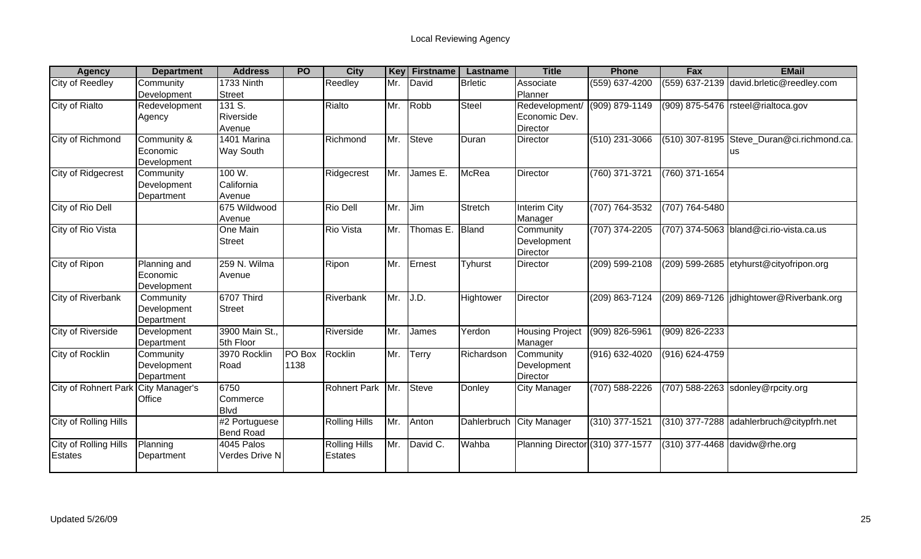| <b>Agency</b>               | <b>Department</b> | <b>Address</b>   | <b>PO</b> | <b>City</b>          | Key | <b>Firstname</b> | Lastname       | <b>Title</b>                     | <b>Phone</b>       | Fax            | <b>EMail</b>                               |
|-----------------------------|-------------------|------------------|-----------|----------------------|-----|------------------|----------------|----------------------------------|--------------------|----------------|--------------------------------------------|
| City of Reedley             | Community         | 1733 Ninth       |           | Reedley              | Mr. | David            | <b>Brletic</b> | Associate                        | (559) 637-4200     |                | (559) 637-2139 david.brletic@reedley.com   |
|                             | Development       | <b>Street</b>    |           |                      |     |                  |                | Planner                          |                    |                |                                            |
| City of Rialto              | Redevelopment     | 131 S.           |           | Rialto               | Mr. | Robb             | Steel          | Redevelopment/                   | (909) 879-1149     |                | (909) 875-5476   rsteel@rialtoca.gov       |
|                             | Agency            | Riverside        |           |                      |     |                  |                | Economic Dev.                    |                    |                |                                            |
|                             |                   | Avenue           |           |                      |     |                  |                | Director                         |                    |                |                                            |
| City of Richmond            | Community &       | 1401 Marina      |           | Richmond             | Mr. | Steve            | Duran          | Director                         | $(510)$ 231-3066   |                | (510) 307-8195 Steve Duran@ci.richmond.ca. |
|                             | Economic          | Way South        |           |                      |     |                  |                |                                  |                    |                | <b>us</b>                                  |
|                             | Development       |                  |           |                      |     |                  |                |                                  |                    |                |                                            |
| <b>City of Ridgecrest</b>   | Community         | 100 W.           |           | Ridgecrest           | Mr. | James E.         | McRea          | Director                         | (760) 371-3721     | (760) 371-1654 |                                            |
|                             | Development       | California       |           |                      |     |                  |                |                                  |                    |                |                                            |
|                             | Department        | Avenue           |           |                      |     |                  |                |                                  |                    |                |                                            |
| City of Rio Dell            |                   | 675 Wildwood     |           | Rio Dell             | Mr. | Jim              | Stretch        | Interim City                     | (707) 764-3532     | (707) 764-5480 |                                            |
|                             |                   | Avenue           |           |                      |     |                  |                | Manager                          |                    |                |                                            |
| City of Rio Vista           |                   | One Main         |           | <b>Rio Vista</b>     | Mr. | Thomas E.        | Bland          | Community                        | $(707)$ 374-2205   |                | (707) 374-5063 bland@ci.rio-vista.ca.us    |
|                             |                   | <b>Street</b>    |           |                      |     |                  |                | Development                      |                    |                |                                            |
|                             |                   |                  |           |                      |     |                  |                | Director                         |                    |                |                                            |
| City of Ripon               | Planning and      | 259 N. Wilma     |           | Ripon                | Mr. | Ernest           | <b>Tyhurst</b> | Director                         | (209) 599-2108     |                | (209) 599-2685 etyhurst@cityofripon.org    |
|                             | Economic          | Avenue           |           |                      |     |                  |                |                                  |                    |                |                                            |
|                             | Development       |                  |           |                      |     |                  |                |                                  |                    |                |                                            |
| City of Riverbank           | Community         | 6707 Third       |           | Riverbank            | Mr. | J.D.             | Hightower      | <b>Director</b>                  | (209) 863-7124     |                | (209) 869-7126 didhightower@Riverbank.org  |
|                             | Development       | <b>Street</b>    |           |                      |     |                  |                |                                  |                    |                |                                            |
|                             | Department        |                  |           |                      |     |                  |                |                                  |                    |                |                                            |
| <b>City of Riverside</b>    | Development       | 3900 Main St.,   |           | Riverside            | Mr. | James            | Yerdon         | <b>Housing Project</b>           | (909) 826-5961     | (909) 826-2233 |                                            |
|                             | Department        | 5th Floor        |           |                      |     |                  |                | Manager                          |                    |                |                                            |
| City of Rocklin             | Community         | 3970 Rocklin     | PO Box    | Rocklin              | Mr. | Terry            | Richardson     | Community                        | $(916) 632 - 4020$ | (916) 624-4759 |                                            |
|                             | Development       | Road             | 1138      |                      |     |                  |                | Development                      |                    |                |                                            |
|                             | Department        |                  |           |                      |     |                  |                | <b>Director</b>                  |                    |                |                                            |
| <b>City of Rohnert Park</b> | City Manager's    | 6750             |           | <b>Rohnert Park</b>  | Mr. | Steve            | Donley         | <b>City Manager</b>              | (707) 588-2226     |                | (707) 588-2263 sdonley@rpcity.org          |
|                             | Office            | Commerce         |           |                      |     |                  |                |                                  |                    |                |                                            |
|                             |                   | <b>Blvd</b>      |           |                      |     |                  |                |                                  |                    |                |                                            |
| City of Rolling Hills       |                   | #2 Portuguese    |           | <b>Rolling Hills</b> | Mr. | Anton            | Dahlerbruch    | <b>City Manager</b>              | (310) 377-1521     |                | (310) 377-7288 adahlerbruch@citypfrh.net   |
|                             |                   | <b>Bend Road</b> |           |                      |     |                  |                |                                  |                    |                |                                            |
| City of Rolling Hills       | Planning          | 4045 Palos       |           | <b>Rolling Hills</b> | Mr. | David C.         | Wahba          | Planning Director (310) 377-1577 |                    |                | (310) 377-4468 davidw@rhe.org              |
| <b>Estates</b>              | Department        | Verdes Drive N   |           | Estates              |     |                  |                |                                  |                    |                |                                            |
|                             |                   |                  |           |                      |     |                  |                |                                  |                    |                |                                            |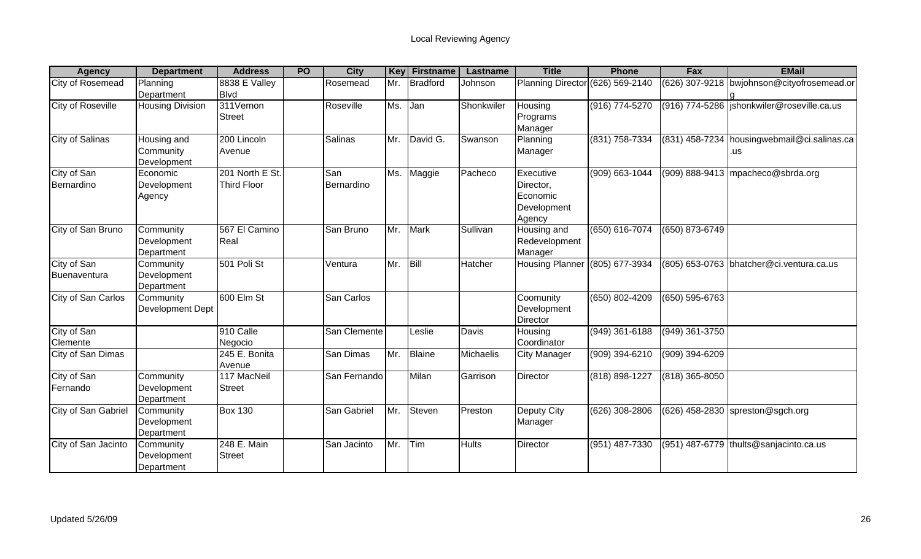| <b>Agency</b>            | <b>Department</b>       | <b>Address</b>     | <b>PO</b> | <b>City</b>  | Key | <b>Firstname</b> | Lastname     | <b>Title</b>                     | <b>Phone</b>     | Fax              | <b>EMail</b>                                 |
|--------------------------|-------------------------|--------------------|-----------|--------------|-----|------------------|--------------|----------------------------------|------------------|------------------|----------------------------------------------|
| City of Rosemead         | Planning                | 8838 E Valley      |           | Rosemead     | Mr. | <b>Bradford</b>  | Johnson      | Planning Director (626) 569-2140 |                  |                  | (626) 307-9218 bwjohnson@cityofrosemead.or   |
|                          | Department              | <b>Blvd</b>        |           |              |     |                  |              |                                  |                  |                  |                                              |
| <b>City of Roseville</b> | <b>Housing Division</b> | 311Vernon          |           | Roseville    | Ms. | Jan              | Shonkwiler   | Housing                          | (916) 774-5270   |                  | (916) 774-5286   jshonkwiler@roseville.ca.us |
|                          |                         | <b>Street</b>      |           |              |     |                  |              | Programs                         |                  |                  |                                              |
|                          |                         |                    |           |              |     |                  |              | Manager                          |                  |                  |                                              |
| <b>City of Salinas</b>   | Housing and             | 200 Lincoln        |           | Salinas      | Mr. | David G.         | Swanson      | Planning                         | (831) 758-7334   |                  | (831) 458-7234 housingwebmail@ci.salinas.ca  |
|                          | Community               | Avenue             |           |              |     |                  |              | Manager                          |                  |                  | .us                                          |
|                          | Development             |                    |           |              |     |                  |              |                                  |                  |                  |                                              |
| City of San              | Economic                | 201 North E St.    |           | San          |     | Ms. Maggie       | Pacheco      | Executive                        | (909) 663-1044   |                  | $(909)$ 888-9413 mpacheco@sbrda.org          |
| Bernardino               | Development             | <b>Third Floor</b> |           | Bernardino   |     |                  |              | Director,                        |                  |                  |                                              |
|                          | Agency                  |                    |           |              |     |                  |              | Economic                         |                  |                  |                                              |
|                          |                         |                    |           |              |     |                  |              | Development                      |                  |                  |                                              |
|                          |                         |                    |           |              |     |                  |              | Agency                           |                  |                  |                                              |
| City of San Bruno        | Community               | 567 El Camino      |           | San Bruno    | Mr. | <b>Mark</b>      | Sullivan     | Housing and                      | (650) 616-7074   | (650) 873-6749   |                                              |
|                          | Development             | Real               |           |              |     |                  |              | Redevelopment                    |                  |                  |                                              |
|                          | Department              |                    |           |              |     |                  |              | Manager                          |                  |                  |                                              |
| City of San              | Community               | 501 Poli St        |           | Ventura      | Mr. | Bill             | Hatcher      | Housing Planner (805) 677-3934   |                  |                  | (805) 653-0763 bhatcher@ci.ventura.ca.us     |
| Buenaventura             | Development             |                    |           |              |     |                  |              |                                  |                  |                  |                                              |
|                          | Department              |                    |           |              |     |                  |              |                                  |                  |                  |                                              |
| City of San Carlos       | Community               | 600 Elm St         |           | San Carlos   |     |                  |              | Coomunity                        | (650) 802-4209   | (650) 595-6763   |                                              |
|                          | Development Dept        |                    |           |              |     |                  |              | Development                      |                  |                  |                                              |
|                          |                         |                    |           |              |     |                  |              | Director                         |                  |                  |                                              |
| City of San              |                         | 910 Calle          |           | San Clemente |     | Leslie           | Davis        | Housing                          | $(949)$ 361-6188 | $(949)$ 361-3750 |                                              |
| Clemente                 |                         | Negocio            |           |              |     |                  |              | Coordinator                      |                  |                  |                                              |
| City of San Dimas        |                         | 245 E. Bonita      |           | San Dimas    | Mr. | Blaine           | Michaelis    | City Manager                     | (909) 394-6210   | (909) 394-6209   |                                              |
|                          |                         | Avenue             |           |              |     |                  |              |                                  |                  |                  |                                              |
| City of San              | Community               | 117 MacNeil        |           | San Fernando |     | Milan            | Garrison     | Director                         | (818) 898-1227   | (818) 365-8050   |                                              |
| Fernando                 | Development             | <b>Street</b>      |           |              |     |                  |              |                                  |                  |                  |                                              |
|                          | Department              |                    |           |              |     |                  |              |                                  |                  |                  |                                              |
| City of San Gabriel      | Community               | <b>Box 130</b>     |           | San Gabriel  | Mr. | Steven           | Preston      | Deputy City                      | (626) 308-2806   |                  | (626) 458-2830 spreston@sgch.org             |
|                          | Development             |                    |           |              |     |                  |              | Manager                          |                  |                  |                                              |
|                          | Department              |                    |           |              |     |                  |              |                                  |                  |                  |                                              |
| City of San Jacinto      | Community               | 248 E. Main        |           | San Jacinto  | Mr. | Tim              | <b>Hults</b> | Director                         | (951) 487-7330   |                  | (951) 487-6779 thults@sanjacinto.ca.us       |
|                          | Development             | <b>Street</b>      |           |              |     |                  |              |                                  |                  |                  |                                              |
|                          | Department              |                    |           |              |     |                  |              |                                  |                  |                  |                                              |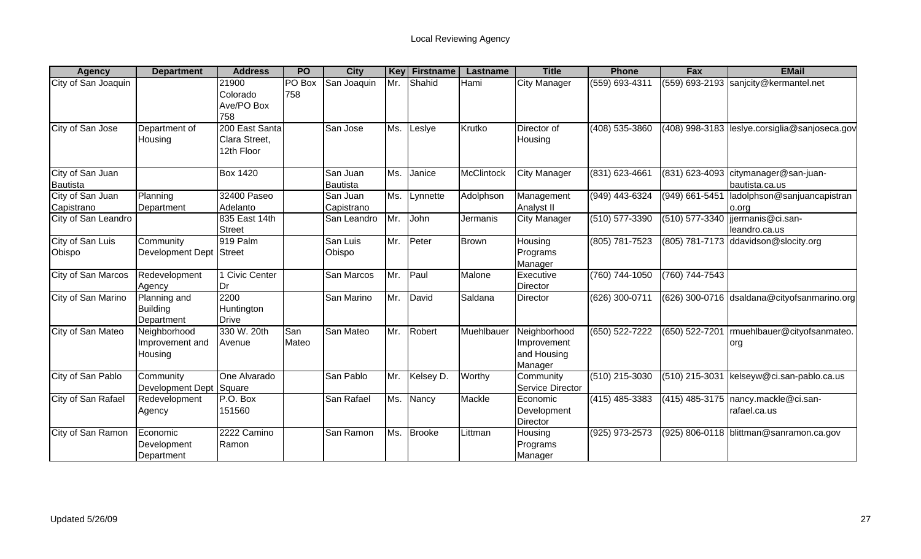| <b>Agency</b>                       | <b>Department</b>                             | <b>Address</b>                                | <b>PO</b>     | <b>City</b>            | Key | <b>Firstname</b> | Lastname     | <b>Title</b>                                          | <b>Phone</b>     | Fax            | <b>EMail</b>                                          |
|-------------------------------------|-----------------------------------------------|-----------------------------------------------|---------------|------------------------|-----|------------------|--------------|-------------------------------------------------------|------------------|----------------|-------------------------------------------------------|
| City of San Joaquin                 |                                               | 21900<br>Colorado<br>Ave/PO Box<br>758        | PO Box<br>758 | San Joaquin            | Mr. | Shahid           | Hami         | <b>City Manager</b>                                   | (559) 693-4311   | (559) 693-2193 | sanjcity@kermantel.net                                |
| City of San Jose                    | Department of<br>Housing                      | 200 East Santa<br>Clara Street,<br>12th Floor |               | San Jose               | Ms. | Leslye           | Krutko       | Director of<br>Housing                                | $(408)$ 535-3860 |                | (408) 998-3183 leslye.corsiglia@sanjoseca.gov         |
| City of San Juan<br><b>Bautista</b> |                                               | <b>Box 1420</b>                               |               | San Juan<br>Bautista   | Ms. | Janice           | McClintock   | <b>City Manager</b>                                   | (831) 623-4661   | (831) 623-4093 | citymanager@san-juan-<br>bautista.ca.us               |
| City of San Juan<br>Capistrano      | Planning<br>Department                        | 32400 Paseo<br>Adelanto                       |               | San Juan<br>Capistrano | Ms. | Lynnette         | Adolphson    | Management<br>Analyst II                              | (949) 443-6324   | (949) 661-5451 | ladolphson@sanjuancapistran<br>o.org                  |
| City of San Leandro                 |                                               | 835 East 14th<br><b>Street</b>                |               | San Leandro            | Иr. | John             | Jermanis     | <b>City Manager</b>                                   | (510) 577-3390   |                | (510) 577-3340  jjermanis@ci.san-<br>leandro.ca.us    |
| City of San Luis<br>Obispo          | Community<br><b>Development Dept</b>          | 919 Palm<br><b>Street</b>                     |               | San Luis<br>Obispo     | Mr. | Peter            | <b>Brown</b> | Housing<br>Programs<br>Manager                        | (805) 781-7523   | (805) 781-7173 | ddavidson@slocity.org                                 |
| City of San Marcos                  | Redevelopment<br>Agency                       | <b>Civic Center</b><br>Dr                     |               | San Marcos             | Mr. | Paul             | Malone       | Executive<br>Director                                 | (760) 744-1050   | (760) 744-7543 |                                                       |
| City of San Marino                  | Planning and<br><b>Building</b><br>Department | 2200<br>Huntington<br><b>Drive</b>            |               | San Marino             | Mr. | David            | Saldana      | Director                                              | (626) 300-0711   |                | (626) 300-0716 dsaldana@cityofsanmarino.org           |
| City of San Mateo                   | Neighborhood<br>Improvement and<br>Housing    | 330 W. 20th<br>Avenue                         | San<br>Mateo  | San Mateo              | Mr. | Robert           | Muehlbauer   | Neighborhood<br>Improvement<br>and Housing<br>Manager | (650) 522-7222   | (650) 522-7201 | Imuehlbauer@cityofsanmateo.<br>org                    |
| City of San Pablo                   | Community<br>Development Dept                 | One Alvarado<br>Square                        |               | San Pablo              | Mr. | Kelsey D.        | Worthy       | Community<br>Service Director                         | $(510)$ 215-3030 | (510) 215-3031 | kelseyw@ci.san-pablo.ca.us                            |
| City of San Rafael                  | Redevelopment<br>Agency                       | P.O. Box<br>151560                            |               | San Rafael             | Ms. | Nancy            | Mackle       | Economic<br>Development<br><b>Director</b>            | (415) 485-3383   |                | (415) 485-3175   nancy.mackle@ci.san-<br>rafael.ca.us |
| City of San Ramon                   | Economic<br>Development<br>Department         | 2222 Camino<br>Ramon                          |               | San Ramon              | Ms. | <b>Brooke</b>    | Littman      | Housing<br>Programs<br>Manager                        | (925) 973-2573   |                | (925) 806-0118 blittman@sanramon.ca.gov               |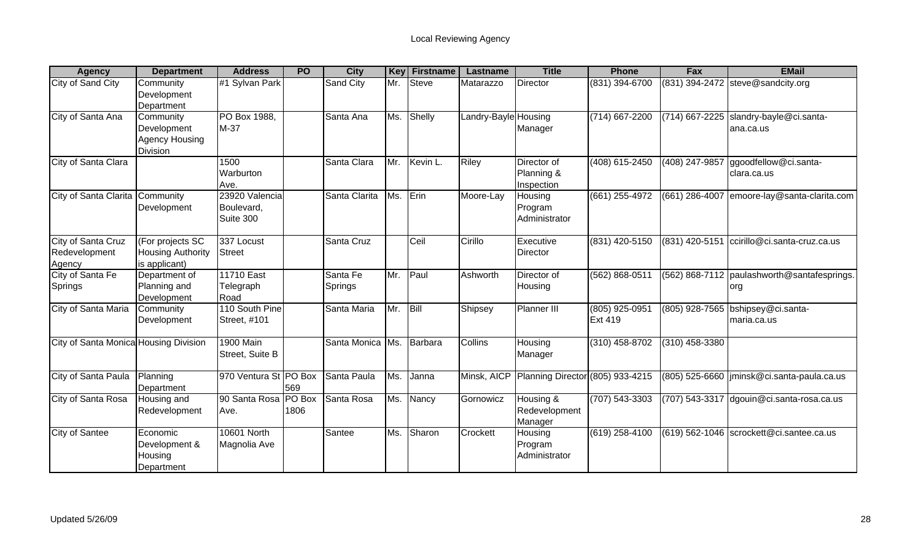| <b>Agency</b>                                 | <b>Department</b>                                                    | <b>Address</b>                            | <b>PO</b> | <b>City</b>         | Key | <b>Firstname</b> | Lastname             | <b>Title</b>                            | <b>Phone</b>                     | Fax                | <b>EMail</b>                                       |
|-----------------------------------------------|----------------------------------------------------------------------|-------------------------------------------|-----------|---------------------|-----|------------------|----------------------|-----------------------------------------|----------------------------------|--------------------|----------------------------------------------------|
| City of Sand City                             | Community<br>Development                                             | #1 Sylvan Park                            |           | Sand City           | Mr. | <b>Steve</b>     | Matarazzo            | Director                                | (831) 394-6700                   |                    | (831) 394-2472 steve@sandcity.org                  |
|                                               | Department                                                           |                                           |           |                     |     |                  |                      |                                         |                                  |                    |                                                    |
| City of Santa Ana                             | Community<br>Development<br><b>Agency Housing</b><br><b>Division</b> | PO Box 1988,<br>M-37                      |           | Santa Ana           | Ms. | Shelly           | Landry-Bayle Housing | Manager                                 | $(714)$ 667-2200                 | $(714) 667 - 2225$ | slandry-bayle@ci.santa-<br>ana.ca.us               |
| City of Santa Clara                           |                                                                      | 1500<br>Warburton<br>Ave.                 |           | Santa Clara         | Mr. | Kevin L.         | Riley                | Director of<br>Planning &<br>Inspection | $(408)$ 615-2450                 | (408) 247-9857     | ggoodfellow@ci.santa-<br>clara.ca.us               |
| City of Santa Clarita Community               | Development                                                          | 23920 Valencia<br>Boulevard,<br>Suite 300 |           | Santa Clarita       | Ms. | Erin             | Moore-Lay            | Housing<br>Program<br>Administrator     | $(661)$ 255-4972                 | (661) 286-4007     | emoore-lay@santa-clarita.com                       |
| City of Santa Cruz<br>Redevelopment<br>Agency | (For projects SC<br><b>Housing Authority</b><br>is applicant)        | 337 Locust<br><b>Street</b>               |           | Santa Cruz          |     | Ceil             | Cirillo              | Executive<br><b>Director</b>            | (831) 420-5150                   | (831) 420-515      | ccirillo@ci.santa-cruz.ca.us                       |
| City of Santa Fe<br>Springs                   | Department of<br>Planning and<br>Development                         | 11710 East<br>Telegraph<br>Road           |           | Santa Fe<br>Springs | Mr. | Paul             | Ashworth             | Director of<br>Housing                  | (562) 868-0511                   |                    | (562) 868-7112 paulashworth@santafesprings.<br>org |
| City of Santa Maria                           | Community<br>Development                                             | 110 South Pine<br>Street, #101            |           | Santa Maria         | Mr. | Bill             | Shipsey              | Planner III                             | (805) 925-0951<br><b>Ext 419</b> |                    | (805) 928-7565 bshipsey@ci.santa-<br>maria.ca.us   |
| City of Santa Monica Housing Division         |                                                                      | <b>1900 Main</b><br>Street, Suite B       |           | Santa Monica Ms.    |     | Barbara          | Collins              | Housing<br>Manager                      | $(310)$ 458-8702                 | $(310)$ 458-3380   |                                                    |
| City of Santa Paula                           | Planning<br>Department                                               | 970 Ventura St PO Box                     | 569       | Santa Paula         | Ms. | Janna            | Minsk, AICP          | Planning Director (805) 933-4215        |                                  | (805) 525-6660     | jminsk@ci.santa-paula.ca.us                        |
| City of Santa Rosa                            | Housing and<br>Redevelopment                                         | 90 Santa Rosa PO Box<br>Ave.              | 1806      | Santa Rosa          | Ms. | Nancy            | Gornowicz            | Housing &<br>Redevelopment<br>Manager   | $(707) 543 - 3303$               | $(707) 543 - 3317$ | dgouin@ci.santa-rosa.ca.us                         |
| <b>City of Santee</b>                         | Economic<br>Development &<br>Housing<br>Department                   | 10601 North<br>Magnolia Ave               |           | Santee              | Ms. | Sharon           | Crockett             | Housing<br>Program<br>Administrator     | (619) 258-4100                   |                    | (619) 562-1046 scrockett@ci.santee.ca.us           |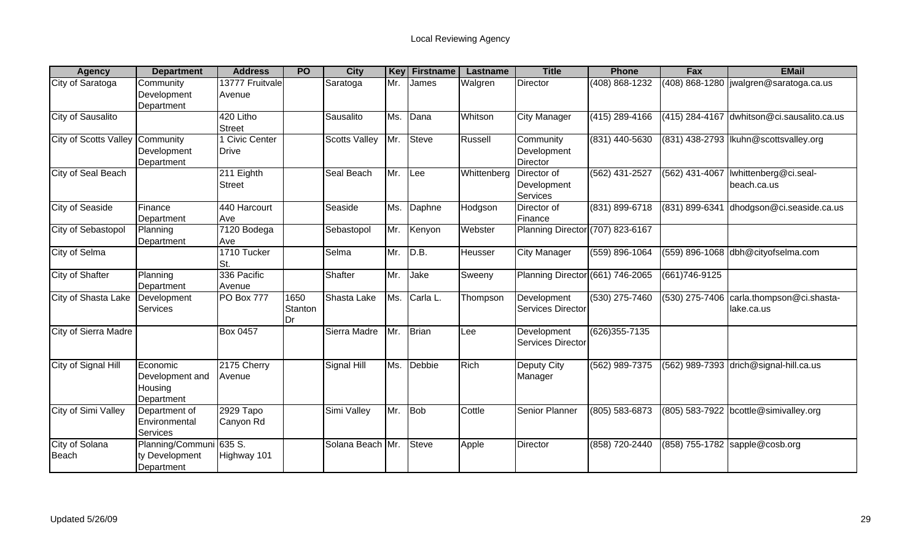| <b>Agency</b>           | <b>Department</b>                                    | <b>Address</b>                        | <b>PO</b>             | <b>City</b>          | <b>Key</b> | <b>Firstname</b> | Lastname    | <b>Title</b>                           | <b>Phone</b>      | Fax            | <b>EMail</b>                                             |
|-------------------------|------------------------------------------------------|---------------------------------------|-----------------------|----------------------|------------|------------------|-------------|----------------------------------------|-------------------|----------------|----------------------------------------------------------|
| City of Saratoga        | Community<br>Development<br>Department               | 13777 Fruitvale<br>Avenue             |                       | Saratoga             | Mr.        | James            | Walgren     | Director                               | (408) 868-1232    |                | (408) 868-1280   jwalgren@saratoga.ca.us                 |
| City of Sausalito       |                                                      | 420 Litho<br><b>Street</b>            |                       | Sausalito            | Ms.        | Dana             | Whitson     | <b>City Manager</b>                    | (415) 289-4166    | (415) 284-4167 | dwhitson@ci.sausalito.ca.us                              |
| City of Scotts Valley   | Community<br>Development<br>Department               | <b>I</b> Civic Center<br><b>Drive</b> |                       | <b>Scotts Valley</b> | Mr.        | <b>Steve</b>     | Russell     | Community<br>Development<br>Director   | $(831)$ 440-5630  |                | (831) 438-2793  lkuhn@scottsvalley.org                   |
| City of Seal Beach      |                                                      | 211 Eighth<br><b>Street</b>           |                       | Seal Beach           | Mr.        | Lee              | Whittenberg | Director of<br>Development<br>Services | (562) 431-2527    | (562) 431-4067 | Iwhittenberg@ci.seal-<br>beach.ca.us                     |
| City of Seaside         | Finance<br>Department                                | 440 Harcourt<br>Ave                   |                       | Seaside              | Ms.        | Daphne           | Hodgson     | Director of<br>Finance                 | (831) 899-6718    | (831) 899-6341 | dhodgson@ci.seaside.ca.us                                |
| City of Sebastopol      | Planning<br>Department                               | 7120 Bodega<br>Ave                    |                       | Sebastopol           | Mr.        | Kenyon           | Webster     | Planning Director (707) 823-6167       |                   |                |                                                          |
| City of Selma           |                                                      | 1710 Tucker<br>St.                    |                       | Selma                | Mr.        | D.B.             | Heusser     | <b>City Manager</b>                    | (559) 896-1064    |                | (559) 896-1068 dbh@cityofselma.com                       |
| City of Shafter         | Planning<br>Department                               | 336 Pacific<br>Avenue                 |                       | Shafter              | Mr.        | Jake             | Sweeny      | Planning Director (661) 746-2065       |                   | (661) 746-9125 |                                                          |
| City of Shasta Lake     | Development<br>Services                              | <b>PO Box 777</b>                     | 1650<br>Stanton<br>Dr | Shasta Lake          | Ms.        | Carla L.         | Thompson    | Development<br>Services Director       | $(530)$ 275-7460  |                | (530) 275-7406   carla.thompson@ci.shasta-<br>lake.ca.us |
| City of Sierra Madre    |                                                      | <b>Box 0457</b>                       |                       | Sierra Madre         | Mr.        | Brian            | Lee         | Development<br>Services Director       | $(626)355 - 7135$ |                |                                                          |
| City of Signal Hill     | Economic<br>Development and<br>Housing<br>Department | 2175 Cherry<br>Avenue                 |                       | Signal Hill          | Ms.        | Debbie           | <b>Rich</b> | Deputy City<br>Manager                 | (562) 989-7375    |                | (562) 989-7393 drich@signal-hill.ca.us                   |
| City of Simi Valley     | Department of<br>Environmental<br>Services           | 2929 Tapo<br>Canyon Rd                |                       | Simi Valley          | Mr.        | <b>Bob</b>       | Cottle      | <b>Senior Planner</b>                  | (805) 583-6873    |                | (805) 583-7922 bcottle@simivalley.org                    |
| City of Solana<br>Beach | Planning/Communi<br>ty Development<br>Department     | 635 S.<br>Highway 101                 |                       | Solana Beach Mr.     |            | <b>Steve</b>     | Apple       | Director                               | (858) 720-2440    |                | (858) 755-1782 sapple@cosb.org                           |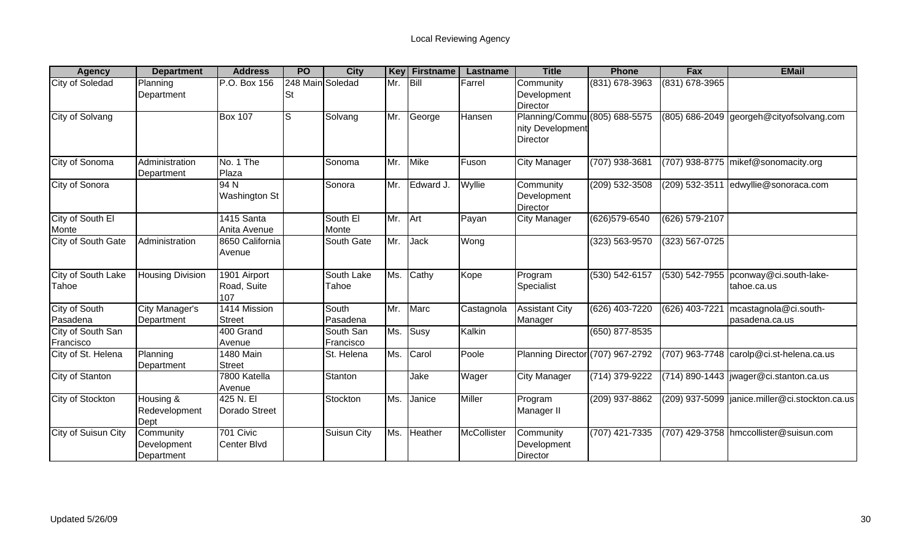| <b>Agency</b>                  | <b>Department</b>                      | <b>Address</b>                     | <b>PO</b>              | <b>City</b>            | <b>Key</b> | <b>Firstname</b> | <b>Lastname</b> | <b>Title</b>                                                  | <b>Phone</b>     | Fax            | <b>EMail</b>                                         |
|--------------------------------|----------------------------------------|------------------------------------|------------------------|------------------------|------------|------------------|-----------------|---------------------------------------------------------------|------------------|----------------|------------------------------------------------------|
| City of Soledad                | Planning<br>Department                 | P.O. Box 156                       | 248 Main Soledad<br>St |                        | Mr.        | <b>Bill</b>      | Farrel          | Community<br>Development<br>Director                          | (831) 678-3963   | (831) 678-3965 |                                                      |
| City of Solvang                |                                        | <b>Box 107</b>                     | ю                      | Solvang                | Mr.        | George           | Hansen          | Planning/Commu (805) 688-5575<br>nity Development<br>Director |                  |                | (805) 686-2049 georgeh@cityofsolvang.com             |
| City of Sonoma                 | Administration<br>Department           | No. 1 The<br>Plaza                 |                        | Sonoma                 | Mr.        | Mike             | Fuson           | <b>City Manager</b>                                           | (707) 938-3681   |                | (707) 938-8775 mikef@sonomacity.org                  |
| City of Sonora                 |                                        | 94 N<br><b>Washington St</b>       |                        | Sonora                 | Mr.        | Edward J.        | Wyllie          | Community<br>Development<br>Director                          | (209) 532-3508   | (209) 532-3511 | edwyllie@sonoraca.com                                |
| City of South El<br>Monte      |                                        | 1415 Santa<br>Anita Avenue         |                        | South El<br>Monte      | Mr.        | Art              | Payan           | <b>City Manager</b>                                           | (626) 579-6540   | (626) 579-2107 |                                                      |
| City of South Gate             | Administration                         | 8650 California<br>Avenue          |                        | South Gate             | Mr.        | Jack             | Wong            |                                                               | (323) 563-9570   | (323) 567-0725 |                                                      |
| City of South Lake<br>Tahoe    | <b>Housing Division</b>                | 1901 Airport<br>Road, Suite<br>107 |                        | South Lake<br>Tahoe    | Ms.        | Cathy            | Kope            | Program<br>Specialist                                         | (530) 542-6157   |                | (530) 542-7955 pconway@ci.south-lake-<br>tahoe.ca.us |
| City of South<br>Pasadena      | City Manager's<br>Department           | 1414 Mission<br><b>Street</b>      |                        | South<br>Pasadena      | Mr.        | Marc             | Castagnola      | <b>Assistant City</b><br>Manager                              | (626) 403-7220   | (626) 403-7221 | mcastagnola@ci.south-<br>pasadena.ca.us              |
| City of South San<br>Francisco |                                        | 400 Grand<br>Avenue                |                        | South San<br>Francisco | Ms.        | Susy             | Kalkin          |                                                               | $(650)$ 877-8535 |                |                                                      |
| City of St. Helena             | Planning<br>Department                 | 1480 Main<br><b>Street</b>         |                        | St. Helena             | Ms.        | Carol            | Poole           | Planning Director (707) 967-2792                              |                  |                | $(707)$ 963-7748 $\vert$ carolp@ci.st-helena.ca.us   |
| <b>City of Stanton</b>         |                                        | 7800 Katella<br>Avenue             |                        | Stanton                |            | Jake             | Wager           | <b>City Manager</b>                                           | (714) 379-9222   |                | $(714)$ 890-1443   jwager@ci.stanton.ca.us           |
| City of Stockton               | Housing &<br>Redevelopment<br>Dept     | 425 N. El<br>Dorado Street         |                        | Stockton               | Ms.        | Janice           | Miller          | Program<br>Manager II                                         | (209) 937-8862   |                | (209) 937-5099  janice.miller@ci.stockton.ca.us      |
| City of Suisun City            | Community<br>Development<br>Department | 701 Civic<br>Center Blvd           |                        | <b>Suisun City</b>     | Ms.        | Heather          | McCollister     | Community<br>Development<br>Director                          | (707) 421-7335   |                | (707) 429-3758 hmccollister@suisun.com               |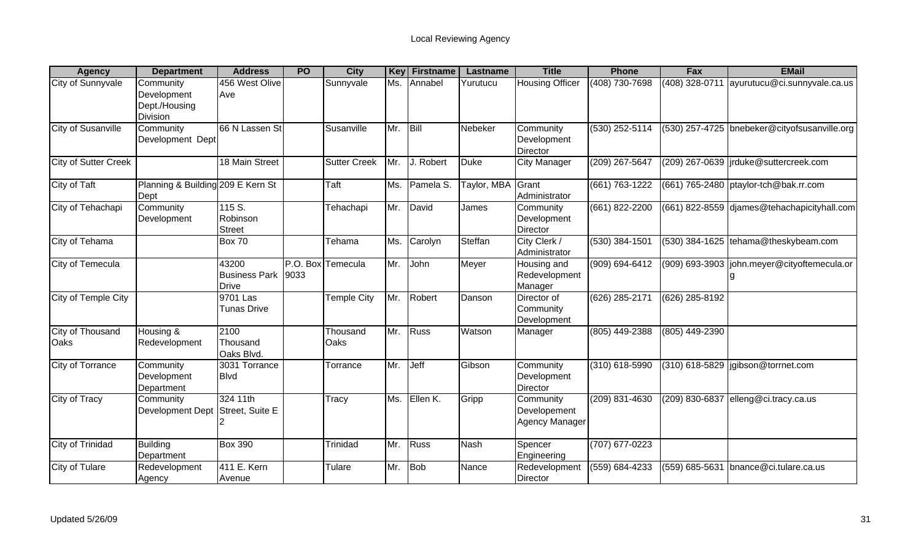| <b>Agency</b>               | <b>Department</b>                                | <b>Address</b>                                | <b>PO</b> | <b>City</b>         | <b>Key</b> | <b>Firstname</b> | Lastname    | <b>Title</b>                                | <b>Phone</b>     | Fax              | <b>EMail</b>                                 |
|-----------------------------|--------------------------------------------------|-----------------------------------------------|-----------|---------------------|------------|------------------|-------------|---------------------------------------------|------------------|------------------|----------------------------------------------|
| <b>City of Sunnyvale</b>    | Community<br>Development<br>Dept./Housing        | 456 West Olive<br>Ave                         |           | Sunnyvale           | Ms.        | Annabel          | Yurutucu    | <b>Housing Officer</b>                      | (408) 730-7698   | $(408)$ 328-0711 | ayurutucu@ci.sunnyvale.ca.us                 |
| <b>City of Susanville</b>   | <b>Division</b><br>Community<br>Development Dept | 66 N Lassen St                                |           | Susanville          | Mr.        | Bill             | Nebeker     | Community<br>Development<br>Director        | $(530)$ 252-5114 |                  | (530) 257-4725 bnebeker@cityofsusanville.org |
| <b>City of Sutter Creek</b> |                                                  | 18 Main Street                                |           | <b>Sutter Creek</b> | Mr.        | J. Robert        | <b>Duke</b> | <b>City Manager</b>                         | (209) 267-5647   |                  | (209) 267-0639  jrduke@suttercreek.com       |
| City of Taft                | Planning & Building 209 E Kern St<br>Dept        |                                               |           | Taft                | Ms.        | Pamela S.        | Taylor, MBA | Grant<br>Administrator                      | (661) 763-1222   |                  | $(661)$ 765-2480 ptaylor-tch@bak.rr.com      |
| City of Tehachapi           | Community<br>Development                         | 115 S.<br>Robinson<br><b>Street</b>           |           | Tehachapi           | Mr.        | David            | James       | Community<br>Development<br>Director        | (661) 822-2200   |                  | (661) 822-8559 djames@tehachapicityhall.com  |
| City of Tehama              |                                                  | Box 70                                        |           | Tehama              | Ms.        | Carolyn          | Steffan     | City Clerk /<br>Administrator               | (530) 384-1501   |                  | (530) 384-1625 tehama@theskybeam.com         |
| City of Temecula            |                                                  | 43200<br><b>Business Park</b><br><b>Drive</b> | 9033      | P.O. Box Temecula   | Mr.        | John             | Meyer       | Housing and<br>Redevelopment<br>Manager     | (909) 694-6412   |                  | (909) 693-3903  john.meyer@cityoftemecula.or |
| City of Temple City         |                                                  | 9701 Las<br><b>Tunas Drive</b>                |           | Temple City         | Mr.        | <b>Robert</b>    | Danson      | Director of<br>Community<br>Development     | (626) 285-2171   | (626) 285-8192   |                                              |
| City of Thousand<br>Oaks    | Housing &<br>Redevelopment                       | 2100<br>Thousand<br>Oaks Blvd.                |           | Thousand<br>Oaks    | Mr.        | Russ             | Watson      | Manager                                     | (805) 449-2388   | (805) 449-2390   |                                              |
| <b>City of Torrance</b>     | Community<br>Development<br>Department           | 3031 Torrance<br><b>Blvd</b>                  |           | Torrance            | Mr.        | <b>Jeff</b>      | Gibson      | Community<br>Development<br>Director        | (310) 618-5990   |                  | (310) 618-5829 jgibson@torrnet.com           |
| <b>City of Tracy</b>        | Community<br>Development Dept Street, Suite E    | 324 11th                                      |           | <b>Tracy</b>        | Ms.        | Ellen K.         | Gripp       | Community<br>Developement<br>Agency Manager | $(209)$ 831-4630 |                  | (209) 830-6837 elleng@ci.tracy.ca.us         |
| City of Trinidad            | <b>Building</b><br>Department                    | <b>Box 390</b>                                |           | Trinidad            | Mr.        | Russ             | <b>Nash</b> | Spencer<br>Engineering                      | (707) 677-0223   |                  |                                              |
| City of Tulare              | Redevelopment<br>Agency                          | 411 E. Kern<br>Avenue                         |           | Tulare              | Mr.        | Bob              | Nance       | Redevelopment<br>Director                   | (559) 684-4233   | (559) 685-5631   | bnance@ci.tulare.ca.us                       |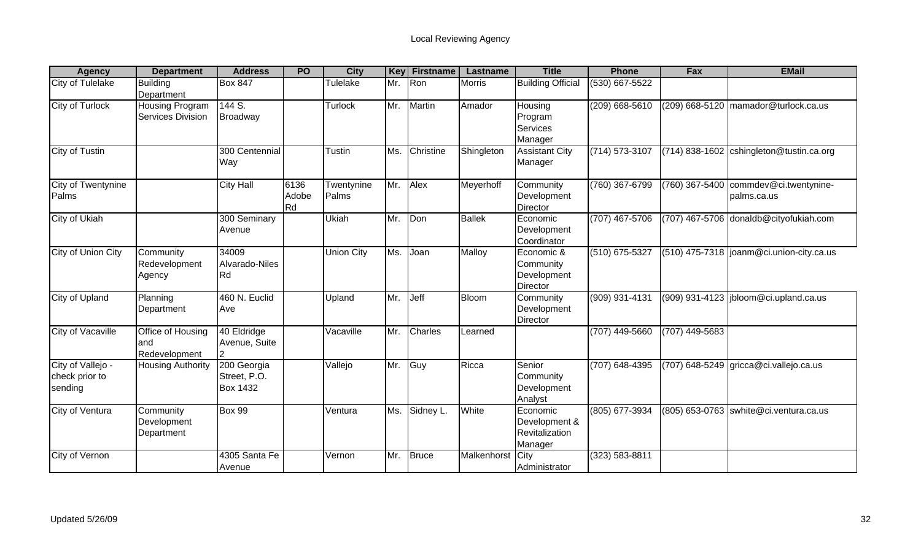| <b>Agency</b>                                  | <b>Department</b>                           | <b>Address</b>                                 | <b>PO</b>           | <b>City</b>         | Key | <b>Firstname</b> | Lastname         | <b>Title</b>                                           | <b>Phone</b>       | Fax              | <b>EMail</b>                                         |
|------------------------------------------------|---------------------------------------------|------------------------------------------------|---------------------|---------------------|-----|------------------|------------------|--------------------------------------------------------|--------------------|------------------|------------------------------------------------------|
| City of Tulelake                               | <b>Building</b><br>Department               | <b>Box 847</b>                                 |                     | Tulelake            | Mr. | Ron              | <b>Morris</b>    | <b>Building Official</b>                               | (530) 667-5522     |                  |                                                      |
| City of Turlock                                | <b>Housing Program</b><br>Services Division | 144 S.<br><b>Broadway</b>                      |                     | Turlock             | Mr. | Martin           | Amador           | Housing<br>Program<br>Services<br>Manager              | $(209)$ 668-5610   |                  | (209) 668-5120 mamador@turlock.ca.us                 |
| <b>City of Tustin</b>                          |                                             | 300 Centennial<br>Way                          |                     | Tustin              | Ms. | Christine        | Shingleton       | <b>Assistant City</b><br>Manager                       | $(714) 573 - 3107$ |                  | (714) 838-1602 cshingleton@tustin.ca.org             |
| City of Twentynine<br>Palms                    |                                             | <b>City Hall</b>                               | 6136<br>Adobe<br>Rd | Twentynine<br>Palms | Mr. | Alex             | Meyerhoff        | Community<br>Development<br>Director                   | (760) 367-6799     |                  | (760) 367-5400 commdev@ci.twentynine-<br>palms.ca.us |
| City of Ukiah                                  |                                             | 300 Seminary<br>Avenue                         |                     | <b>Ukiah</b>        | Mr. | Don              | Ballek           | Economic<br>Development<br>Coordinator                 | (707) 467-5706     |                  | (707) 467-5706 donaldb@cityofukiah.com               |
| City of Union City                             | Community<br>Redevelopment<br>Agency        | 34009<br>Alvarado-Niles<br>Rd                  |                     | <b>Union City</b>   | Ms. | Joan             | Malloy           | Economic &<br>Community<br>Development<br>Director     | (510) 675-5327     |                  | $(510)$ 475-7318  joanm@ci.union-city.ca.us          |
| City of Upland                                 | Planning<br>Department                      | 460 N. Euclid<br>Ave                           |                     | Upland              | Mr. | Jeff             | <b>Bloom</b>     | Community<br>Development<br>Director                   | (909) 931-4131     |                  | $(909)$ 931-4123  jbloom@ci.upland.ca.us             |
| <b>City of Vacaville</b>                       | Office of Housing<br>and<br>Redevelopment   | 40 Eldridge<br>Avenue, Suite                   |                     | Vacaville           | Mr. | Charles          | Learned          |                                                        | $(707)$ 449-5660   | $(707)$ 449-5683 |                                                      |
| City of Vallejo -<br>check prior to<br>sending | <b>Housing Authority</b>                    | 200 Georgia<br>Street, P.O.<br><b>Box 1432</b> |                     | Vallejo             | Mr. | <b>Guy</b>       | Ricca            | Senior<br>Community<br>Development<br>Analyst          | (707) 648-4395     |                  | (707) 648-5249 gricca@ci.vallejo.ca.us               |
| City of Ventura                                | Community<br>Development<br>Department      | <b>Box 99</b>                                  |                     | Ventura             | Ms. | Sidney L.        | White            | Economic<br>Development &<br>Revitalization<br>Manager | (805) 677-3934     |                  | (805) 653-0763 swhite@ci.ventura.ca.us               |
| City of Vernon                                 |                                             | 4305 Santa Fe<br>Avenue                        |                     | Vernon              | Mr. | <b>Bruce</b>     | Malkenhorst City | Administrator                                          | (323) 583-8811     |                  |                                                      |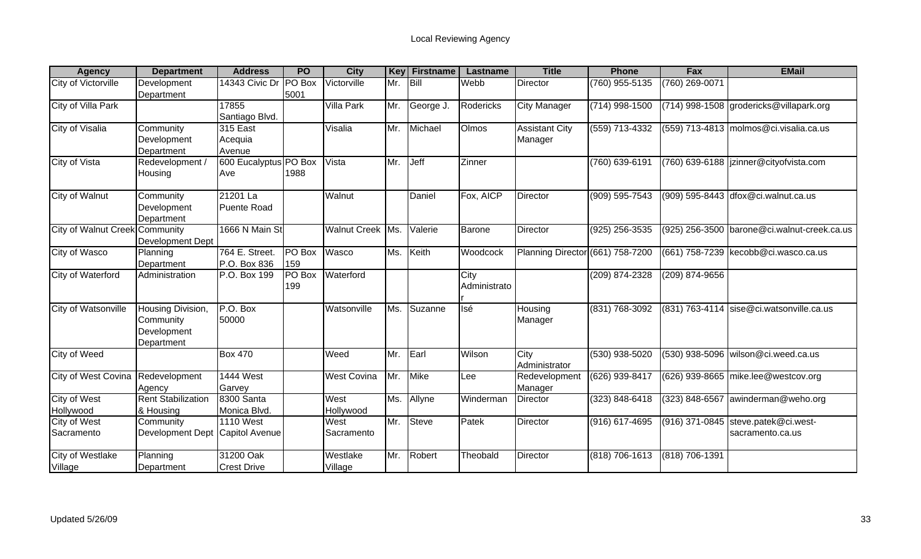| <b>Agency</b>                    | <b>Department</b>                                           | <b>Address</b>                  | <b>PO</b>      | <b>City</b>         | <b>Key</b> | <b>Firstname</b> | Lastname             | <b>Title</b>                     | <b>Phone</b>     | Fax            | <b>EMail</b>                                            |
|----------------------------------|-------------------------------------------------------------|---------------------------------|----------------|---------------------|------------|------------------|----------------------|----------------------------------|------------------|----------------|---------------------------------------------------------|
| City of Victorville              | Development<br>Department                                   | 14343 Civic Dr                  | PO Box<br>5001 | Victorville         | Mr.        | Bill             | Webb                 | Director                         | (760) 955-5135   | (760) 269-0071 |                                                         |
| City of Villa Park               |                                                             | 17855<br>Santiago Blvd.         |                | Villa Park          | Mr.        | George J.        | Rodericks            | <b>City Manager</b>              | $(714)$ 998-1500 |                | (714) 998-1508 grodericks@villapark.org                 |
| <b>City of Visalia</b>           | Community<br>Development<br>Department                      | 315 East<br>Acequia<br>Avenue   |                | Visalia             | Mr.        | Michael          | Olmos                | <b>Assistant City</b><br>Manager | (559) 713-4332   |                | (559) 713-4813 molmos@ci.visalia.ca.us                  |
| City of Vista                    | Redevelopment /<br>Housing                                  | 600 Eucalyptus PO Box<br>Ave    | 1988           | Vista               | Mr.        | Jeff             | Zinner               |                                  | (760) 639-6191   |                | (760) 639-6188  jzinner@cityofvista.com                 |
| City of Walnut                   | Community<br>Development<br>Department                      | 21201 La<br><b>Puente Road</b>  |                | Walnut              |            | Daniel           | Fox, AICP            | Director                         | (909) 595-7543   |                | (909) 595-8443 dfox@ci.walnut.ca.us                     |
| City of Walnut Creek Community   | Development Dept                                            | 1666 N Main St                  |                | Walnut Creek Ms.    |            | Valerie          | <b>Barone</b>        | Director                         | (925) 256-3535   |                | (925) 256-3500 barone@ci.walnut-creek.ca.us             |
| City of Wasco                    | Planning<br>Department                                      | 764 E. Street.<br>P.O. Box 836  | PO Box<br>159  | Wasco               | Ms.        | Keith            | Woodcock             | Planning Director (661) 758-7200 |                  |                | (661) 758-7239 kecobb@ci.wasco.ca.us                    |
| City of Waterford                | Administration                                              | P.O. Box 199                    | PO Box<br>199  | Waterford           |            |                  | City<br>Administrato |                                  | (209) 874-2328   | (209) 874-9656 |                                                         |
| City of Watsonville              | Housing Division,<br>Community<br>Development<br>Department | $P.O.$ Box<br>50000             |                | Watsonville         | Ms.        | Suzanne          | Isé                  | Housing<br>Manager               | (831) 768-3092   |                | $(831)$ 763-4114 sise@ci.watsonville.ca.us              |
| <b>City of Weed</b>              |                                                             | <b>Box 470</b>                  |                | Weed                | Mr.        | Earl             | Wilson               | City<br>Administrator            | $(530)$ 938-5020 |                | (530) 938-5096 wilson@ci.weed.ca.us                     |
| City of West Covina              | Redevelopment<br>Agency                                     | <b>1444 West</b><br>Garvey      |                | <b>West Covina</b>  | Mr.        | <b>Mike</b>      | Lee                  | Redevelopment<br>Manager         | (626) 939-8417   |                | (626) 939-8665 mike.lee@westcov.org                     |
| <b>City of West</b><br>Hollywood | <b>Rent Stabilization</b><br>& Housing                      | 8300 Santa<br>Monica Blvd.      |                | West<br>Hollywood   | Ms.        | Allyne           | Winderman            | Director                         | (323) 848-6418   | (323) 848-6567 | awinderman@weho.org                                     |
| City of West<br>Sacramento       | Community<br>Development Dept Capitol Avenue                | <b>1110 West</b>                |                | West<br>Sacramento  | Mr.        | <b>Steve</b>     | Patek                | Director                         | (916) 617-4695   |                | (916) 371-0845 steve.patek@ci.west-<br>sacramento.ca.us |
| City of Westlake<br>Village      | Planning<br>Department                                      | 31200 Oak<br><b>Crest Drive</b> |                | Westlake<br>Village | Mr.        | Robert           | Theobald             | <b>Director</b>                  | (818) 706-1613   | (818) 706-1391 |                                                         |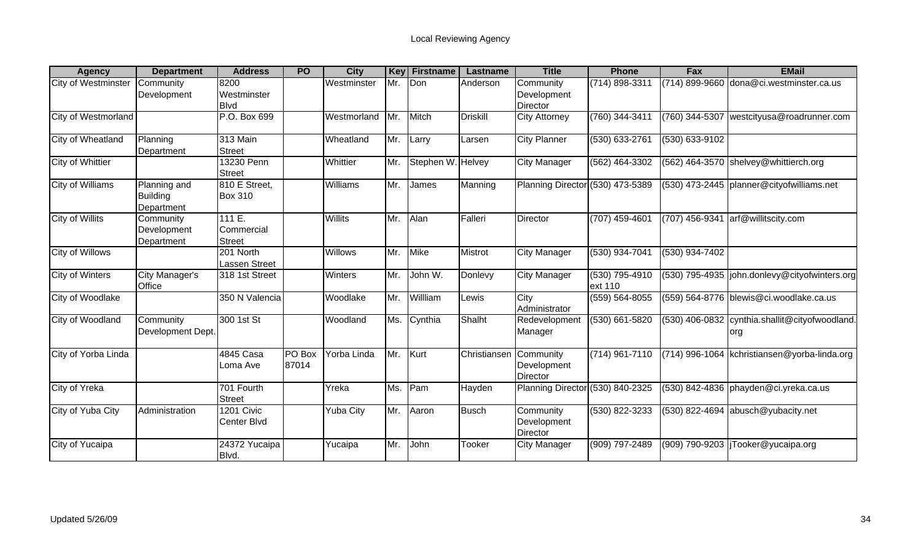| <b>Agency</b>          | <b>Department</b>                             | <b>Address</b>                      | <b>PO</b>       | <b>City</b>    | Key | <b>Firstname</b>  | Lastname       | <b>Title</b>                         | <b>Phone</b>                | <b>Fax</b>     | <b>EMail</b>                                   |
|------------------------|-----------------------------------------------|-------------------------------------|-----------------|----------------|-----|-------------------|----------------|--------------------------------------|-----------------------------|----------------|------------------------------------------------|
| City of Westminster    | Community<br>Development                      | 8200<br>Westminster<br><b>Blvd</b>  |                 | Westminster    | Mr. | Don               | Anderson       | Community<br>Development<br>Director | (714) 898-3311              |                | (714) 899-9660 dona@ci.westminster.ca.us       |
| City of Westmorland    |                                               | P.O. Box 699                        |                 | Westmorland    | Mr. | Mitch             | Driskill       | <b>City Attorney</b>                 | (760) 344-3411              | (760) 344-5307 | westcityusa@roadrunner.com                     |
| City of Wheatland      | Planning<br>Department                        | 313 Main<br><b>Street</b>           |                 | Wheatland      | Mr. | Larry             | Larsen         | <b>City Planner</b>                  | (530) 633-2761              | (530) 633-9102 |                                                |
| City of Whittier       |                                               | 13230 Penn<br><b>Street</b>         |                 | Whittier       | Mr. | Stephen W. Helvey |                | <b>City Manager</b>                  | (562) 464-3302              | (562) 464-3570 | shelvey@whittierch.org                         |
| City of Williams       | Planning and<br><b>Building</b><br>Department | 810 E Street,<br><b>Box 310</b>     |                 | Williams       | Mr. | James             | Manning        | Planning Director (530) 473-5389     |                             |                | (530) 473-2445   planner@cityofwilliams.net    |
| City of Willits        | Community<br>Development<br>Department        | 111E<br>Commercial<br><b>Street</b> |                 | <b>Willits</b> | Mr. | Alan              | Falleri        | Director                             | (707) 459-4601              | (707) 456-9341 | arf@willitscity.com                            |
| <b>City of Willows</b> |                                               | 201 North<br><b>Lassen Street</b>   |                 | <b>Willows</b> | Mr. | <b>Mike</b>       | <b>Mistrot</b> | <b>City Manager</b>                  | (530) 934-7041              | (530) 934-7402 |                                                |
| <b>City of Winters</b> | <b>City Manager's</b><br><b>Office</b>        | 318 1st Street                      |                 | Winters        | Mr. | John W.           | Donlevy        | <b>City Manager</b>                  | $(530)$ 795-4910<br>ext 110 |                | (530) 795-4935  john.donlevy@cityofwinters.org |
| City of Woodlake       |                                               | 350 N Valencia                      |                 | Woodlake       | Mr. | Willliam          | Lewis          | City<br>Administrator                | (559) 564-8055              |                | (559) 564-8776 blewis@ci.woodlake.ca.us        |
| City of Woodland       | Community<br>Development Dept.                | 300 1st St                          |                 | Woodland       | Ms. | Cynthia           | Shalht         | Redevelopment<br>Manager             | (530) 661-5820              | (530) 406-0832 | cynthia.shallit@cityofwoodland.<br>org         |
| City of Yorba Linda    |                                               | 4845 Casa<br>Loma Ave               | PO Box<br>87014 | Yorba Linda    | Mr. | Kurt              | Christiansen   | Community<br>Development<br>Director | (714) 961-7110              |                | (714) 996-1064 kchristiansen@yorba-linda.org   |
| City of Yreka          |                                               | 701 Fourth<br><b>Street</b>         |                 | Yreka          | Ms. | Pam               | Hayden         | Planning Director (530) 840-2325     |                             |                | $(530)$ 842-4836 phayden@ci.yreka.ca.us        |
| City of Yuba City      | Administration                                | 1201 Civic<br>Center Blvd           |                 | Yuba City      | Mr. | Aaron             | <b>Busch</b>   | Community<br>Development<br>Director | (530) 822-3233              |                | $(530)$ 822-4694 abusch@yubacity.net           |
| City of Yucaipa        |                                               | 24372 Yucaipa<br>Blvd.              |                 | Yucaipa        | Mr. | John              | Tooker         | <b>City Manager</b>                  | (909) 797-2489              |                | (909) 790-9203 Tooker@yucaipa.org              |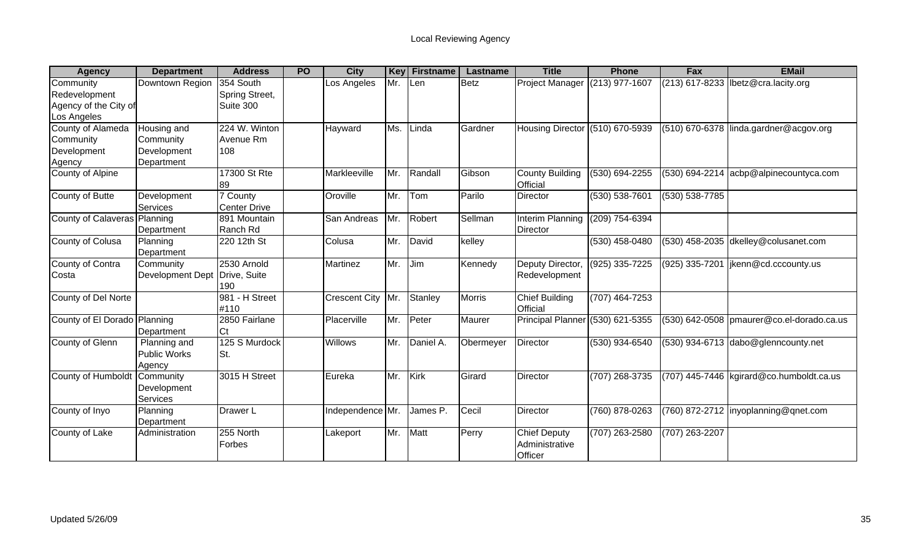| <b>Agency</b>                | <b>Department</b>       | <b>Address</b>      | <b>PO</b> | <b>City</b>          | <b>Key</b> | <b>Firstname</b> | Lastname      | <b>Title</b>                       | <b>Phone</b>     | <b>Fax</b>     | <b>EMail</b>                                  |
|------------------------------|-------------------------|---------------------|-----------|----------------------|------------|------------------|---------------|------------------------------------|------------------|----------------|-----------------------------------------------|
| Community                    | Downtown Region         | 354 South           |           | Los Angeles          | Mr.        | Len              | <b>Betz</b>   | Project Manager (213) 977-1607     |                  |                | (213) 617-8233  lbetz@cra.lacity.org          |
| Redevelopment                |                         | Spring Street,      |           |                      |            |                  |               |                                    |                  |                |                                               |
| Agency of the City of        |                         | Suite 300           |           |                      |            |                  |               |                                    |                  |                |                                               |
| Los Angeles                  |                         |                     |           |                      |            |                  |               |                                    |                  |                |                                               |
| County of Alameda            | Housing and             | 224 W. Winton       |           | Hayward              | Ms.        | Linda            | Gardner       | Housing Director (510) 670-5939    |                  |                | (510) 670-6378 linda.gardner@acgov.org        |
| Community                    | Community               | Avenue Rm           |           |                      |            |                  |               |                                    |                  |                |                                               |
| Development                  | Development             | 108                 |           |                      |            |                  |               |                                    |                  |                |                                               |
| Agency                       | Department              |                     |           |                      |            |                  |               |                                    |                  |                |                                               |
| County of Alpine             |                         | 17300 St Rte<br>89  |           | Markleeville         | Mr.        | Randall          | Gibson        | <b>County Building</b><br>Official | (530) 694-2255   |                | (530) 694-2214 acbp@alpinecountyca.com        |
| County of Butte              | Development             | 7 County            |           | Oroville             | Mr.        | Tom              | Parilo        | Director                           | (530) 538-7601   | (530) 538-7785 |                                               |
|                              | Services                | <b>Center Drive</b> |           |                      |            |                  |               |                                    |                  |                |                                               |
| County of Calaveras Planning |                         | 891 Mountain        |           | San Andreas          | Mr.        | Robert           | Sellman       | Interim Planning                   | (209) 754-6394   |                |                                               |
|                              | Department              | Ranch Rd            |           |                      |            |                  |               | <b>Director</b>                    |                  |                |                                               |
| County of Colusa             | Planning                | 220 12th St         |           | Colusa               | Mr.        | David            | kelley        |                                    | (530) 458-0480   |                | (530) 458-2035 dkelley@colusanet.com          |
|                              | Department              |                     |           |                      |            |                  |               |                                    |                  |                |                                               |
| County of Contra             | Community               | 2530 Arnold         |           | Martinez             | Mr.        | Jim              | Kennedy       | Deputy Director,                   | $(925)$ 335-7225 | (925) 335-7201 | jkenn@cd.cccounty.us                          |
| Costa                        | <b>Development Dept</b> | Drive, Suite        |           |                      |            |                  |               | Redevelopment                      |                  |                |                                               |
|                              |                         | 190                 |           |                      |            |                  |               |                                    |                  |                |                                               |
| County of Del Norte          |                         | 981 - H Street      |           | <b>Crescent City</b> | Mr.        | Stanley          | <b>Morris</b> | <b>Chief Building</b>              | $(707)$ 464-7253 |                |                                               |
|                              |                         | #110                |           |                      |            |                  |               | Official                           |                  |                |                                               |
| County of El Dorado Planning |                         | 2850 Fairlane       |           | Placerville          | Mr.        | Peter            | Maurer        | Principal Planner (530) 621-5355   |                  |                | $(530)$ 642-0508   pmaurer@co.el-dorado.ca.us |
|                              | Department              | Ct                  |           |                      |            |                  |               |                                    |                  |                |                                               |
| County of Glenn              | Planning and            | 125 S Murdock       |           | <b>Willows</b>       | Mr.        | Daniel A.        | Obermeyer     | <b>Director</b>                    | (530) 934-6540   |                | (530) 934-6713 dabo@glenncounty.net           |
|                              | <b>Public Works</b>     | ISt.                |           |                      |            |                  |               |                                    |                  |                |                                               |
|                              | Agency                  |                     |           |                      |            |                  |               |                                    |                  |                |                                               |
| County of Humboldt Community |                         | 3015 H Street       |           | Eureka               | Mr.        | Kirk             | Girard        | Director                           | (707) 268-3735   |                | (707) 445-7446 kgirard@co.humboldt.ca.us      |
|                              | Development             |                     |           |                      |            |                  |               |                                    |                  |                |                                               |
|                              | Services                |                     |           |                      |            |                  |               |                                    |                  |                |                                               |
| County of Inyo               | Planning                | Drawer L            |           | Independence Mr.     |            | James P.         | Cecil         | Director                           | (760) 878-0263   |                | $(760)$ 872-2712  inyoplanning@gnet.com       |
|                              | Department              |                     |           |                      |            |                  |               |                                    |                  |                |                                               |
| County of Lake               | Administration          | 255 North           |           | Lakeport             | Mr.        | Matt             | Perry         | <b>Chief Deputy</b>                | (707) 263-2580   | (707) 263-2207 |                                               |
|                              |                         | Forbes              |           |                      |            |                  |               | Administrative                     |                  |                |                                               |
|                              |                         |                     |           |                      |            |                  |               | Officer                            |                  |                |                                               |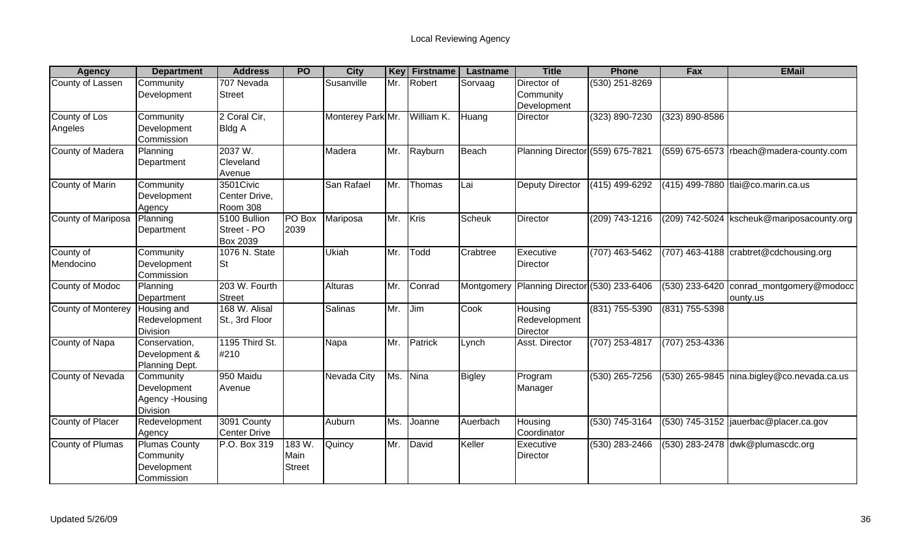| <b>Agency</b>             | <b>Department</b>                                              | <b>Address</b>                                 | <b>PO</b>                       | <b>City</b>       | <b>Key</b> | <b>Firstname</b> | Lastname      | <b>Title</b>                                | <b>Phone</b>     | Fax                | <b>EMail</b>                                                |
|---------------------------|----------------------------------------------------------------|------------------------------------------------|---------------------------------|-------------------|------------|------------------|---------------|---------------------------------------------|------------------|--------------------|-------------------------------------------------------------|
| County of Lassen          | Community<br>Development                                       | 707 Nevada<br><b>Street</b>                    |                                 | Susanville        | Mr.        | Robert           | Sorvaag       | Director of<br>Community<br>Development     | (530) 251-8269   |                    |                                                             |
| County of Los<br>Angeles  | Community<br>Development<br>Commission                         | 2 Coral Cir,<br><b>Bldg A</b>                  |                                 | Monterey Park Mr. |            | William K.       | Huang         | <b>Director</b>                             | (323) 890-7230   | $(323) 890 - 8586$ |                                                             |
| <b>County of Madera</b>   | Planning<br>Department                                         | 2037 W.<br>Cleveland<br>Avenue                 |                                 | Madera            | Mr.        | Rayburn          | Beach         | Planning Director (559) 675-7821            |                  |                    | (559) 675-6573   rbeach@madera-county.com                   |
| County of Marin           | Community<br>Development<br>Agency                             | 3501Civic<br>Center Drive,<br>Room 308         |                                 | San Rafael        | Mr.        | Thomas           | Lai           | Deputy Director                             | (415) 499-6292   |                    | (415) 499-7880 tlai@co.marin.ca.us                          |
| County of Mariposa        | Planning<br>Department                                         | 5100 Bullion<br>Street - PO<br><b>Box 2039</b> | PO Box<br>2039                  | Mariposa          | Mr.        | Kris             | <b>Scheuk</b> | Director                                    | (209) 743-1216   |                    | (209) 742-5024   kscheuk@mariposacounty.org                 |
| County of<br>Mendocino    | Community<br>Development<br>Commission                         | 1076 N. State<br><b>St</b>                     |                                 | Ukiah             | Mr.        | Todd             | Crabtree      | Executive<br><b>Director</b>                | (707) 463-5462   |                    | $(707)$ 463-4188 $\sqrt{\text{c}}$ crabtret @cdchousing.org |
| <b>County of Modoc</b>    | Planning<br>Department                                         | 203 W. Fourth<br><b>Street</b>                 |                                 | Alturas           | Mr.        | Conrad           |               | Montgomery Planning Director (530) 233-6406 |                  | (530) 233-6420     | conrad montgomery@modocc<br>ounty.us                        |
| <b>County of Monterey</b> | Housing and<br>Redevelopment<br>Division                       | 168 W. Alisal<br>St., 3rd Floor                |                                 | Salinas           | Mr.        | Jim              | Cook          | Housing<br>Redevelopment<br>Director        | (831) 755-5390   | (831) 755-5398     |                                                             |
| County of Napa            | Conservation,<br>Development &<br>Planning Dept.               | 1195 Third St.<br>#210                         |                                 | Napa              | Mr.        | Patrick          | Lynch         | Asst. Director                              | $(707)$ 253-4817 | $(707)$ 253-4336   |                                                             |
| County of Nevada          | Community<br>Development<br>Agency - Housing<br>Division       | 950 Maidu<br>Avenue                            |                                 | Nevada City       | Ms.        | Nina             | <b>Bigley</b> | Program<br>Manager                          | $(530)$ 265-7256 |                    | (530) 265-9845 nina.bigley@co.nevada.ca.us                  |
| County of Placer          | Redevelopment<br>Agency                                        | 3091 County<br><b>Center Drive</b>             |                                 | Auburn            | Ms.        | Joanne           | Auerbach      | Housing<br>Coordinator                      | $(530)$ 745-3164 |                    | $(530)$ 745-3152 jauerbac@placer.ca.gov                     |
| County of Plumas          | <b>Plumas County</b><br>Community<br>Development<br>Commission | P.O. Box 319                                   | 183 W.<br>Main<br><b>Street</b> | Quincy            | Mr.        | David            | Keller        | Executive<br><b>Director</b>                | (530) 283-2466   |                    | (530) 283-2478 dwk@plumascdc.org                            |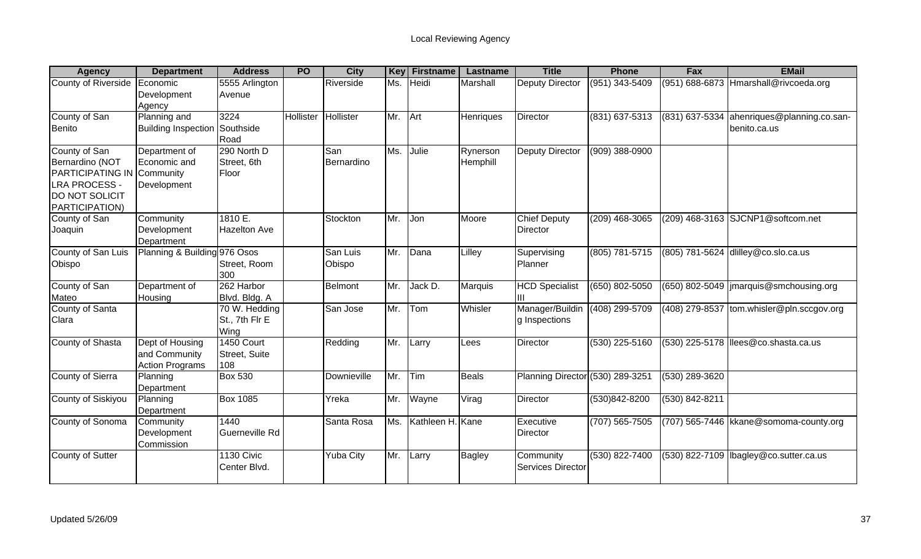| <b>Agency</b>                                                                                                           | <b>Department</b>                                          | <b>Address</b>                          | <b>PO</b> | <b>City</b>        | <b>Key</b> | <b>Firstname</b> | Lastname             | <b>Title</b>                           | <b>Phone</b>       | Fax                | <b>EMail</b>                                |
|-------------------------------------------------------------------------------------------------------------------------|------------------------------------------------------------|-----------------------------------------|-----------|--------------------|------------|------------------|----------------------|----------------------------------------|--------------------|--------------------|---------------------------------------------|
| County of Riverside                                                                                                     | Economic<br>Development<br>Agency                          | 5555 Arlington<br>Avenue                |           | Riverside          | Ms.        | Heidi            | Marshall             | <b>Deputy Director</b>                 | (951) 343-5409     | (951) 688-6873     | Hmarshall@rivcoeda.org                      |
| County of San<br>Benito                                                                                                 | Planning and<br><b>Building Inspection</b>                 | 3224<br>Southside<br>Road               | Hollister | Hollister          | Mr. Art    |                  | Henriques            | Director                               | (831) 637-5313     | (831) 637-5334     | ahenriques@planning.co.san-<br>benito.ca.us |
| County of San<br>Bernardino (NOT<br><b>PARTICIPATING IN</b><br><b>LRA PROCESS -</b><br>DO NOT SOLICIT<br>PARTICIPATION) | Department of<br>Economic and<br>Community<br>Development  | 290 North D<br>Street, 6th<br>Floor     |           | San<br>Bernardino  | Ms.        | Julie            | Rynerson<br>Hemphill | <b>Deputy Director</b>                 | (909) 388-0900     |                    |                                             |
| County of San<br>Joaquin                                                                                                | Community<br>Development<br>Department                     | 1810 E.<br><b>Hazelton Ave</b>          |           | Stockton           | Mr.        | Jon              | Moore                | <b>Chief Deputy</b><br><b>Director</b> | (209) 468-3065     |                    | (209) 468-3163 SJCNP1@softcom.net           |
| County of San Luis<br>Obispo                                                                                            | Planning & Building 976 Osos                               | Street, Room<br>300                     |           | San Luis<br>Obispo | Mr.        | Dana             | Lilley               | Supervising<br>Planner                 | (805) 781-5715     |                    | (805) 781-5624 dlilley@co.slo.ca.us         |
| County of San<br>Mateo                                                                                                  | Department of<br>Housing                                   | 262 Harbor<br>Blvd. Bldg. A             |           | Belmont            | Mr.        | Jack D.          | Marquis              | <b>HCD Specialist</b><br>Ш             | $(650) 802 - 5050$ |                    | (650) 802-5049   jmarquis@smchousing.org    |
| County of Santa<br>Clara                                                                                                |                                                            | 70 W. Hedding<br>St., 7th Flr E<br>Wing |           | San Jose           | Mr.        | Tom              | Whisler              | Manager/Buildin<br>g Inspections       | $(408)$ 299-5709   |                    | $(408)$ 279-8537 tom.whisler@pln.sccgov.org |
| <b>County of Shasta</b>                                                                                                 | Dept of Housing<br>and Community<br><b>Action Programs</b> | 1450 Court<br>Street, Suite<br>108      |           | Redding            | Mr.        | Larry            | Lees                 | Director                               | $(530)$ 225-5160   |                    | (530) 225-5178  llees@co.shasta.ca.us       |
| <b>County of Sierra</b>                                                                                                 | Planning<br>Department                                     | <b>Box 530</b>                          |           | Downieville        | Mr.        | Tim              | <b>Beals</b>         | Planning Director (530) 289-3251       |                    | $(530)$ 289-3620   |                                             |
| <b>County of Siskiyou</b>                                                                                               | Planning<br>Department                                     | <b>Box 1085</b>                         |           | Yreka              | Mr.        | Wayne            | Virag                | Director                               | (530)842-8200      | $(530) 842 - 8211$ |                                             |
| County of Sonoma                                                                                                        | Community<br>Development<br>Commission                     | 1440<br>Guerneville Rd                  |           | Santa Rosa         | Ms.        | Kathleen H. Kane |                      | Executive<br><b>Director</b>           | $(707) 565 - 7505$ |                    | (707) 565-7446   kkane@somoma-county.org    |
| County of Sutter                                                                                                        |                                                            | 1130 Civic<br>Center Blvd.              |           | Yuba City          | Mr.        | Larry            | Bagley               | Community<br>Services Director         | $(530) 822 - 7400$ |                    | $(530)$ 822-7109  lbagley@co.sutter.ca.us   |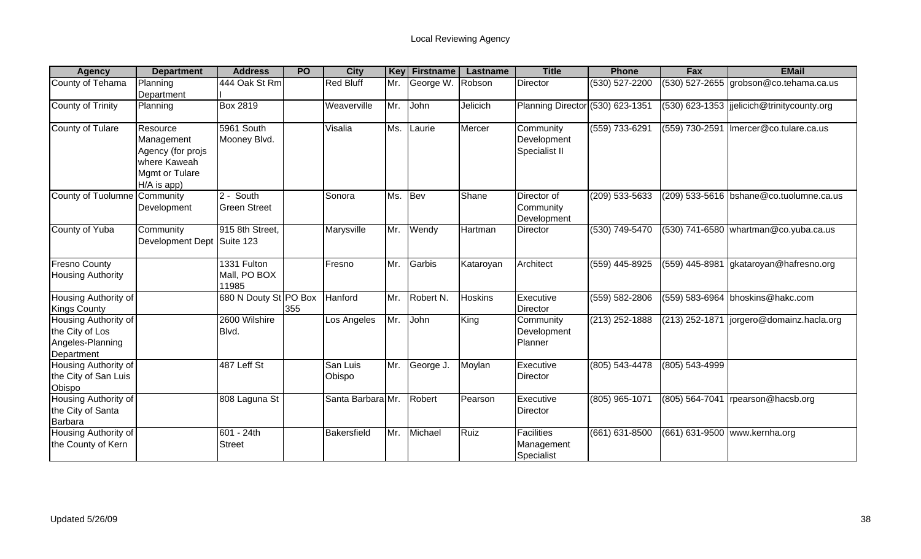| <b>Agency</b>                                                             | <b>Department</b>                                                                            | <b>Address</b>                            | <b>PO</b> | <b>City</b>        | Key | Firstname | Lastname       | <b>Title</b>                                  | <b>Phone</b>     | Fax                | <b>EMail</b>                               |
|---------------------------------------------------------------------------|----------------------------------------------------------------------------------------------|-------------------------------------------|-----------|--------------------|-----|-----------|----------------|-----------------------------------------------|------------------|--------------------|--------------------------------------------|
| County of Tehama                                                          | Planning<br>Department                                                                       | 444 Oak St Rm                             |           | <b>Red Bluff</b>   | Mr. | George W. | Robson         | Director                                      | (530) 527-2200   |                    | $(530)$ 527-2655 grobson@co.tehama.ca.us   |
| County of Trinity                                                         | Planning                                                                                     | <b>Box 2819</b>                           |           | Weaverville        | Mr. | John      | Jelicich       | Planning Director (530) 623-1351              |                  |                    | (530) 623-1353 jjelicich@trinitycounty.org |
| County of Tulare                                                          | Resource<br>Management<br>Agency (for projs<br>where Kaweah<br>Mgmt or Tulare<br>H/A is app) | 5961 South<br>Mooney Blvd.                |           | Visalia            | Ms. | Laurie    | Mercer         | Community<br>Development<br>Specialist II     | (559) 733-6291   |                    | (559) 730-2591   Imercer@co.tulare.ca.us   |
| County of Tuolumne Community                                              | Development                                                                                  | $\sqrt{2}$ - South<br><b>Green Street</b> |           | Sonora             | Ms. | Bev       | Shane          | Director of<br>Community<br>Development       | (209) 533-5633   |                    | (209) 533-5616 bshane@co.tuolumne.ca.us    |
| County of Yuba                                                            | Community<br>Development Dept                                                                | 915 8th Street,<br>Suite 123              |           | Marysville         | Mr. | Wendy     | Hartman        | Director                                      | (530) 749-5470   |                    | (530) 741-6580   whartman@co.yuba.ca.us    |
| <b>Fresno County</b><br><b>Housing Authority</b>                          |                                                                                              | 1331 Fulton<br>Mall, PO BOX<br>11985      |           | Fresno             | Mr. | Garbis    | Kataroyan      | Architect                                     | $(559)$ 445-8925 | (559) 445-8981     | gkataroyan@hafresno.org                    |
| <b>Housing Authority of</b><br><b>Kings County</b>                        |                                                                                              | 680 N Douty St PO Box                     | 355       | Hanford            | Mr. | Robert N. | <b>Hoskins</b> | Executive<br><b>Director</b>                  | (559) 582-2806   |                    | (559) 583-6964 bhoskins@hakc.com           |
| Housing Authority of<br>the City of Los<br>Angeles-Planning<br>Department |                                                                                              | 2600 Wilshire<br>Blvd.                    |           | Los Angeles        | Mr. | John      | King           | Community<br>Development<br>Planner           | (213) 252-1888   | (213) 252-1871     | jorgero@domainz.hacla.org                  |
| Housing Authority of<br>the City of San Luis<br>Obispo                    |                                                                                              | 487 Leff St                               |           | San Luis<br>Obispo | Mr. | George J. | Moylan         | Executive<br>Director                         | (805) 543-4478   | (805) 543-4999     |                                            |
| Housing Authority of<br>the City of Santa<br>Barbara                      |                                                                                              | 808 Laguna St                             |           | Santa Barbara Mr.  |     | Robert    | Pearson        | Executive<br><b>Director</b>                  | (805) 965-1071   | $(805) 564 - 7041$ | rpearson@hacsb.org                         |
| Housing Authority of<br>the County of Kern                                |                                                                                              | 601 - 24th<br><b>Street</b>               |           | Bakersfield        | Mr. | Michael   | Ruiz           | <b>Facilities</b><br>Management<br>Specialist | (661) 631-8500   |                    | (661) 631-9500 www.kernha.org              |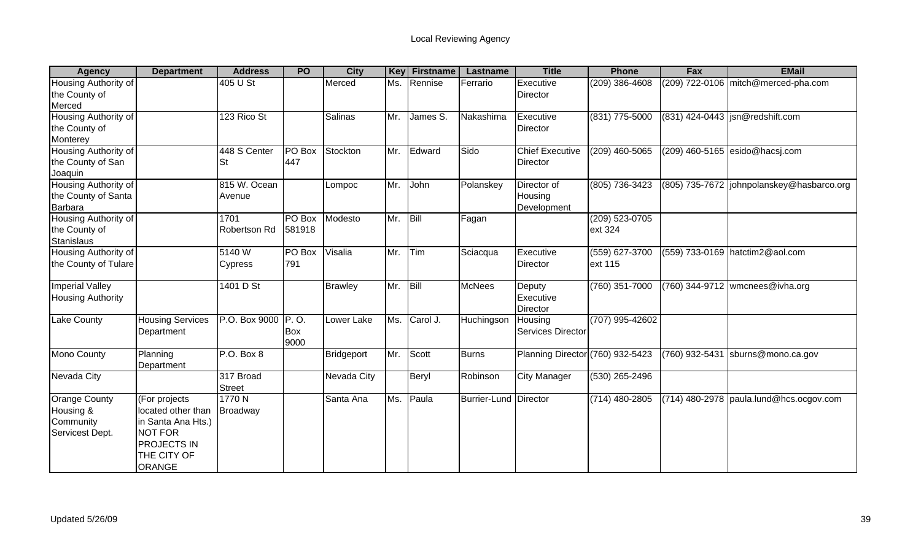| <b>Agency</b>            | <b>Department</b>       | <b>Address</b>     | <b>PO</b>  | <b>City</b>    | <b>Key</b> | <b>Firstname</b> | Lastname              | <b>Title</b>                     | <b>Phone</b>     | Fax            | <b>EMail</b>                               |
|--------------------------|-------------------------|--------------------|------------|----------------|------------|------------------|-----------------------|----------------------------------|------------------|----------------|--------------------------------------------|
| Housing Authority of     |                         | 405 U St           |            | Merced         | Ms.        | Rennise          | Ferrario              | Executive                        | $(209)$ 386-4608 |                | (209) 722-0106 mitch@merced-pha.com        |
| the County of            |                         |                    |            |                |            |                  |                       | <b>Director</b>                  |                  |                |                                            |
| Merced                   |                         |                    |            |                |            |                  |                       |                                  |                  |                |                                            |
| Housing Authority of     |                         | 123 Rico St        |            | <b>Salinas</b> | Mr.        | James S.         | Nakashima             | Executive                        | (831) 775-5000   |                | (831) 424-0443  jsn@redshift.com           |
| the County of            |                         |                    |            |                |            |                  |                       | <b>Director</b>                  |                  |                |                                            |
| Monterey                 |                         |                    |            |                |            |                  |                       |                                  |                  |                |                                            |
| Housing Authority of     |                         | 448 S Center       | PO Box     | Stockton       | Mr.        | Edward           | Sido                  | <b>Chief Executive</b>           | $(209)$ 460-5065 |                | (209) 460-5165 esido@hacsj.com             |
| the County of San        |                         | St                 | 447        |                |            |                  |                       | <b>Director</b>                  |                  |                |                                            |
| Joaquin                  |                         |                    |            |                |            |                  |                       |                                  |                  |                |                                            |
| Housing Authority of     |                         | 815 W. Ocean       |            | Lompoc         | Mr.        | John             | Polanskey             | Director of                      | (805) 736-3423   |                | (805) 735-7672  johnpolanskey@hasbarco.org |
| the County of Santa      |                         | Avenue             |            |                |            |                  |                       | Housing                          |                  |                |                                            |
| <b>Barbara</b>           |                         |                    |            |                |            |                  |                       | Development                      |                  |                |                                            |
| Housing Authority of     |                         | 1701               | PO Box     | Modesto        | Mr.        | Bill             | Fagan                 |                                  | (209) 523-0705   |                |                                            |
| the County of            |                         | Robertson Rd       | 581918     |                |            |                  |                       |                                  | ext 324          |                |                                            |
| <b>Stanislaus</b>        |                         |                    |            |                |            |                  |                       |                                  |                  |                |                                            |
| Housing Authority of     |                         | 5140W              | PO Box     | Visalia        | Mr.        | Tim              | Sciacqua              | Executive                        | (559) 627-3700   | (559) 733-0169 | hatctim2@aol.com                           |
| the County of Tulare     |                         | <b>Cypress</b>     | 791        |                |            |                  |                       | Director                         | ext 115          |                |                                            |
|                          |                         |                    |            |                |            |                  |                       |                                  |                  |                |                                            |
| <b>Imperial Valley</b>   |                         | 1401 D St          |            | <b>Brawley</b> | Mr.        | Bill             | <b>McNees</b>         | Deputy                           | (760) 351-7000   |                | $(760)$ 344-9712 wmcnees@ivha.org          |
| <b>Housing Authority</b> |                         |                    |            |                |            |                  |                       | Executive                        |                  |                |                                            |
|                          |                         |                    |            |                |            |                  |                       | Director                         |                  |                |                                            |
| <b>Lake County</b>       | <b>Housing Services</b> | P.O. Box 9000 P.O. |            | Lower Lake     | Ms.        | Carol J.         | Huchingson            | Housing                          | (707) 995-42602  |                |                                            |
|                          | Department              |                    | <b>Box</b> |                |            |                  |                       | <b>Services Director</b>         |                  |                |                                            |
|                          |                         |                    | 9000       |                |            |                  |                       |                                  |                  |                |                                            |
| Mono County              | Planning                | P.O. Box 8         |            | Bridgeport     | Mr.        | Scott            | <b>Burns</b>          | Planning Director (760) 932-5423 |                  | (760) 932-5431 | sburns@mono.ca.gov                         |
|                          | Department              | 317 Broad          |            |                |            |                  |                       |                                  |                  |                |                                            |
| Nevada City              |                         | <b>Street</b>      |            | Nevada City    |            | Beryl            | Robinson              | <b>City Manager</b>              | (530) 265-2496   |                |                                            |
| <b>Orange County</b>     | (For projects           | 1770 N             |            | Santa Ana      | Ms.        | Paula            | Burrier-Lund Director |                                  | (714) 480-2805   |                | $(714)$ 480-2978 paula.lund@hcs.ocgov.com  |
|                          | located other than      |                    |            |                |            |                  |                       |                                  |                  |                |                                            |
| Housing &<br>Community   | in Santa Ana Hts.)      | Broadway           |            |                |            |                  |                       |                                  |                  |                |                                            |
| Servicest Dept.          | <b>NOT FOR</b>          |                    |            |                |            |                  |                       |                                  |                  |                |                                            |
|                          | <b>PROJECTS IN</b>      |                    |            |                |            |                  |                       |                                  |                  |                |                                            |
|                          | THE CITY OF             |                    |            |                |            |                  |                       |                                  |                  |                |                                            |
|                          |                         |                    |            |                |            |                  |                       |                                  |                  |                |                                            |
|                          | <b>ORANGE</b>           |                    |            |                |            |                  |                       |                                  |                  |                |                                            |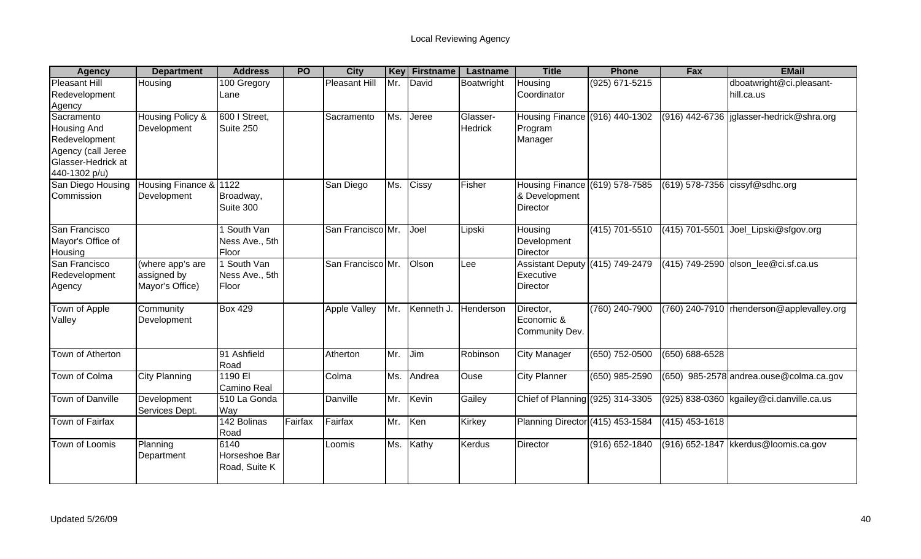| <b>Agency</b>                                                                                                  | <b>Department</b>                                  | <b>Address</b>                         | <b>PO</b> | <b>City</b>         | Key | <b>Firstname</b> | Lastname                   | <b>Title</b>                                                       | <b>Phone</b>     | Fax                | <b>EMail</b>                               |
|----------------------------------------------------------------------------------------------------------------|----------------------------------------------------|----------------------------------------|-----------|---------------------|-----|------------------|----------------------------|--------------------------------------------------------------------|------------------|--------------------|--------------------------------------------|
| <b>Pleasant Hill</b><br>Redevelopment<br>Agency                                                                | Housing                                            | 100 Gregory<br>Lane                    |           | Pleasant Hill       | Mr. | David            | Boatwright                 | Housing<br>Coordinator                                             | (925) 671-5215   |                    | dboatwright@ci.pleasant-<br>hill.ca.us     |
| Sacramento<br><b>Housing And</b><br>Redevelopment<br>Agency (call Jeree<br>Glasser-Hedrick at<br>440-1302 p/u) | Housing Policy &<br>Development                    | 600   Street,<br>Suite 250             |           | Sacramento          | Ms. | Jeree            | Glasser-<br><b>Hedrick</b> | Housing Finance (916) 440-1302<br>Program<br>Manager               |                  |                    | (916) 442-6736   jglasser-hedrick@shra.org |
| San Diego Housing<br>Commission                                                                                | Housing Finance &<br>Development                   | 1122<br>Broadway,<br>Suite 300         |           | San Diego           | Ms. | Cissy            | Fisher                     | Housing Finance (619) 578-7585<br>& Development<br><b>Director</b> |                  |                    | (619) 578-7356 cissyf@sdhc.org             |
| San Francisco<br>Mayor's Office of<br>Housing                                                                  |                                                    | 1 South Van<br>Ness Ave., 5th<br>Floor |           | San Francisco Mr.   |     | Joel             | Lipski                     | Housing<br>Development<br>Director                                 | (415) 701-5510   | (415) 701-5501     | Joel_Lipski@sfgov.org                      |
| San Francisco<br>Redevelopment<br>Agency                                                                       | (where app's are<br>assigned by<br>Mayor's Office) | 1 South Van<br>Ness Ave., 5th<br>Floor |           | San Francisco Mr.   |     | Olson            | Lee                        | Assistant Deputy (415) 749-2479<br>Executive<br><b>Director</b>    |                  |                    | $(415)$ 749-2590 olson lee@ci.sf.ca.us     |
| Town of Apple<br>Valley                                                                                        | Community<br>Development                           | <b>Box 429</b>                         |           | <b>Apple Valley</b> |     | Mr. Kenneth J.   | Henderson                  | Director,<br>Economic &<br>Community Dev.                          | (760) 240-7900   |                    | (760) 240-7910 rhenderson@applevalley.org  |
| Town of Atherton                                                                                               |                                                    | 91 Ashfield<br>Road                    |           | Atherton            | Mr. | Jim              | Robinson                   | <b>City Manager</b>                                                | $(650)$ 752-0500 | $(650) 688 - 6528$ |                                            |
| <b>Town of Colma</b>                                                                                           | <b>City Planning</b>                               | 1190 EI<br>Camino Real                 |           | Colma               | Ms. | Andrea           | Ouse                       | <b>City Planner</b>                                                | $(650)$ 985-2590 |                    | $(650)$ 985-2578 andrea.ouse @colma.ca.gov |
| <b>Town of Danville</b>                                                                                        | Development<br>Services Dept.                      | 510 La Gonda<br>Way                    |           | Danville            | Mr. | Kevin            | Gailey                     | Chief of Planning (925) 314-3305                                   |                  |                    | (925) 838-0360 kgailey@ci.danville.ca.us   |
| Town of Fairfax                                                                                                |                                                    | 142 Bolinas<br>Road                    | Fairfax   | Fairfax             | Mr. | Ken              | Kirkey                     | Planning Director (415) 453-1584                                   |                  | $(415)$ 453-1618   |                                            |
| Town of Loomis                                                                                                 | Planning<br>Department                             | 6140<br>Horseshoe Bar<br>Road, Suite K |           | Loomis              | Ms. | Kathy            | <b>Kerdus</b>              | Director                                                           | (916) 652-1840   | (916) 652-1847     | kkerdus@loomis.ca.gov                      |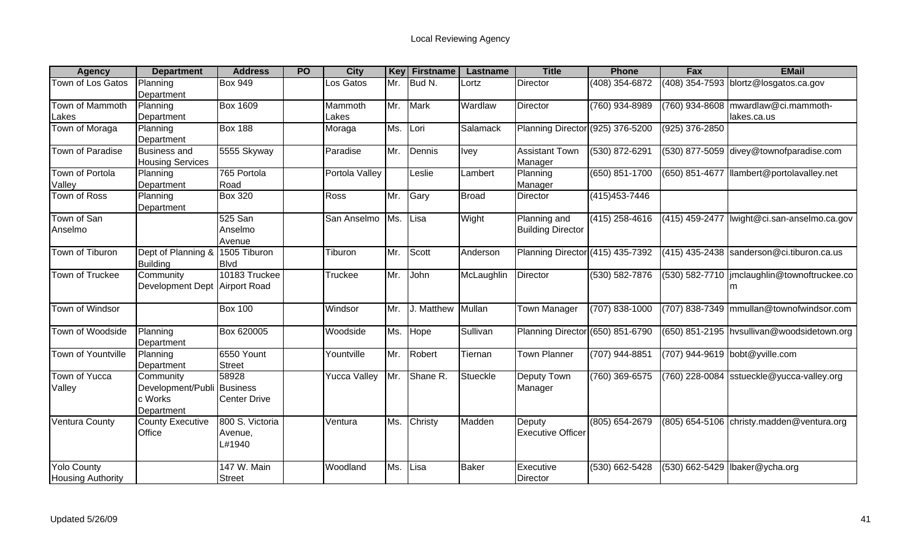| <b>Agency</b>                                  | <b>Department</b>                                       | <b>Address</b>                           | PO | <b>City</b>      | Key | <b>Firstname</b>  | Lastname     | <b>Title</b>                             | <b>Phone</b>     | Fax            | <b>EMail</b>                                         |
|------------------------------------------------|---------------------------------------------------------|------------------------------------------|----|------------------|-----|-------------------|--------------|------------------------------------------|------------------|----------------|------------------------------------------------------|
| Town of Los Gatos                              | Planning<br>Department                                  | <b>Box 949</b>                           |    | Los Gatos        | Mr. | Bud N.            | _ortz        | Director                                 | (408) 354-6872   |                | (408) 354-7593 blortz@losgatos.ca.gov                |
| Town of Mammoth<br>Lakes                       | Planning<br>Department                                  | <b>Box 1609</b>                          |    | Mammoth<br>Lakes | Mr. | <b>Mark</b>       | Wardlaw      | Director                                 | (760) 934-8989   |                | (760) 934-8608   mwardlaw@ci.mammoth-<br>lakes.ca.us |
| Town of Moraga                                 | Planning<br>Department                                  | <b>Box 188</b>                           |    | Moraga           | Ms. | Lori              | Salamack     | Planning Director (925) 376-5200         |                  | (925) 376-2850 |                                                      |
| <b>Town of Paradise</b>                        | <b>Business and</b><br><b>Housing Services</b>          | 5555 Skyway                              |    | Paradise         | Mr. | Dennis            | <b>Ivey</b>  | <b>Assistant Town</b><br>Manager         | (530) 872-6291   |                | (530) 877-5059 divey@townofparadise.com              |
| Town of Portola<br>Valley                      | Planning<br>Department                                  | 765 Portola<br>Road                      |    | Portola Valley   |     | Leslie            | Lambert      | Planning<br>Manager                      | (650) 851-1700   | (650) 851-4677 | llambert@portolavalley.net                           |
| Town of Ross                                   | Planning<br>Department                                  | <b>Box 320</b>                           |    | Ross             | Mr. | Gary              | Broad        | Director                                 | (415) 453-7446   |                |                                                      |
| Town of San<br>Anselmo                         |                                                         | 525 San<br>Anselmo<br>Avenue             |    | San Anselmo      | Ms. | Lisa              | Wight        | Planning and<br><b>Building Director</b> | (415) 258-4616   | (415) 459-2477 | Iwight@ci.san-anselmo.ca.gov                         |
| Town of Tiburon                                | Dept of Planning &<br><b>Building</b>                   | 1505 Tiburon<br><b>Blvd</b>              |    | Tiburon          | Mr. | Scott             | Anderson     | Planning Director (415) 435-7392         |                  |                | (415) 435-2438 sanderson@ci.tiburon.ca.us            |
| Town of Truckee                                | Community<br>Development Dept Airport Road              | 10183 Truckee                            |    | <b>Truckee</b>   | Mr. | John              | McLaughlin   | <b>Director</b>                          | (530) 582-7876   |                | (530) 582-7710   jmclaughlin@townoftruckee.co<br>m   |
| Town of Windsor                                |                                                         | <b>Box 100</b>                           |    | Windsor          | Mr. | J. Matthew Mullan |              | Town Manager                             | (707) 838-1000   |                | (707) 838-7349 mmullan@townofwindsor.com             |
| Town of Woodside                               | Planning<br>Department                                  | Box 620005                               |    | Woodside         | Ms. | Hope              | Sullivan     | Planning Director (650) 851-6790         |                  |                | (650) 851-2195 hvsullivan@woodsidetown.org           |
| <b>Town of Yountville</b>                      | Planning<br>Department                                  | 6550 Yount<br><b>Street</b>              |    | Yountville       | Mr. | Robert            | Tiernan      | <b>Town Planner</b>                      | (707) 944-8851   |                | (707) 944-9619 bobt@yville.com                       |
| Town of Yucca<br>Valley                        | Community<br>Development/Publi<br>c Works<br>Department | 58928<br>Business<br><b>Center Drive</b> |    | Yucca Valley     | Mr. | Shane R.          | Stueckle     | Deputy Town<br>Manager                   | $(760)$ 369-6575 |                | (760) 228-0084 sstueckle@yucca-valley.org            |
| <b>Ventura County</b>                          | <b>County Executive</b><br>Office                       | 800 S. Victoria<br>Avenue,<br>L#1940     |    | Ventura          | Ms. | Christy           | Madden       | Deputy<br><b>Executive Officer</b>       | (805) 654-2679   |                | (805) 654-5106 christy.madden@ventura.org            |
| <b>Yolo County</b><br><b>Housing Authority</b> |                                                         | 147 W. Main<br>Street                    |    | Woodland         | Ms. | Lisa              | <b>Baker</b> | Executive<br>Director                    | (530) 662-5428   | (530) 662-5429 | Ibaker@ycha.org                                      |